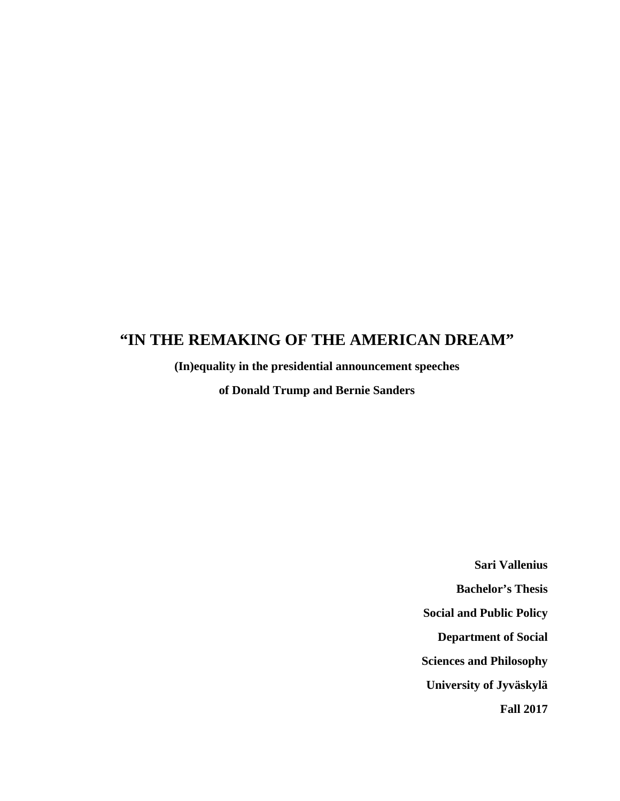# **"IN THE REMAKING OF THE AMERICAN DREAM"**

**(In)equality in the presidential announcement speeches** 

**of Donald Trump and Bernie Sanders**

**Sari Vallenius Bachelor's Thesis Social and Public Policy Department of Social Sciences and Philosophy University of Jyväskylä Fall 2017**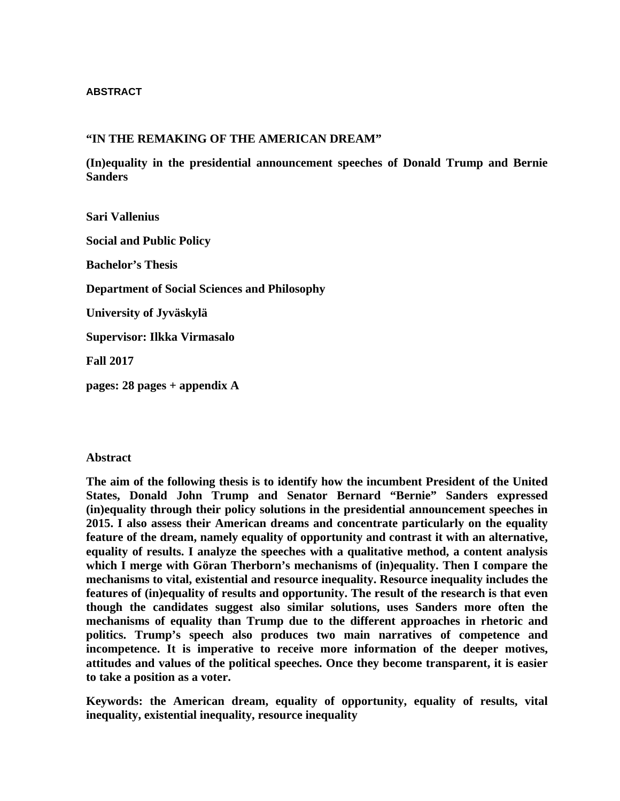#### **ABSTRACT**

#### **"IN THE REMAKING OF THE AMERICAN DREAM"**

**(In)equality in the presidential announcement speeches of Donald Trump and Bernie Sanders**

**Sari Vallenius**

**Social and Public Policy**

**Bachelor's Thesis**

**Department of Social Sciences and Philosophy**

**University of Jyväskylä**

**Supervisor: Ilkka Virmasalo**

**Fall 2017**

**pages: 28 pages + appendix A** 

#### **Abstract**

**The aim of the following thesis is to identify how the incumbent President of the United States, Donald John Trump and Senator Bernard "Bernie" Sanders expressed (in)equality through their policy solutions in the presidential announcement speeches in 2015. I also assess their American dreams and concentrate particularly on the equality feature of the dream, namely equality of opportunity and contrast it with an alternative, equality of results. I analyze the speeches with a qualitative method, a content analysis which I merge with Göran Therborn's mechanisms of (in)equality. Then I compare the mechanisms to vital, existential and resource inequality. Resource inequality includes the features of (in)equality of results and opportunity. The result of the research is that even though the candidates suggest also similar solutions, uses Sanders more often the mechanisms of equality than Trump due to the different approaches in rhetoric and politics. Trump's speech also produces two main narratives of competence and incompetence. It is imperative to receive more information of the deeper motives, attitudes and values of the political speeches. Once they become transparent, it is easier to take a position as a voter.**

**Keywords: the American dream, equality of opportunity, equality of results, vital inequality, existential inequality, resource inequality**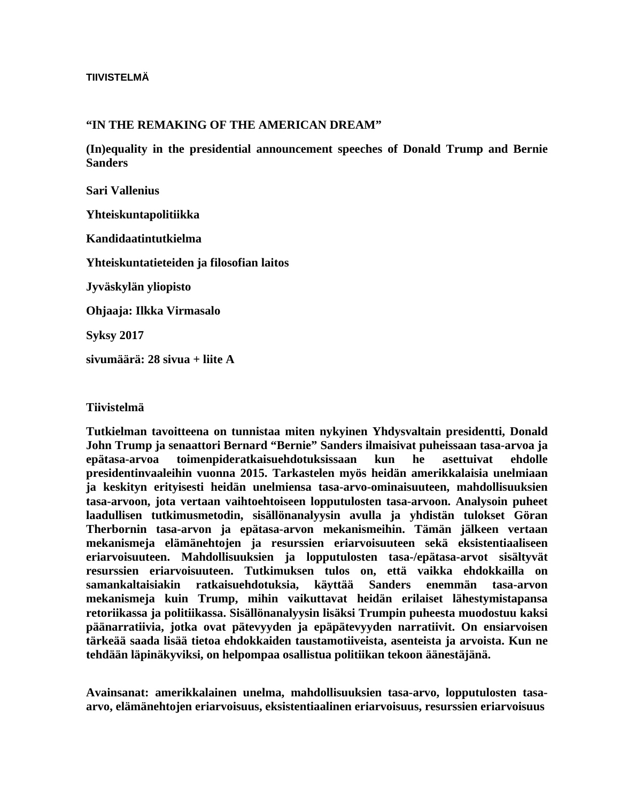#### **"IN THE REMAKING OF THE AMERICAN DREAM"**

**(In)equality in the presidential announcement speeches of Donald Trump and Bernie Sanders**

**Sari Vallenius Yhteiskuntapolitiikka Kandidaatintutkielma Yhteiskuntatieteiden ja filosofian laitos Jyväskylän yliopisto Ohjaaja: Ilkka Virmasalo Syksy 2017 sivumäärä: 28 sivua + liite A** 

#### **Tiivistelmä**

**Tutkielman tavoitteena on tunnistaa miten nykyinen Yhdysvaltain presidentti, Donald John Trump ja senaattori Bernard "Bernie" Sanders ilmaisivat puheissaan tasa-arvoa ja epätasa-arvoa toimenpideratkaisuehdotuksissaan kun he asettuivat ehdolle presidentinvaaleihin vuonna 2015. Tarkastelen myös heidän amerikkalaisia unelmiaan ja keskityn erityisesti heidän unelmiensa tasa-arvo-ominaisuuteen, mahdollisuuksien tasa-arvoon, jota vertaan vaihtoehtoiseen lopputulosten tasa-arvoon. Analysoin puheet laadullisen tutkimusmetodin, sisällönanalyysin avulla ja yhdistän tulokset Göran Therbornin tasa-arvon ja epätasa-arvon mekanismeihin. Tämän jälkeen vertaan mekanismeja elämänehtojen ja resurssien eriarvoisuuteen sekä eksistentiaaliseen eriarvoisuuteen. Mahdollisuuksien ja lopputulosten tasa-/epätasa-arvot sisältyvät resurssien eriarvoisuuteen. Tutkimuksen tulos on, että vaikka ehdokkailla on samankaltaisiakin ratkaisuehdotuksia, käyttää Sanders enemmän tasa-arvon mekanismeja kuin Trump, mihin vaikuttavat heidän erilaiset lähestymistapansa retoriikassa ja politiikassa. Sisällönanalyysin lisäksi Trumpin puheesta muodostuu kaksi päänarratiivia, jotka ovat pätevyyden ja epäpätevyyden narratiivit. On ensiarvoisen tärkeää saada lisää tietoa ehdokkaiden taustamotiiveista, asenteista ja arvoista. Kun ne tehdään läpinäkyviksi, on helpompaa osallistua politiikan tekoon äänestäjänä.**

**Avainsanat: amerikkalainen unelma, mahdollisuuksien tasa-arvo, lopputulosten tasaarvo, elämänehtojen eriarvoisuus, eksistentiaalinen eriarvoisuus, resurssien eriarvoisuus**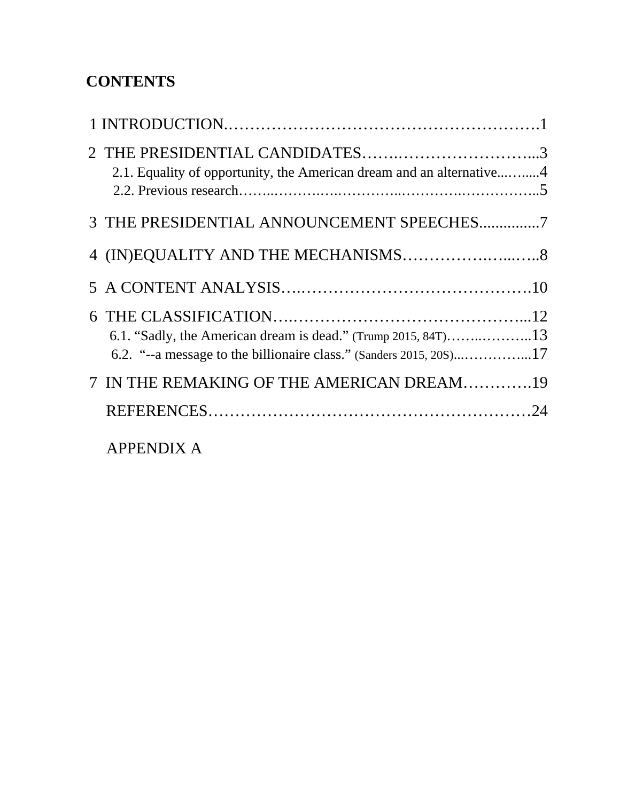# **CONTENTS**

| 2.1. Equality of opportunity, the American dream and an alternative4 |  |
|----------------------------------------------------------------------|--|
| 3 THE PRESIDENTIAL ANNOUNCEMENT SPEECHES7                            |  |
|                                                                      |  |
|                                                                      |  |
| 6.1. "Sadly, the American dream is dead." (Trump 2015, 84T)13        |  |
| 7 IN THE REMAKING OF THE AMERICAN DREAM19                            |  |
|                                                                      |  |
| <b>APPENDIX A</b>                                                    |  |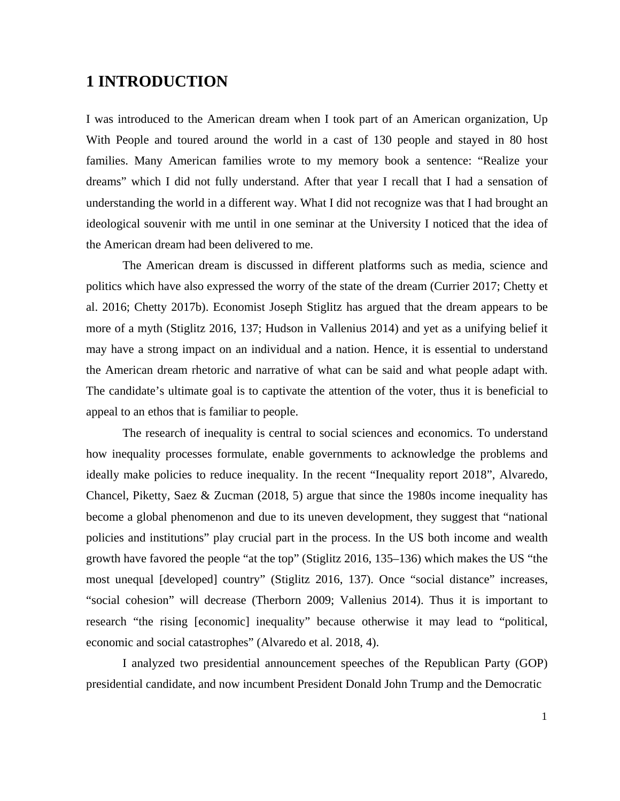# **1 INTRODUCTION**

I was introduced to the American dream when I took part of an American organization, Up With People and toured around the world in a cast of 130 people and stayed in 80 host families. Many American families wrote to my memory book a sentence: "Realize your dreams" which I did not fully understand. After that year I recall that I had a sensation of understanding the world in a different way. What I did not recognize was that I had brought an ideological souvenir with me until in one seminar at the University I noticed that the idea of the American dream had been delivered to me.

 The American dream is discussed in different platforms such as media, science and politics which have also expressed the worry of the state of the dream (Currier 2017; Chetty et al. 2016; Chetty 2017b). Economist Joseph Stiglitz has argued that the dream appears to be more of a myth (Stiglitz 2016, 137; Hudson in Vallenius 2014) and yet as a unifying belief it may have a strong impact on an individual and a nation. Hence, it is essential to understand the American dream rhetoric and narrative of what can be said and what people adapt with. The candidate's ultimate goal is to captivate the attention of the voter, thus it is beneficial to appeal to an ethos that is familiar to people.

The research of inequality is central to social sciences and economics. To understand how inequality processes formulate, enable governments to acknowledge the problems and ideally make policies to reduce inequality. In the recent "Inequality report 2018", Alvaredo, Chancel, Piketty, Saez & Zucman (2018, 5) argue that since the 1980s income inequality has become a global phenomenon and due to its uneven development, they suggest that "national policies and institutions" play crucial part in the process. In the US both income and wealth growth have favored the people "at the top" (Stiglitz 2016, 135–136) which makes the US "the most unequal [developed] country" (Stiglitz 2016, 137). Once "social distance" increases, "social cohesion" will decrease (Therborn 2009; Vallenius 2014). Thus it is important to research "the rising [economic] inequality" because otherwise it may lead to "political, economic and social catastrophes" (Alvaredo et al. 2018, 4).

 I analyzed two presidential announcement speeches of the Republican Party (GOP) presidential candidate, and now incumbent President Donald John Trump and the Democratic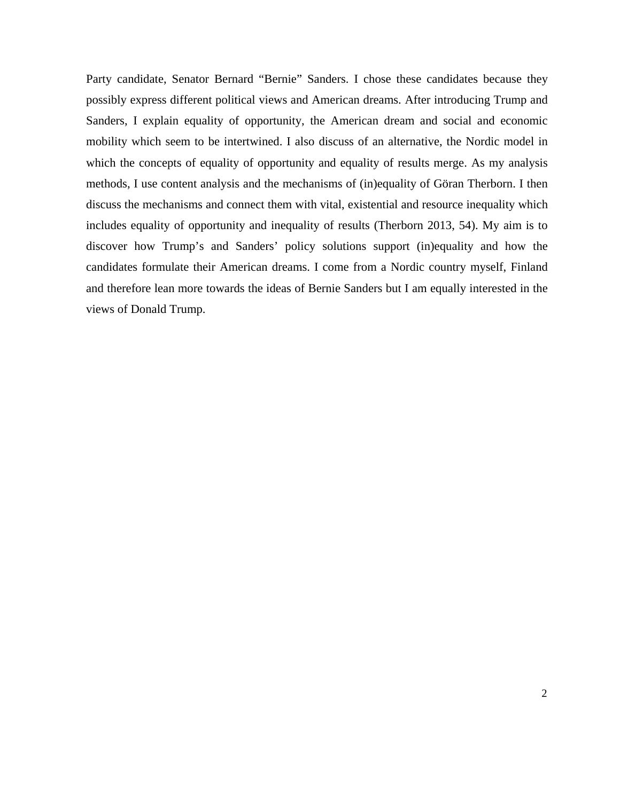Party candidate, Senator Bernard "Bernie" Sanders. I chose these candidates because they possibly express different political views and American dreams. After introducing Trump and Sanders, I explain equality of opportunity, the American dream and social and economic mobility which seem to be intertwined. I also discuss of an alternative, the Nordic model in which the concepts of equality of opportunity and equality of results merge. As my analysis methods, I use content analysis and the mechanisms of (in)equality of Göran Therborn. I then discuss the mechanisms and connect them with vital, existential and resource inequality which includes equality of opportunity and inequality of results (Therborn 2013, 54). My aim is to discover how Trump's and Sanders' policy solutions support (in)equality and how the candidates formulate their American dreams. I come from a Nordic country myself, Finland and therefore lean more towards the ideas of Bernie Sanders but I am equally interested in the views of Donald Trump.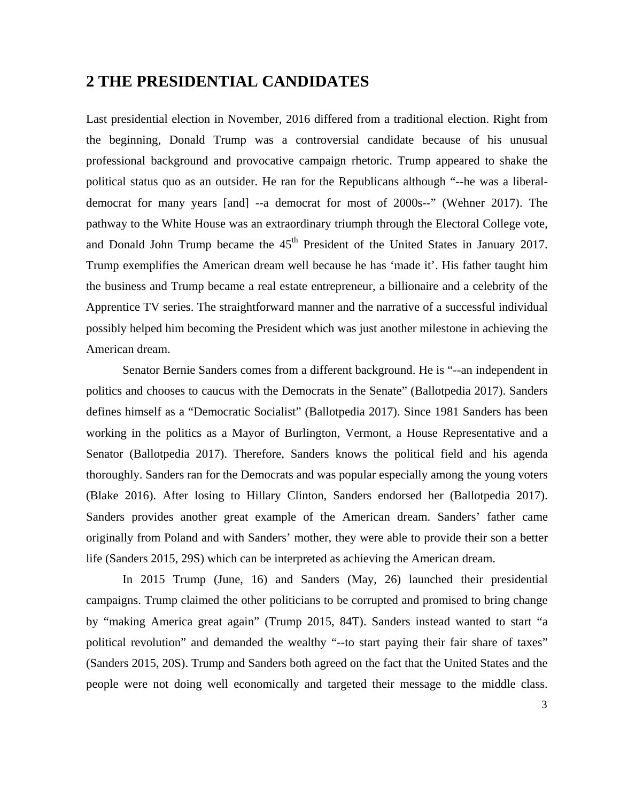# **2 THE PRESIDENTIAL CANDIDATES**

Last presidential election in November, 2016 differed from a traditional election. Right from the beginning, Donald Trump was a controversial candidate because of his unusual professional background and provocative campaign rhetoric. Trump appeared to shake the political status quo as an outsider. He ran for the Republicans although "--he was a liberaldemocrat for many years [and] --a democrat for most of 2000s--" (Wehner 2017). The pathway to the White House was an extraordinary triumph through the Electoral College vote, and Donald John Trump became the  $45<sup>th</sup>$  President of the United States in January 2017. Trump exemplifies the American dream well because he has 'made it'. His father taught him the business and Trump became a real estate entrepreneur, a billionaire and a celebrity of the Apprentice TV series. The straightforward manner and the narrative of a successful individual possibly helped him becoming the President which was just another milestone in achieving the American dream.

 Senator Bernie Sanders comes from a different background. He is "--an independent in politics and chooses to caucus with the Democrats in the Senate" (Ballotpedia 2017). Sanders defines himself as a "Democratic Socialist" (Ballotpedia 2017). Since 1981 Sanders has been working in the politics as a Mayor of Burlington, Vermont, a House Representative and a Senator (Ballotpedia 2017). Therefore, Sanders knows the political field and his agenda thoroughly. Sanders ran for the Democrats and was popular especially among the young voters (Blake 2016). After losing to Hillary Clinton, Sanders endorsed her (Ballotpedia 2017). Sanders provides another great example of the American dream. Sanders' father came originally from Poland and with Sanders' mother, they were able to provide their son a better life (Sanders 2015, 29S) which can be interpreted as achieving the American dream.

 In 2015 Trump (June, 16) and Sanders (May, 26) launched their presidential campaigns. Trump claimed the other politicians to be corrupted and promised to bring change by "making America great again" (Trump 2015, 84T). Sanders instead wanted to start "a political revolution" and demanded the wealthy "--to start paying their fair share of taxes" (Sanders 2015, 20S). Trump and Sanders both agreed on the fact that the United States and the people were not doing well economically and targeted their message to the middle class.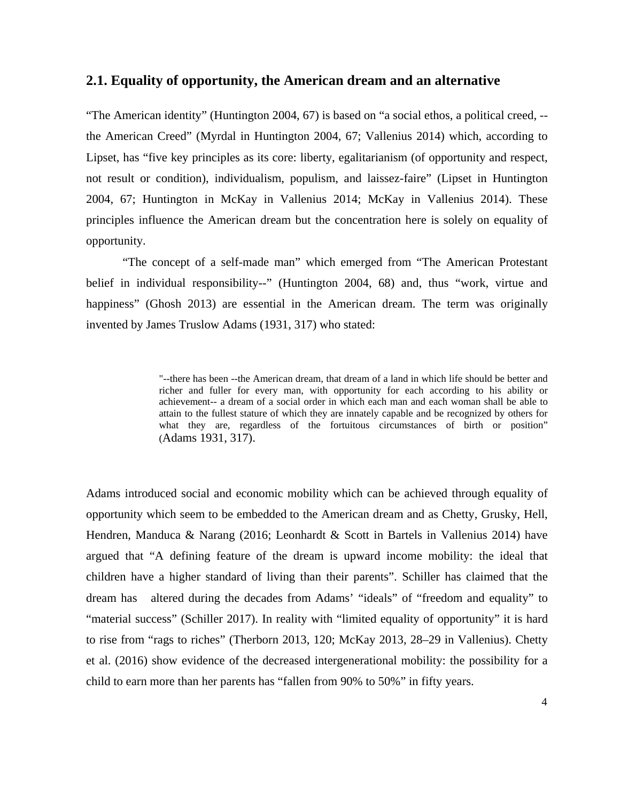#### **2.1. Equality of opportunity, the American dream and an alternative**

"The American identity" (Huntington 2004, 67) is based on "a social ethos, a political creed, - the American Creed" (Myrdal in Huntington 2004, 67; Vallenius 2014) which, according to Lipset, has "five key principles as its core: liberty, egalitarianism (of opportunity and respect, not result or condition), individualism, populism, and laissez-faire" (Lipset in Huntington 2004, 67; Huntington in McKay in Vallenius 2014; McKay in Vallenius 2014). These principles influence the American dream but the concentration here is solely on equality of opportunity.

 "The concept of a self-made man" which emerged from "The American Protestant belief in individual responsibility--" (Huntington 2004, 68) and, thus "work, virtue and happiness" (Ghosh 2013) are essential in the American dream. The term was originally invented by James Truslow Adams (1931, 317) who stated:

> "--there has been --the American dream, that dream of a land in which life should be better and richer and fuller for every man, with opportunity for each according to his ability or achievement-- a dream of a social order in which each man and each woman shall be able to attain to the fullest stature of which they are innately capable and be recognized by others for what they are, regardless of the fortuitous circumstances of birth or position" (Adams 1931, 317).

Adams introduced social and economic mobility which can be achieved through equality of opportunity which seem to be embedded to the American dream and as Chetty, Grusky, Hell, Hendren, Manduca & Narang (2016; Leonhardt & Scott in Bartels in Vallenius 2014) have argued that "A defining feature of the dream is upward income mobility: the ideal that children have a higher standard of living than their parents". Schiller has claimed that the dream has altered during the decades from Adams' "ideals" of "freedom and equality" to "material success" (Schiller 2017). In reality with "limited equality of opportunity" it is hard to rise from "rags to riches" (Therborn 2013, 120; McKay 2013, 28–29 in Vallenius). Chetty et al. (2016) show evidence of the decreased intergenerational mobility: the possibility for a child to earn more than her parents has "fallen from 90% to 50%" in fifty years.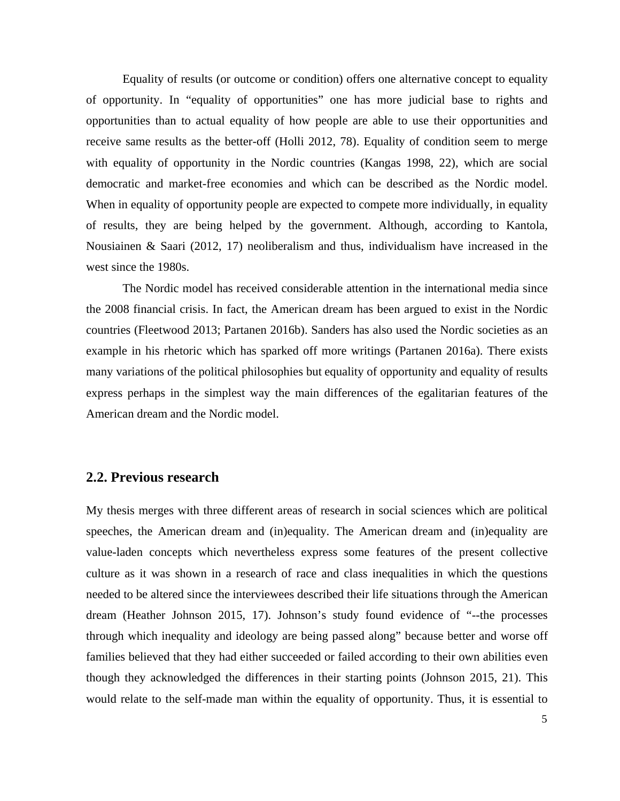Equality of results (or outcome or condition) offers one alternative concept to equality of opportunity. In "equality of opportunities" one has more judicial base to rights and opportunities than to actual equality of how people are able to use their opportunities and receive same results as the better-off (Holli 2012, 78). Equality of condition seem to merge with equality of opportunity in the Nordic countries (Kangas 1998, 22), which are social democratic and market-free economies and which can be described as the Nordic model. When in equality of opportunity people are expected to compete more individually, in equality of results, they are being helped by the government. Although, according to Kantola, Nousiainen & Saari (2012, 17) neoliberalism and thus, individualism have increased in the west since the 1980s.

 The Nordic model has received considerable attention in the international media since the 2008 financial crisis. In fact, the American dream has been argued to exist in the Nordic countries (Fleetwood 2013; Partanen 2016b). Sanders has also used the Nordic societies as an example in his rhetoric which has sparked off more writings (Partanen 2016a). There exists many variations of the political philosophies but equality of opportunity and equality of results express perhaps in the simplest way the main differences of the egalitarian features of the American dream and the Nordic model.

#### **2.2. Previous research**

My thesis merges with three different areas of research in social sciences which are political speeches, the American dream and (in)equality. The American dream and (in)equality are value-laden concepts which nevertheless express some features of the present collective culture as it was shown in a research of race and class inequalities in which the questions needed to be altered since the interviewees described their life situations through the American dream (Heather Johnson 2015, 17). Johnson's study found evidence of "--the processes through which inequality and ideology are being passed along" because better and worse off families believed that they had either succeeded or failed according to their own abilities even though they acknowledged the differences in their starting points (Johnson 2015, 21). This would relate to the self-made man within the equality of opportunity. Thus, it is essential to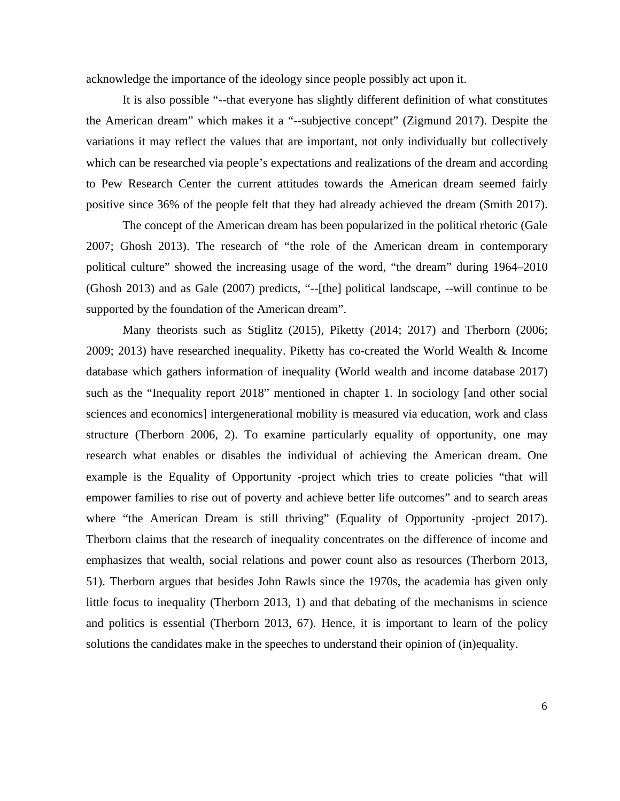acknowledge the importance of the ideology since people possibly act upon it.

 It is also possible "--that everyone has slightly different definition of what constitutes the American dream" which makes it a "--subjective concept" (Zigmund 2017). Despite the variations it may reflect the values that are important, not only individually but collectively which can be researched via people's expectations and realizations of the dream and according to Pew Research Center the current attitudes towards the American dream seemed fairly positive since 36% of the people felt that they had already achieved the dream (Smith 2017).

 The concept of the American dream has been popularized in the political rhetoric (Gale 2007; Ghosh 2013). The research of "the role of the American dream in contemporary political culture" showed the increasing usage of the word, "the dream" during 1964–2010 (Ghosh 2013) and as Gale (2007) predicts, "--[the] political landscape, --will continue to be supported by the foundation of the American dream".

Many theorists such as Stiglitz (2015), Piketty (2014; 2017) and Therborn (2006; 2009; 2013) have researched inequality. Piketty has co-created the World Wealth & Income database which gathers information of inequality (World wealth and income database 2017) such as the "Inequality report 2018" mentioned in chapter 1. In sociology [and other social sciences and economics] intergenerational mobility is measured via education, work and class structure (Therborn 2006, 2). To examine particularly equality of opportunity, one may research what enables or disables the individual of achieving the American dream. One example is the Equality of Opportunity -project which tries to create policies "that will empower families to rise out of poverty and achieve better life outcomes" and to search areas where "the American Dream is still thriving" (Equality of Opportunity -project 2017). Therborn claims that the research of inequality concentrates on the difference of income and emphasizes that wealth, social relations and power count also as resources (Therborn 2013, 51). Therborn argues that besides John Rawls since the 1970s, the academia has given only little focus to inequality (Therborn 2013, 1) and that debating of the mechanisms in science and politics is essential (Therborn 2013, 67). Hence, it is important to learn of the policy solutions the candidates make in the speeches to understand their opinion of (in)equality.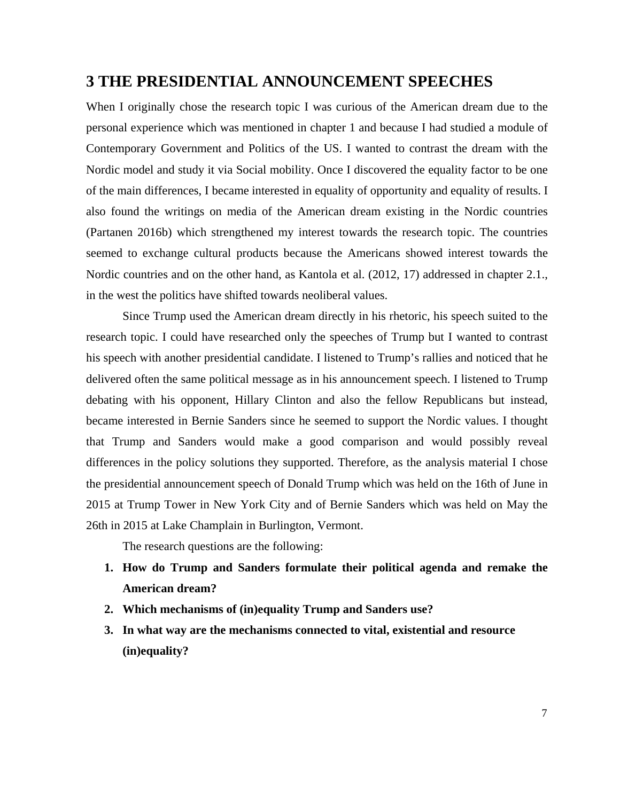# **3 THE PRESIDENTIAL ANNOUNCEMENT SPEECHES**

When I originally chose the research topic I was curious of the American dream due to the personal experience which was mentioned in chapter 1 and because I had studied a module of Contemporary Government and Politics of the US. I wanted to contrast the dream with the Nordic model and study it via Social mobility. Once I discovered the equality factor to be one of the main differences, I became interested in equality of opportunity and equality of results. I also found the writings on media of the American dream existing in the Nordic countries (Partanen 2016b) which strengthened my interest towards the research topic. The countries seemed to exchange cultural products because the Americans showed interest towards the Nordic countries and on the other hand, as Kantola et al. (2012, 17) addressed in chapter 2.1., in the west the politics have shifted towards neoliberal values.

 Since Trump used the American dream directly in his rhetoric, his speech suited to the research topic. I could have researched only the speeches of Trump but I wanted to contrast his speech with another presidential candidate. I listened to Trump's rallies and noticed that he delivered often the same political message as in his announcement speech. I listened to Trump debating with his opponent, Hillary Clinton and also the fellow Republicans but instead, became interested in Bernie Sanders since he seemed to support the Nordic values. I thought that Trump and Sanders would make a good comparison and would possibly reveal differences in the policy solutions they supported. Therefore, as the analysis material I chose the presidential announcement speech of Donald Trump which was held on the 16th of June in 2015 at Trump Tower in New York City and of Bernie Sanders which was held on May the 26th in 2015 at Lake Champlain in Burlington, Vermont.

The research questions are the following:

- **1. How do Trump and Sanders formulate their political agenda and remake the American dream?**
- **2. Which mechanisms of (in)equality Trump and Sanders use?**
- **3. In what way are the mechanisms connected to vital, existential and resource (in)equality?**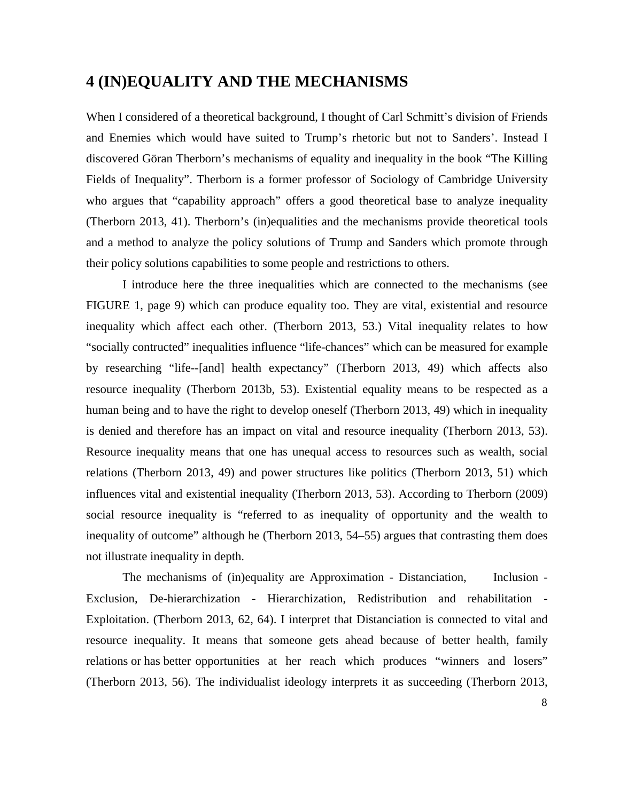# **4 (IN)EQUALITY AND THE MECHANISMS**

When I considered of a theoretical background, I thought of Carl Schmitt's division of Friends and Enemies which would have suited to Trump's rhetoric but not to Sanders'. Instead I discovered Göran Therborn's mechanisms of equality and inequality in the book "The Killing Fields of Inequality". Therborn is a former professor of Sociology of Cambridge University who argues that "capability approach" offers a good theoretical base to analyze inequality (Therborn 2013, 41). Therborn's (in)equalities and the mechanisms provide theoretical tools and a method to analyze the policy solutions of Trump and Sanders which promote through their policy solutions capabilities to some people and restrictions to others.

 I introduce here the three inequalities which are connected to the mechanisms (see FIGURE 1, page 9) which can produce equality too. They are vital, existential and resource inequality which affect each other. (Therborn 2013, 53.) Vital inequality relates to how "socially contructed" inequalities influence "life-chances" which can be measured for example by researching "life--[and] health expectancy" (Therborn 2013, 49) which affects also resource inequality (Therborn 2013b, 53). Existential equality means to be respected as a human being and to have the right to develop oneself (Therborn 2013, 49) which in inequality is denied and therefore has an impact on vital and resource inequality (Therborn 2013, 53). Resource inequality means that one has unequal access to resources such as wealth, social relations (Therborn 2013, 49) and power structures like politics (Therborn 2013, 51) which influences vital and existential inequality (Therborn 2013, 53). According to Therborn (2009) social resource inequality is "referred to as inequality of opportunity and the wealth to inequality of outcome" although he (Therborn 2013, 54–55) argues that contrasting them does not illustrate inequality in depth.

The mechanisms of (in)equality are Approximation - Distanciation, Inclusion - Exclusion, De-hierarchization - Hierarchization, Redistribution and rehabilitation - Exploitation. (Therborn 2013, 62, 64). I interpret that Distanciation is connected to vital and resource inequality. It means that someone gets ahead because of better health, family relations or has better opportunities at her reach which produces "winners and losers" (Therborn 2013, 56). The individualist ideology interprets it as succeeding (Therborn 2013,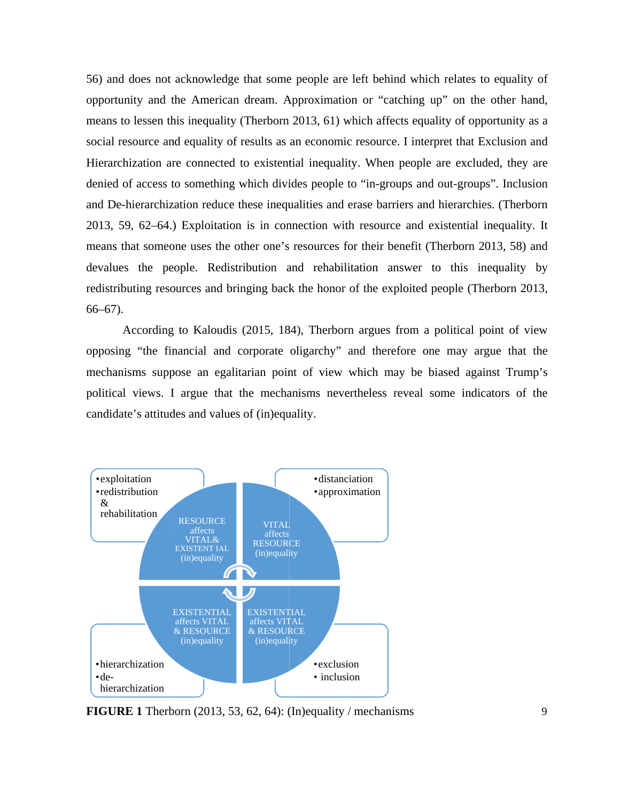56) and does not acknowledge that some people are left behind which relates to equality of opportunity and the American dream. Approximation or "catching up" on the other hand, means to lessen this inequality (Therborn 2013, 61) which affects equality of opportunity as a social resource and equality of results as an economic resource. I interpret that Exclusion and Hierarchization are connected to existential inequality. When people are excluded, they are denied of access to something which divides people to "in-groups and out-groups". Inclusion and De-hierarchization reduce these inequalities and erase barriers and hierarchies. (Therborn 2013, 59, 62–64.) Exploitation is in connection with resource and existential inequality. It means that someone uses the other one's resources for their benefit (Therborn 2013, 58) and devalues the people. Redistribution and rehabilitation answer to this inequality by redistributing resources and bringing back the honor of the exploited people (Therborn 2013, 66–67 7).

opposing "the financial and corporate oligarchy" and therefore one may argue that the mechanisms suppose an egalitarian point of view which may be biased against Trump's political views. I argue that the mechanisms nevertheless reveal some indicators of the candidate's attitudes and values of (in)equality. According to Kaloudis (2015, 184), Therborn argues from a political point of view

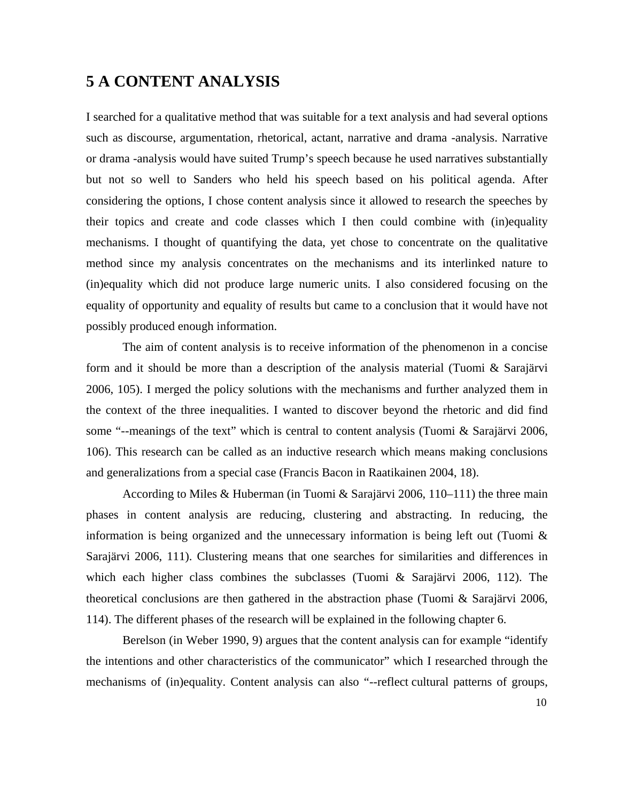# **5 A CONTENT ANALYSIS**

I searched for a qualitative method that was suitable for a text analysis and had several options such as discourse, argumentation, rhetorical, actant, narrative and drama -analysis. Narrative or drama -analysis would have suited Trump's speech because he used narratives substantially but not so well to Sanders who held his speech based on his political agenda. After considering the options, I chose content analysis since it allowed to research the speeches by their topics and create and code classes which I then could combine with (in)equality mechanisms. I thought of quantifying the data, yet chose to concentrate on the qualitative method since my analysis concentrates on the mechanisms and its interlinked nature to (in)equality which did not produce large numeric units. I also considered focusing on the equality of opportunity and equality of results but came to a conclusion that it would have not possibly produced enough information.

 The aim of content analysis is to receive information of the phenomenon in a concise form and it should be more than a description of the analysis material (Tuomi & Sarajärvi 2006, 105). I merged the policy solutions with the mechanisms and further analyzed them in the context of the three inequalities. I wanted to discover beyond the rhetoric and did find some "--meanings of the text" which is central to content analysis (Tuomi & Sarajärvi 2006, 106). This research can be called as an inductive research which means making conclusions and generalizations from a special case (Francis Bacon in Raatikainen 2004, 18).

 According to Miles & Huberman (in Tuomi & Sarajärvi 2006, 110–111) the three main phases in content analysis are reducing, clustering and abstracting. In reducing, the information is being organized and the unnecessary information is being left out (Tuomi  $\&$ Sarajärvi 2006, 111). Clustering means that one searches for similarities and differences in which each higher class combines the subclasses (Tuomi & Sarajärvi 2006, 112). The theoretical conclusions are then gathered in the abstraction phase (Tuomi & Sarajärvi 2006, 114). The different phases of the research will be explained in the following chapter 6.

 Berelson (in Weber 1990, 9) argues that the content analysis can for example "identify the intentions and other characteristics of the communicator" which I researched through the mechanisms of (in)equality. Content analysis can also "--reflect cultural patterns of groups,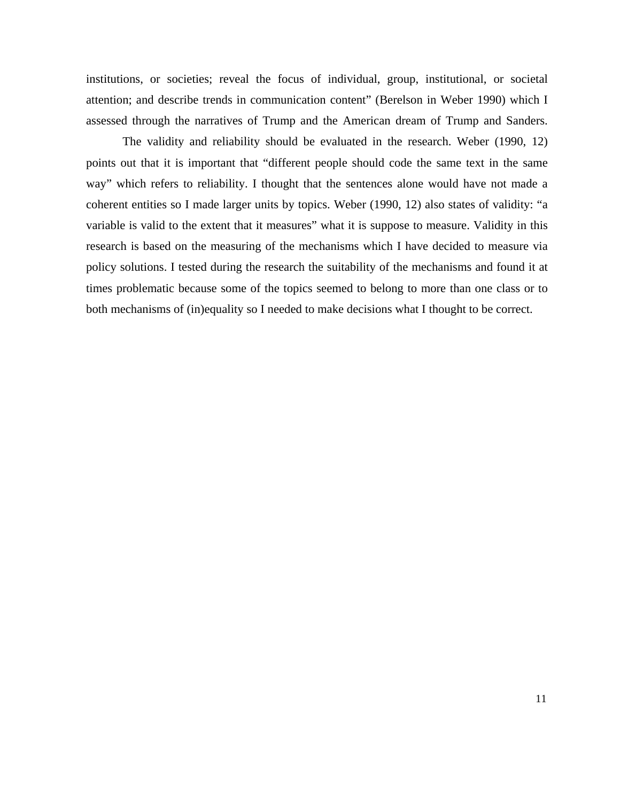institutions, or societies; reveal the focus of individual, group, institutional, or societal attention; and describe trends in communication content" (Berelson in Weber 1990) which I assessed through the narratives of Trump and the American dream of Trump and Sanders.

 The validity and reliability should be evaluated in the research. Weber (1990, 12) points out that it is important that "different people should code the same text in the same way" which refers to reliability. I thought that the sentences alone would have not made a coherent entities so I made larger units by topics. Weber (1990, 12) also states of validity: "a variable is valid to the extent that it measures" what it is suppose to measure. Validity in this research is based on the measuring of the mechanisms which I have decided to measure via policy solutions. I tested during the research the suitability of the mechanisms and found it at times problematic because some of the topics seemed to belong to more than one class or to both mechanisms of (in)equality so I needed to make decisions what I thought to be correct.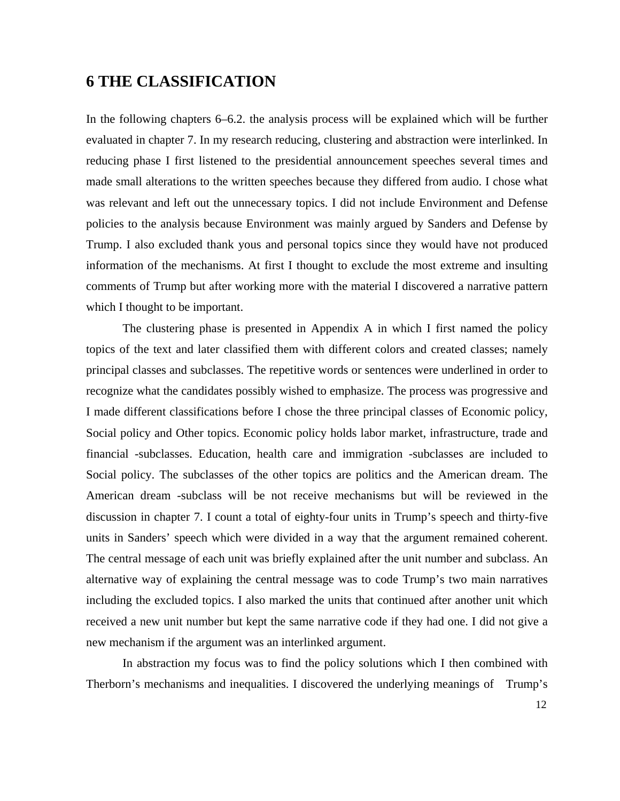# **6 THE CLASSIFICATION**

In the following chapters 6–6.2. the analysis process will be explained which will be further evaluated in chapter 7. In my research reducing, clustering and abstraction were interlinked. In reducing phase I first listened to the presidential announcement speeches several times and made small alterations to the written speeches because they differed from audio. I chose what was relevant and left out the unnecessary topics. I did not include Environment and Defense policies to the analysis because Environment was mainly argued by Sanders and Defense by Trump. I also excluded thank yous and personal topics since they would have not produced information of the mechanisms. At first I thought to exclude the most extreme and insulting comments of Trump but after working more with the material I discovered a narrative pattern which I thought to be important.

 The clustering phase is presented in Appendix A in which I first named the policy topics of the text and later classified them with different colors and created classes; namely principal classes and subclasses. The repetitive words or sentences were underlined in order to recognize what the candidates possibly wished to emphasize. The process was progressive and I made different classifications before I chose the three principal classes of Economic policy, Social policy and Other topics. Economic policy holds labor market, infrastructure, trade and financial -subclasses. Education, health care and immigration -subclasses are included to Social policy. The subclasses of the other topics are politics and the American dream. The American dream -subclass will be not receive mechanisms but will be reviewed in the discussion in chapter 7. I count a total of eighty-four units in Trump's speech and thirty-five units in Sanders' speech which were divided in a way that the argument remained coherent. The central message of each unit was briefly explained after the unit number and subclass. An alternative way of explaining the central message was to code Trump's two main narratives including the excluded topics. I also marked the units that continued after another unit which received a new unit number but kept the same narrative code if they had one. I did not give a new mechanism if the argument was an interlinked argument.

 In abstraction my focus was to find the policy solutions which I then combined with Therborn's mechanisms and inequalities. I discovered the underlying meanings of Trump's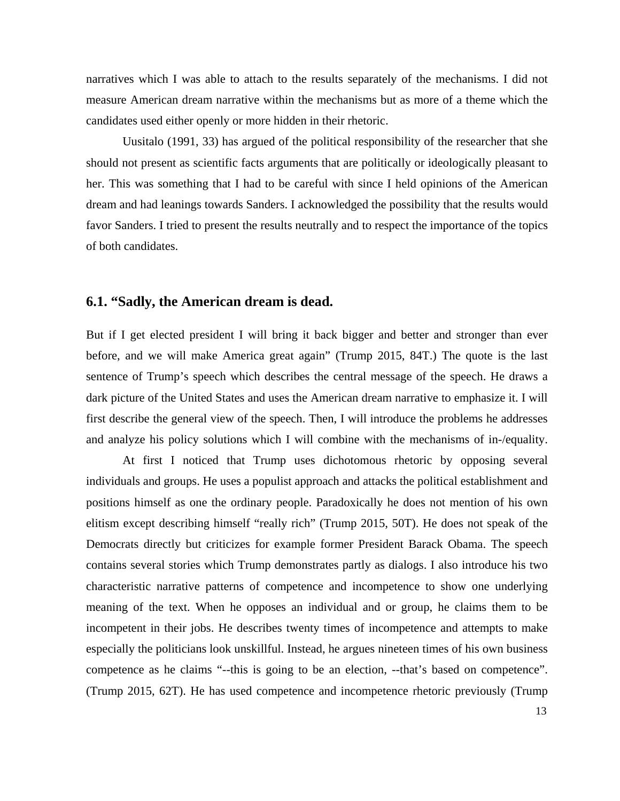narratives which I was able to attach to the results separately of the mechanisms. I did not measure American dream narrative within the mechanisms but as more of a theme which the candidates used either openly or more hidden in their rhetoric.

 Uusitalo (1991, 33) has argued of the political responsibility of the researcher that she should not present as scientific facts arguments that are politically or ideologically pleasant to her. This was something that I had to be careful with since I held opinions of the American dream and had leanings towards Sanders. I acknowledged the possibility that the results would favor Sanders. I tried to present the results neutrally and to respect the importance of the topics of both candidates.

# **6.1. "Sadly, the American dream is dead.**

But if I get elected president I will bring it back bigger and better and stronger than ever before, and we will make America great again" (Trump 2015, 84T.) The quote is the last sentence of Trump's speech which describes the central message of the speech. He draws a dark picture of the United States and uses the American dream narrative to emphasize it. I will first describe the general view of the speech. Then, I will introduce the problems he addresses and analyze his policy solutions which I will combine with the mechanisms of in-/equality.

 At first I noticed that Trump uses dichotomous rhetoric by opposing several individuals and groups. He uses a populist approach and attacks the political establishment and positions himself as one the ordinary people. Paradoxically he does not mention of his own elitism except describing himself "really rich" (Trump 2015, 50T). He does not speak of the Democrats directly but criticizes for example former President Barack Obama. The speech contains several stories which Trump demonstrates partly as dialogs. I also introduce his two characteristic narrative patterns of competence and incompetence to show one underlying meaning of the text. When he opposes an individual and or group, he claims them to be incompetent in their jobs. He describes twenty times of incompetence and attempts to make especially the politicians look unskillful. Instead, he argues nineteen times of his own business competence as he claims "--this is going to be an election, --that's based on competence". (Trump 2015, 62T). He has used competence and incompetence rhetoric previously (Trump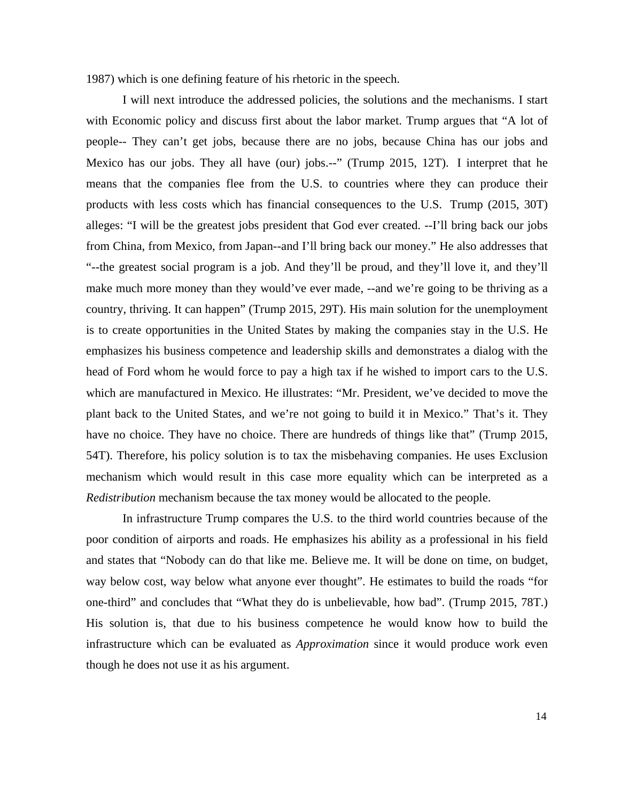1987) which is one defining feature of his rhetoric in the speech.

 I will next introduce the addressed policies, the solutions and the mechanisms. I start with Economic policy and discuss first about the labor market. Trump argues that "A lot of people-- They can't get jobs, because there are no jobs, because China has our jobs and Mexico has our jobs. They all have (our) jobs.--" (Trump 2015, 12T). I interpret that he means that the companies flee from the U.S. to countries where they can produce their products with less costs which has financial consequences to the U.S. Trump (2015, 30T) alleges: "I will be the greatest jobs president that God ever created. --I'll bring back our jobs from China, from Mexico, from Japan--and I'll bring back our money." He also addresses that "--the greatest social program is a job. And they'll be proud, and they'll love it, and they'll make much more money than they would've ever made, --and we're going to be thriving as a country, thriving. It can happen" (Trump 2015, 29T). His main solution for the unemployment is to create opportunities in the United States by making the companies stay in the U.S. He emphasizes his business competence and leadership skills and demonstrates a dialog with the head of Ford whom he would force to pay a high tax if he wished to import cars to the U.S. which are manufactured in Mexico. He illustrates: "Mr. President, we've decided to move the plant back to the United States, and we're not going to build it in Mexico." That's it. They have no choice. They have no choice. There are hundreds of things like that" (Trump 2015, 54T). Therefore, his policy solution is to tax the misbehaving companies. He uses Exclusion mechanism which would result in this case more equality which can be interpreted as a *Redistribution* mechanism because the tax money would be allocated to the people.

 In infrastructure Trump compares the U.S. to the third world countries because of the poor condition of airports and roads. He emphasizes his ability as a professional in his field and states that "Nobody can do that like me. Believe me. It will be done on time, on budget, way below cost, way below what anyone ever thought". He estimates to build the roads "for one-third" and concludes that "What they do is unbelievable, how bad". (Trump 2015, 78T.) His solution is, that due to his business competence he would know how to build the infrastructure which can be evaluated as *Approximation* since it would produce work even though he does not use it as his argument.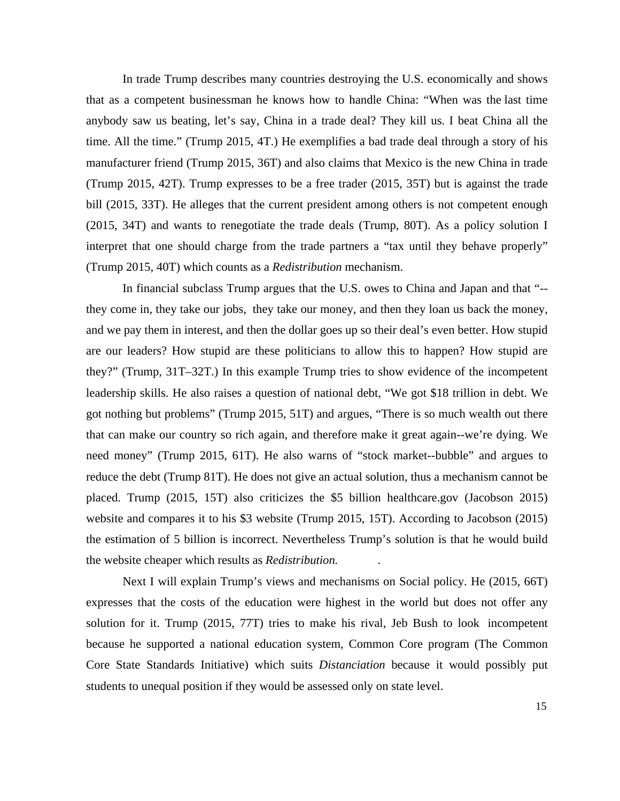In trade Trump describes many countries destroying the U.S. economically and shows that as a competent businessman he knows how to handle China: "When was the last time anybody saw us beating, let's say, China in a trade deal? They kill us. I beat China all the time. All the time." (Trump 2015, 4T.) He exemplifies a bad trade deal through a story of his manufacturer friend (Trump 2015, 36T) and also claims that Mexico is the new China in trade (Trump 2015, 42T). Trump expresses to be a free trader (2015, 35T) but is against the trade bill (2015, 33T). He alleges that the current president among others is not competent enough (2015, 34T) and wants to renegotiate the trade deals (Trump, 80T). As a policy solution I interpret that one should charge from the trade partners a "tax until they behave properly" (Trump 2015, 40T) which counts as a *Redistribution* mechanism.

 In financial subclass Trump argues that the U.S. owes to China and Japan and that "- they come in, they take our jobs, they take our money, and then they loan us back the money, and we pay them in interest, and then the dollar goes up so their deal's even better. How stupid are our leaders? How stupid are these politicians to allow this to happen? How stupid are they?" (Trump, 31T–32T.) In this example Trump tries to show evidence of the incompetent leadership skills. He also raises a question of national debt, "We got \$18 trillion in debt. We got nothing but problems" (Trump 2015, 51T) and argues, "There is so much wealth out there that can make our country so rich again, and therefore make it great again--we're dying. We need money" (Trump 2015, 61T). He also warns of "stock market--bubble" and argues to reduce the debt (Trump 81T). He does not give an actual solution, thus a mechanism cannot be placed. Trump (2015, 15T) also criticizes the \$5 billion healthcare.gov (Jacobson 2015) website and compares it to his \$3 website (Trump 2015, 15T). According to Jacobson (2015) the estimation of 5 billion is incorrect. Nevertheless Trump's solution is that he would build the website cheaper which results as *Redistribution.* .

 Next I will explain Trump's views and mechanisms on Social policy. He (2015, 66T) expresses that the costs of the education were highest in the world but does not offer any solution for it. Trump (2015, 77T) tries to make his rival, Jeb Bush to look incompetent because he supported a national education system, Common Core program (The Common Core State Standards Initiative) which suits *Distanciation* because it would possibly put students to unequal position if they would be assessed only on state level.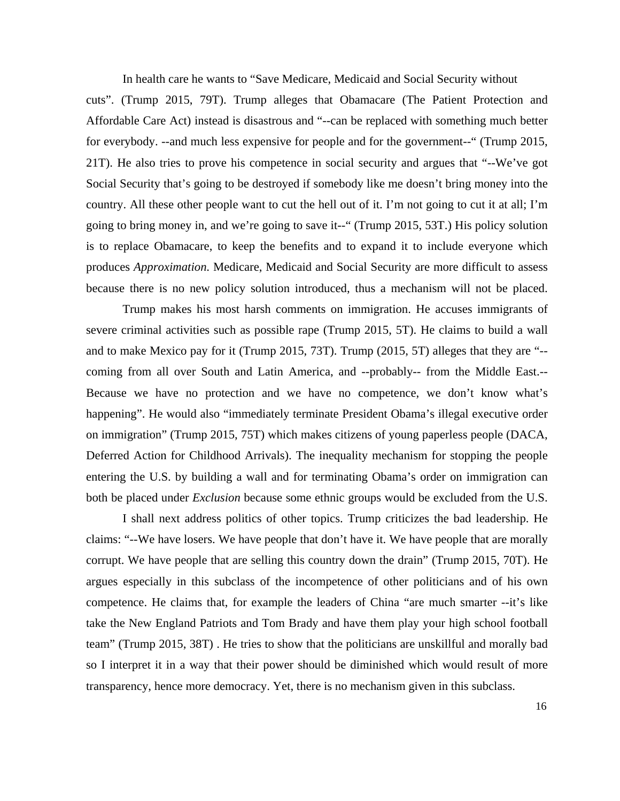In health care he wants to "Save Medicare, Medicaid and Social Security without

cuts". (Trump 2015, 79T). Trump alleges that Obamacare (The Patient Protection and Affordable Care Act) instead is disastrous and "--can be replaced with something much better for everybody. --and much less expensive for people and for the government--" (Trump 2015, 21T). He also tries to prove his competence in social security and argues that "--We've got Social Security that's going to be destroyed if somebody like me doesn't bring money into the country. All these other people want to cut the hell out of it. I'm not going to cut it at all; I'm going to bring money in, and we're going to save it--" (Trump 2015, 53T.) His policy solution is to replace Obamacare, to keep the benefits and to expand it to include everyone which produces *Approximation*. Medicare, Medicaid and Social Security are more difficult to assess because there is no new policy solution introduced, thus a mechanism will not be placed.

 Trump makes his most harsh comments on immigration. He accuses immigrants of severe criminal activities such as possible rape (Trump 2015, 5T). He claims to build a wall and to make Mexico pay for it (Trump 2015, 73T). Trump (2015, 5T) alleges that they are "- coming from all over South and Latin America, and --probably-- from the Middle East.-- Because we have no protection and we have no competence, we don't know what's happening". He would also "immediately terminate President Obama's illegal executive order on immigration" (Trump 2015, 75T) which makes citizens of young paperless people (DACA, Deferred Action for Childhood Arrivals). The inequality mechanism for stopping the people entering the U.S. by building a wall and for terminating Obama's order on immigration can both be placed under *Exclusion* because some ethnic groups would be excluded from the U.S.

 I shall next address politics of other topics. Trump criticizes the bad leadership. He claims: "--We have losers. We have people that don't have it. We have people that are morally corrupt. We have people that are selling this country down the drain" (Trump 2015, 70T). He argues especially in this subclass of the incompetence of other politicians and of his own competence. He claims that, for example the leaders of China "are much smarter --it's like take the New England Patriots and Tom Brady and have them play your high school football team" (Trump 2015, 38T) . He tries to show that the politicians are unskillful and morally bad so I interpret it in a way that their power should be diminished which would result of more transparency, hence more democracy. Yet, there is no mechanism given in this subclass.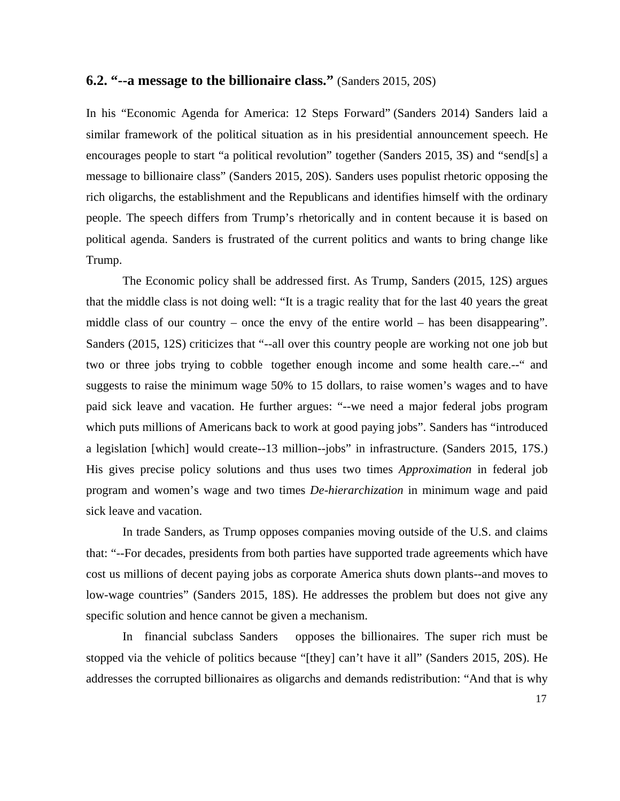# **6.2. "--a message to the billionaire class."** (Sanders 2015, 20S)

In his "Economic Agenda for America: 12 Steps Forward" (Sanders 2014) Sanders laid a similar framework of the political situation as in his presidential announcement speech. He encourages people to start "a political revolution" together (Sanders 2015, 3S) and "send[s] a message to billionaire class" (Sanders 2015, 20S). Sanders uses populist rhetoric opposing the rich oligarchs, the establishment and the Republicans and identifies himself with the ordinary people. The speech differs from Trump's rhetorically and in content because it is based on political agenda. Sanders is frustrated of the current politics and wants to bring change like Trump.

 The Economic policy shall be addressed first. As Trump, Sanders (2015, 12S) argues that the middle class is not doing well: "It is a tragic reality that for the last 40 years the great middle class of our country – once the envy of the entire world – has been disappearing". Sanders (2015, 12S) criticizes that "--all over this country people are working not one job but two or three jobs trying to cobble together enough income and some health care.--" and suggests to raise the minimum wage 50% to 15 dollars, to raise women's wages and to have paid sick leave and vacation. He further argues: "--we need a major federal jobs program which puts millions of Americans back to work at good paying jobs". Sanders has "introduced a legislation [which] would create--13 million--jobs" in infrastructure. (Sanders 2015, 17S.) His gives precise policy solutions and thus uses two times *Approximation* in federal job program and women's wage and two times *De-hierarchization* in minimum wage and paid sick leave and vacation.

 In trade Sanders, as Trump opposes companies moving outside of the U.S. and claims that: "--For decades, presidents from both parties have supported trade agreements which have cost us millions of decent paying jobs as corporate America shuts down plants--and moves to low-wage countries" (Sanders 2015, 18S). He addresses the problem but does not give any specific solution and hence cannot be given a mechanism.

 In financial subclass Sanders opposes the billionaires. The super rich must be stopped via the vehicle of politics because "[they] can't have it all" (Sanders 2015, 20S). He addresses the corrupted billionaires as oligarchs and demands redistribution: "And that is why

17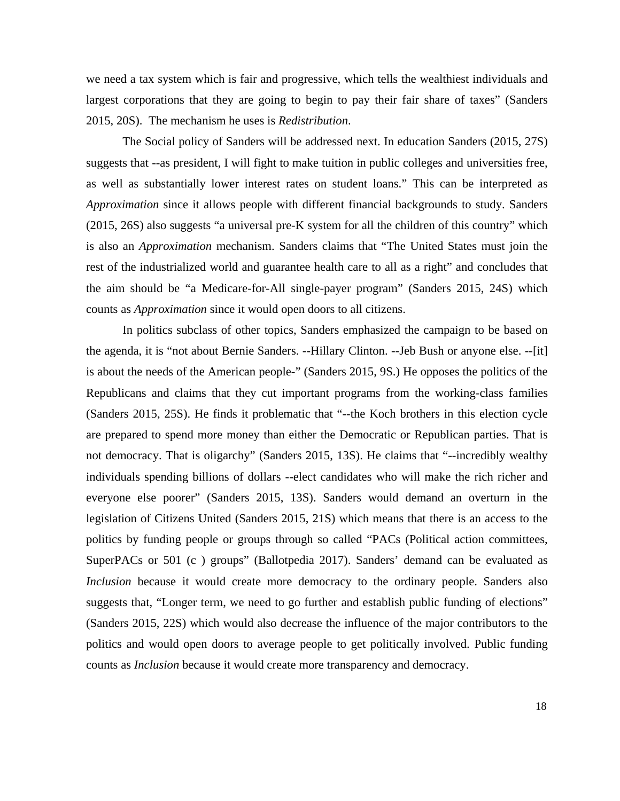we need a tax system which is fair and progressive, which tells the wealthiest individuals and largest corporations that they are going to begin to pay their fair share of taxes" (Sanders 2015, 20S). The mechanism he uses is *Redistribution*.

 The Social policy of Sanders will be addressed next. In education Sanders (2015, 27S) suggests that --as president, I will fight to make tuition in public colleges and universities free, as well as substantially lower interest rates on student loans." This can be interpreted as *Approximation* since it allows people with different financial backgrounds to study. Sanders (2015, 26S) also suggests "a universal pre-K system for all the children of this country" which is also an *Approximation* mechanism. Sanders claims that "The United States must join the rest of the industrialized world and guarantee health care to all as a right" and concludes that the aim should be "a Medicare-for-All single-payer program" (Sanders 2015, 24S) which counts as *Approximation* since it would open doors to all citizens.

 In politics subclass of other topics, Sanders emphasized the campaign to be based on the agenda, it is "not about Bernie Sanders. --Hillary Clinton. --Jeb Bush or anyone else. --[it] is about the needs of the American people-" (Sanders 2015, 9S.) He opposes the politics of the Republicans and claims that they cut important programs from the working-class families (Sanders 2015, 25S). He finds it problematic that "--the Koch brothers in this election cycle are prepared to spend more money than either the Democratic or Republican parties. That is not democracy. That is oligarchy" (Sanders 2015, 13S). He claims that "--incredibly wealthy individuals spending billions of dollars --elect candidates who will make the rich richer and everyone else poorer" (Sanders 2015, 13S). Sanders would demand an overturn in the legislation of Citizens United (Sanders 2015, 21S) which means that there is an access to the politics by funding people or groups through so called "PACs (Political action committees, SuperPACs or 501 (c ) groups" (Ballotpedia 2017). Sanders' demand can be evaluated as *Inclusion* because it would create more democracy to the ordinary people. Sanders also suggests that, "Longer term, we need to go further and establish public funding of elections" (Sanders 2015, 22S) which would also decrease the influence of the major contributors to the politics and would open doors to average people to get politically involved. Public funding counts as *Inclusion* because it would create more transparency and democracy.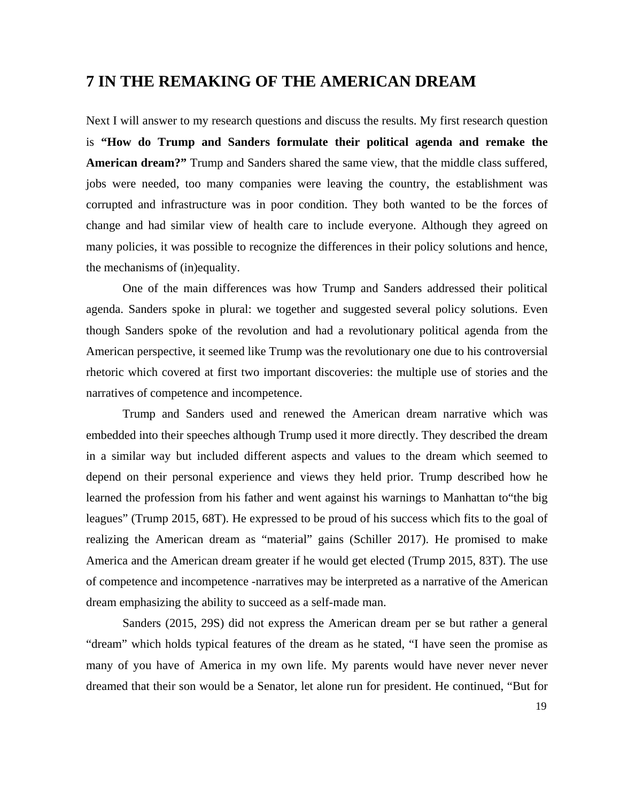# **7 IN THE REMAKING OF THE AMERICAN DREAM**

Next I will answer to my research questions and discuss the results. My first research question is **"How do Trump and Sanders formulate their political agenda and remake the American dream?"** Trump and Sanders shared the same view, that the middle class suffered, jobs were needed, too many companies were leaving the country, the establishment was corrupted and infrastructure was in poor condition. They both wanted to be the forces of change and had similar view of health care to include everyone. Although they agreed on many policies, it was possible to recognize the differences in their policy solutions and hence, the mechanisms of (in)equality.

 One of the main differences was how Trump and Sanders addressed their political agenda. Sanders spoke in plural: we together and suggested several policy solutions. Even though Sanders spoke of the revolution and had a revolutionary political agenda from the American perspective, it seemed like Trump was the revolutionary one due to his controversial rhetoric which covered at first two important discoveries: the multiple use of stories and the narratives of competence and incompetence.

 Trump and Sanders used and renewed the American dream narrative which was embedded into their speeches although Trump used it more directly. They described the dream in a similar way but included different aspects and values to the dream which seemed to depend on their personal experience and views they held prior. Trump described how he learned the profession from his father and went against his warnings to Manhattan to"the big leagues" (Trump 2015, 68T). He expressed to be proud of his success which fits to the goal of realizing the American dream as "material" gains (Schiller 2017). He promised to make America and the American dream greater if he would get elected (Trump 2015, 83T). The use of competence and incompetence -narratives may be interpreted as a narrative of the American dream emphasizing the ability to succeed as a self-made man.

 Sanders (2015, 29S) did not express the American dream per se but rather a general "dream" which holds typical features of the dream as he stated, "I have seen the promise as many of you have of America in my own life. My parents would have never never never dreamed that their son would be a Senator, let alone run for president. He continued, "But for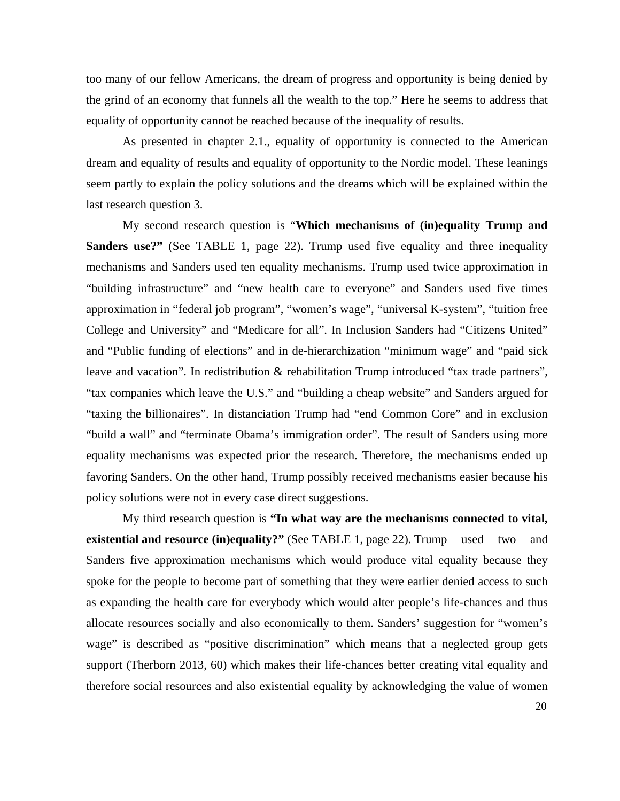too many of our fellow Americans, the dream of progress and opportunity is being denied by the grind of an economy that funnels all the wealth to the top." Here he seems to address that equality of opportunity cannot be reached because of the inequality of results.

 As presented in chapter 2.1., equality of opportunity is connected to the American dream and equality of results and equality of opportunity to the Nordic model. These leanings seem partly to explain the policy solutions and the dreams which will be explained within the last research question 3.

 My second research question is "**Which mechanisms of (in)equality Trump and Sanders use?"** (See TABLE 1, page 22). Trump used five equality and three inequality mechanisms and Sanders used ten equality mechanisms. Trump used twice approximation in "building infrastructure" and "new health care to everyone" and Sanders used five times approximation in "federal job program", "women's wage", "universal K-system", "tuition free College and University" and "Medicare for all". In Inclusion Sanders had "Citizens United" and "Public funding of elections" and in de-hierarchization "minimum wage" and "paid sick leave and vacation". In redistribution & rehabilitation Trump introduced "tax trade partners", "tax companies which leave the U.S." and "building a cheap website" and Sanders argued for "taxing the billionaires". In distanciation Trump had "end Common Core" and in exclusion "build a wall" and "terminate Obama's immigration order". The result of Sanders using more equality mechanisms was expected prior the research. Therefore, the mechanisms ended up favoring Sanders. On the other hand, Trump possibly received mechanisms easier because his policy solutions were not in every case direct suggestions.

My third research question is **"In what way are the mechanisms connected to vital, existential and resource (in)equality?"** (See TABLE 1, page 22). Trump used two and Sanders five approximation mechanisms which would produce vital equality because they spoke for the people to become part of something that they were earlier denied access to such as expanding the health care for everybody which would alter people's life-chances and thus allocate resources socially and also economically to them. Sanders' suggestion for "women's wage" is described as "positive discrimination" which means that a neglected group gets support (Therborn 2013, 60) which makes their life-chances better creating vital equality and therefore social resources and also existential equality by acknowledging the value of women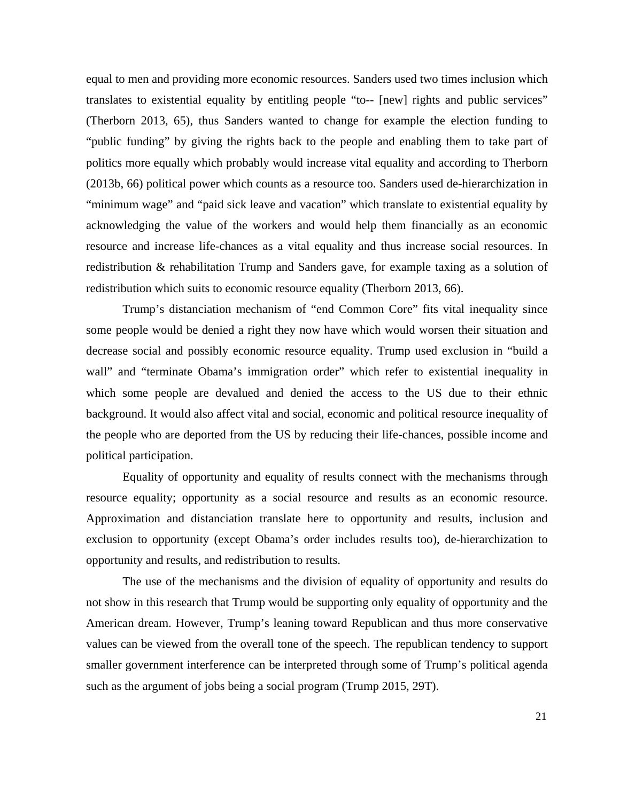equal to men and providing more economic resources. Sanders used two times inclusion which translates to existential equality by entitling people "to-- [new] rights and public services" (Therborn 2013, 65), thus Sanders wanted to change for example the election funding to "public funding" by giving the rights back to the people and enabling them to take part of politics more equally which probably would increase vital equality and according to Therborn (2013b, 66) political power which counts as a resource too. Sanders used de-hierarchization in "minimum wage" and "paid sick leave and vacation" which translate to existential equality by acknowledging the value of the workers and would help them financially as an economic resource and increase life-chances as a vital equality and thus increase social resources. In redistribution & rehabilitation Trump and Sanders gave, for example taxing as a solution of redistribution which suits to economic resource equality (Therborn 2013, 66).

 Trump's distanciation mechanism of "end Common Core" fits vital inequality since some people would be denied a right they now have which would worsen their situation and decrease social and possibly economic resource equality. Trump used exclusion in "build a wall" and "terminate Obama's immigration order" which refer to existential inequality in which some people are devalued and denied the access to the US due to their ethnic background. It would also affect vital and social, economic and political resource inequality of the people who are deported from the US by reducing their life-chances, possible income and political participation.

 Equality of opportunity and equality of results connect with the mechanisms through resource equality; opportunity as a social resource and results as an economic resource. Approximation and distanciation translate here to opportunity and results, inclusion and exclusion to opportunity (except Obama's order includes results too), de-hierarchization to opportunity and results, and redistribution to results.

 The use of the mechanisms and the division of equality of opportunity and results do not show in this research that Trump would be supporting only equality of opportunity and the American dream. However, Trump's leaning toward Republican and thus more conservative values can be viewed from the overall tone of the speech. The republican tendency to support smaller government interference can be interpreted through some of Trump's political agenda such as the argument of jobs being a social program (Trump 2015, 29T).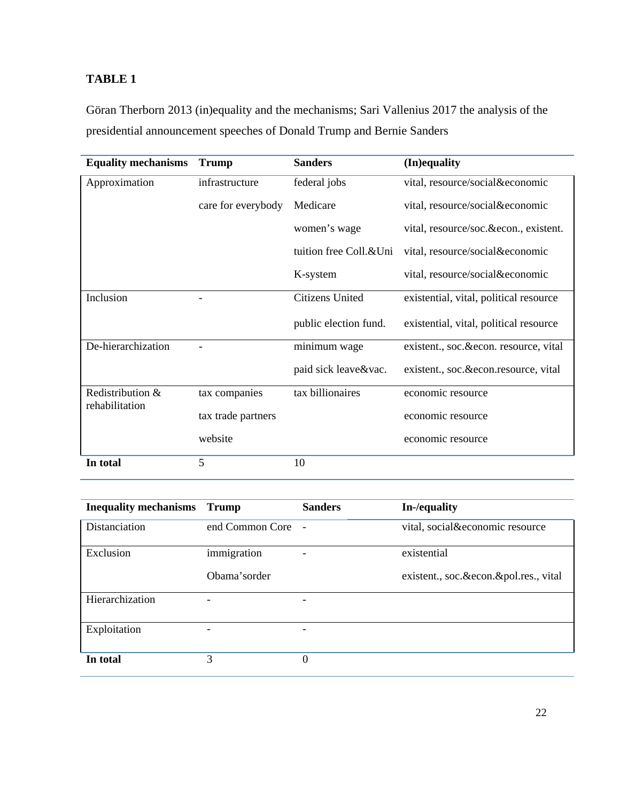# **TABLE 1**

Göran Therborn 2013 (in)equality and the mechanisms; Sari Vallenius 2017 the analysis of the presidential announcement speeches of Donald Trump and Bernie Sanders

| <b>Equality mechanisms</b>         | <b>Trump</b>       | <b>Sanders</b>         | (In)equality                            |
|------------------------------------|--------------------|------------------------|-----------------------------------------|
| Approximation                      | infrastructure     | federal jobs           | vital, resource/social&economic         |
|                                    | care for everybody | Medicare               | vital, resource/social&economic         |
|                                    |                    | women's wage           | vital, resource/soc. & econ., existent. |
|                                    |                    | tuition free Coll.&Uni | vital, resource/social&economic         |
|                                    |                    | K-system               | vital, resource/social&economic         |
| Inclusion                          |                    | <b>Citizens United</b> | existential, vital, political resource  |
|                                    |                    | public election fund.  | existential, vital, political resource  |
| De-hierarchization                 |                    | minimum wage           | existent., soc. & econ. resource, vital |
|                                    |                    | paid sick leave&vac.   | existent., soc. & econ. resource, vital |
| Redistribution &<br>rehabilitation | tax companies      | tax billionaires       | economic resource                       |
|                                    | tax trade partners |                        | economic resource                       |
|                                    | website            |                        | economic resource                       |
| In total                           | 5                  | 10                     |                                         |

| <b>Inequality mechanisms</b> | <b>Trump</b>      | <b>Sanders</b> | In-/equality                              |
|------------------------------|-------------------|----------------|-------------------------------------------|
| Distanciation                | end Common Core - |                | vital, social&economic resource           |
| Exclusion                    | immigration       | -              | existential                               |
|                              | Obama'sorder      |                | existent., soc. & econ. & pol.res., vital |
| Hierarchization              | -                 | -              |                                           |
| Exploitation                 | ۰                 | -              |                                           |
| In total                     | 3                 | 0              |                                           |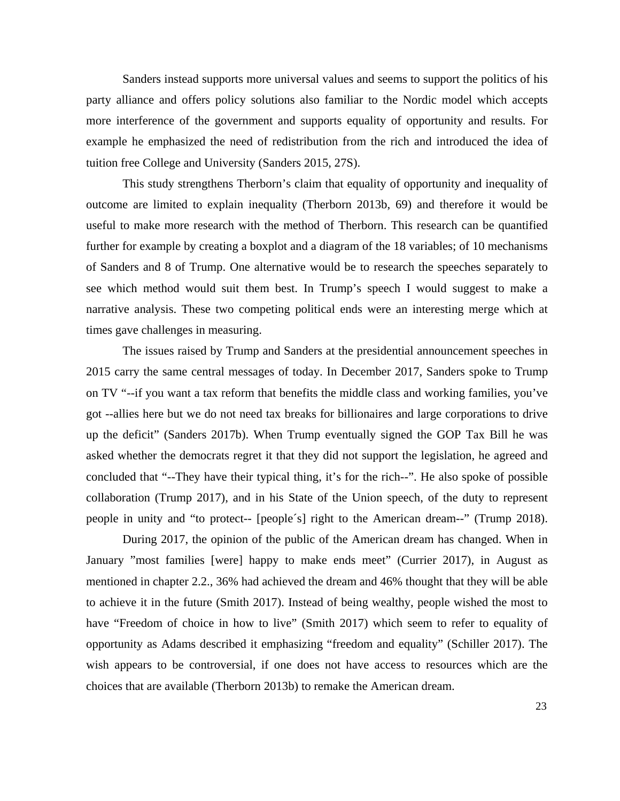Sanders instead supports more universal values and seems to support the politics of his party alliance and offers policy solutions also familiar to the Nordic model which accepts more interference of the government and supports equality of opportunity and results. For example he emphasized the need of redistribution from the rich and introduced the idea of tuition free College and University (Sanders 2015, 27S).

 This study strengthens Therborn's claim that equality of opportunity and inequality of outcome are limited to explain inequality (Therborn 2013b, 69) and therefore it would be useful to make more research with the method of Therborn. This research can be quantified further for example by creating a boxplot and a diagram of the 18 variables; of 10 mechanisms of Sanders and 8 of Trump. One alternative would be to research the speeches separately to see which method would suit them best. In Trump's speech I would suggest to make a narrative analysis. These two competing political ends were an interesting merge which at times gave challenges in measuring.

 The issues raised by Trump and Sanders at the presidential announcement speeches in 2015 carry the same central messages of today. In December 2017, Sanders spoke to Trump on TV "--if you want a tax reform that benefits the middle class and working families, you've got --allies here but we do not need tax breaks for billionaires and large corporations to drive up the deficit" (Sanders 2017b). When Trump eventually signed the GOP Tax Bill he was asked whether the democrats regret it that they did not support the legislation, he agreed and concluded that "--They have their typical thing, it's for the rich--". He also spoke of possible collaboration (Trump 2017), and in his State of the Union speech, of the duty to represent people in unity and "to protect-- [people´s] right to the American dream--" (Trump 2018).

 During 2017, the opinion of the public of the American dream has changed. When in January "most families [were] happy to make ends meet" (Currier 2017), in August as mentioned in chapter 2.2., 36% had achieved the dream and 46% thought that they will be able to achieve it in the future (Smith 2017). Instead of being wealthy, people wished the most to have "Freedom of choice in how to live" (Smith 2017) which seem to refer to equality of opportunity as Adams described it emphasizing "freedom and equality" (Schiller 2017). The wish appears to be controversial, if one does not have access to resources which are the choices that are available (Therborn 2013b) to remake the American dream.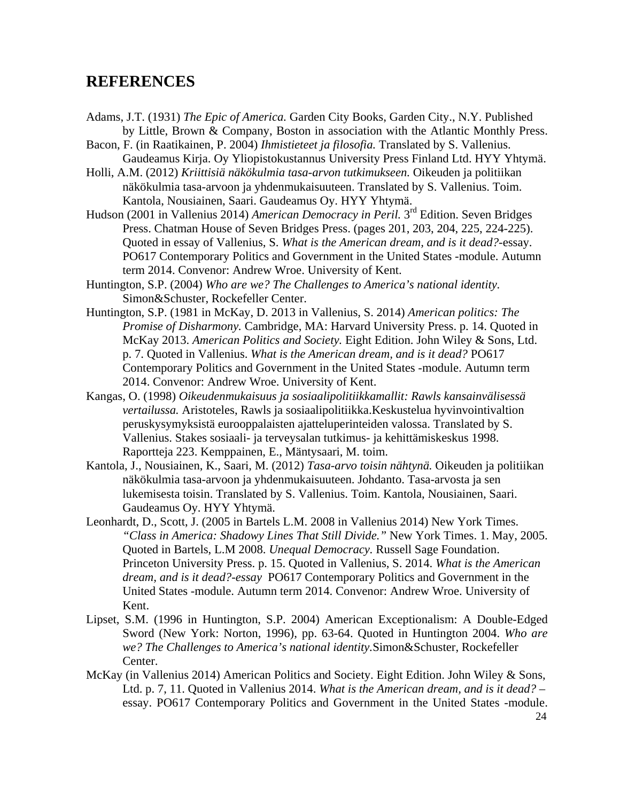# **REFERENCES**

- Adams, J.T. (1931) *The Epic of America.* Garden City Books, Garden City., N.Y. Published by Little, Brown & Company, Boston in association with the Atlantic Monthly Press.
- Bacon, F. (in Raatikainen, P. 2004) *Ihmistieteet ja filosofia.* Translated by S. Vallenius. Gaudeamus Kirja. Oy Yliopistokustannus University Press Finland Ltd. HYY Yhtymä.
- Holli, A.M. (2012) *Kriittisiä näkökulmia tasa-arvon tutkimukseen.* Oikeuden ja politiikan näkökulmia tasa-arvoon ja yhdenmukaisuuteen. Translated by S. Vallenius. Toim. Kantola, Nousiainen, Saari. Gaudeamus Oy. HYY Yhtymä.
- Hudson (2001 in Vallenius 2014) *American Democracy in Peril.* 3rd Edition. Seven Bridges Press. Chatman House of Seven Bridges Press. (pages 201, 203, 204, 225, 224-225). Quoted in essay of Vallenius, S. *What is the American dream, and is it dead?*-essay. PO617 Contemporary Politics and Government in the United States -module. Autumn term 2014. Convenor: Andrew Wroe. University of Kent.
- Huntington, S.P. (2004) *Who are we? The Challenges to America's national identity.* Simon&Schuster, Rockefeller Center.
- Huntington, S.P. (1981 in McKay, D. 2013 in Vallenius, S. 2014) *American politics: The Promise of Disharmony.* Cambridge, MA: Harvard University Press. p. 14. Quoted in McKay 2013. *American Politics and Society.* Eight Edition. John Wiley & Sons, Ltd. p. 7. Quoted in Vallenius. *What is the American dream, and is it dead?* PO617 Contemporary Politics and Government in the United States -module. Autumn term 2014. Convenor: Andrew Wroe. University of Kent.
- Kangas, O. (1998) *Oikeudenmukaisuus ja sosiaalipolitiikkamallit: Rawls kansainvälisessä vertailussa.* Aristoteles, Rawls ja sosiaalipolitiikka.Keskustelua hyvinvointivaltion peruskysymyksistä eurooppalaisten ajatteluperinteiden valossa. Translated by S. Vallenius. Stakes sosiaali- ja terveysalan tutkimus- ja kehittämiskeskus 1998. Raportteja 223. Kemppainen, E., Mäntysaari, M. toim.
- Kantola, J., Nousiainen, K., Saari, M. (2012) *Tasa-arvo toisin nähtynä.* Oikeuden ja politiikan näkökulmia tasa-arvoon ja yhdenmukaisuuteen. Johdanto. Tasa-arvosta ja sen lukemisesta toisin. Translated by S. Vallenius. Toim. Kantola, Nousiainen, Saari. Gaudeamus Oy. HYY Yhtymä.
- Leonhardt, D., Scott, J. (2005 in Bartels L.M. 2008 in Vallenius 2014) New York Times. *"Class in America: Shadowy Lines That Still Divide."* New York Times. 1. May, 2005. Quoted in Bartels, L.M 2008. *Unequal Democracy.* Russell Sage Foundation. Princeton University Press. p. 15. Quoted in Vallenius, S. 2014. *What is the American dream, and is it dead?-essay* PO617 Contemporary Politics and Government in the United States -module. Autumn term 2014. Convenor: Andrew Wroe. University of Kent.
- Lipset, S.M. (1996 in Huntington, S.P. 2004) American Exceptionalism: A Double-Edged Sword (New York: Norton, 1996), pp. 63-64. Quoted in Huntington 2004. *Who are we? The Challenges to America's national identity.*Simon&Schuster, Rockefeller Center.
- McKay (in Vallenius 2014) American Politics and Society. Eight Edition. John Wiley & Sons, Ltd. p. 7, 11. Quoted in Vallenius 2014. *What is the American dream, and is it dead?* – essay. PO617 Contemporary Politics and Government in the United States -module. 24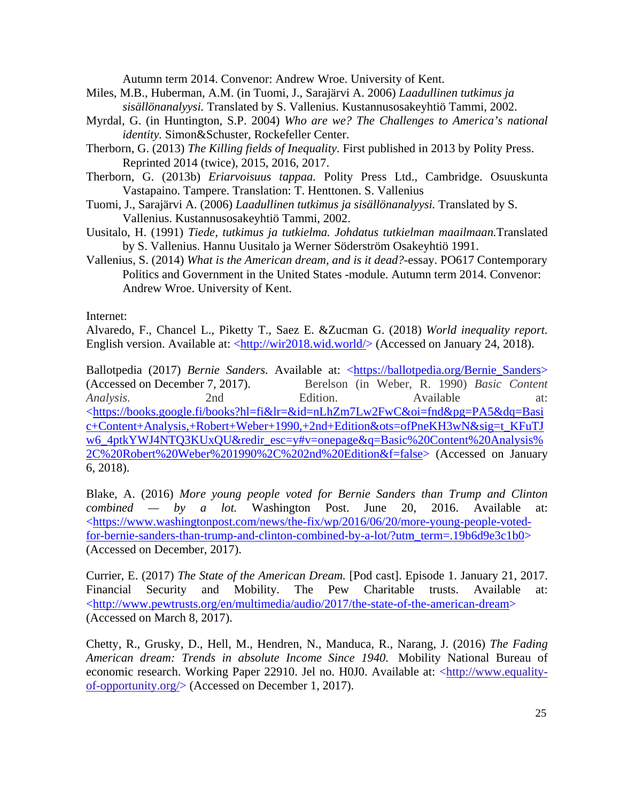Autumn term 2014. Convenor: Andrew Wroe. University of Kent.

- Miles, M.B., Huberman, A.M. (in Tuomi, J., Sarajärvi A. 2006) *Laadullinen tutkimus ja sisällönanalyysi.* Translated by S. Vallenius. Kustannusosakeyhtiö Tammi, 2002.
- Myrdal, G. (in Huntington, S.P. 2004) *Who are we? The Challenges to America's national identity.* Simon&Schuster, Rockefeller Center.
- Therborn, G. (2013) *The Killing fields of Inequality.* First published in 2013 by Polity Press. Reprinted 2014 (twice), 2015, 2016, 2017.
- Therborn, G. (2013b) *Eriarvoisuus tappaa.* Polity Press Ltd., Cambridge. Osuuskunta Vastapaino. Tampere. Translation: T. Henttonen. S. Vallenius
- Tuomi, J., Sarajärvi A. (2006) *Laadullinen tutkimus ja sisällönanalyysi.* Translated by S. Vallenius. Kustannusosakeyhtiö Tammi, 2002.
- Uusitalo, H. (1991) *Tiede, tutkimus ja tutkielma. Johdatus tutkielman maailmaan.*Translated by S. Vallenius. Hannu Uusitalo ja Werner Söderström Osakeyhtiö 1991.
- Vallenius, S. (2014) *What is the American dream, and is it dead?*-essay. PO617 Contemporary Politics and Government in the United States -module. Autumn term 2014. Convenor: Andrew Wroe. University of Kent.

Internet:

Alvaredo, F., Chancel L., Piketty T., Saez E. &Zucman G. (2018) *World inequality report.* English version. Available at: [<http://wir2018.wid.world/](http://wir2018.wid.world/)> (Accessed on January 24, 2018).

Ballotpedia (2017) *Bernie Sanders.* Available at: [<https://ballotpedia.org/Bernie\\_Sanders>](https://ballotpedia.org/Bernie_Sanders) (Accessed on December 7, 2017). Berelson (in Weber, R. 1990) *Basic Content Analysis.* 2nd Edition. Available at: <[https://books.google.fi/books?hl=fi&lr=&id=nLhZm7Lw2FwC&oi=fnd&pg=PA5&dq=Basi](https://books.google.fi/books?hl=fi&lr=&id=nLhZm7Lw2FwC&oi=fnd&pg=PA5&dq=Basic+Content+Analysis,+Robert+Weber+1990,+2nd+Edition&ots=ofPneKH3wN&sig=t_KFuTJw6_4ptkYWJ4NTQ3KUxQU&redir_esc=y#v=onepage&q=Basic%20Content%20Analysis%2C%20Robert%20Weber%201990%2C%202nd%20Edition&f=false) [c+Content+Analysis,+Robert+Weber+1990,+2nd+Edition&ots=ofPneKH3wN&sig=t\\_KFuTJ](https://books.google.fi/books?hl=fi&lr=&id=nLhZm7Lw2FwC&oi=fnd&pg=PA5&dq=Basic+Content+Analysis,+Robert+Weber+1990,+2nd+Edition&ots=ofPneKH3wN&sig=t_KFuTJw6_4ptkYWJ4NTQ3KUxQU&redir_esc=y#v=onepage&q=Basic%20Content%20Analysis%2C%20Robert%20Weber%201990%2C%202nd%20Edition&f=false) [w6\\_4ptkYWJ4NTQ3KUxQU&redir\\_esc=y#v=onepage&q=Basic%20Content%20Analysis%](https://books.google.fi/books?hl=fi&lr=&id=nLhZm7Lw2FwC&oi=fnd&pg=PA5&dq=Basic+Content+Analysis,+Robert+Weber+1990,+2nd+Edition&ots=ofPneKH3wN&sig=t_KFuTJw6_4ptkYWJ4NTQ3KUxQU&redir_esc=y#v=onepage&q=Basic%20Content%20Analysis%2C%20Robert%20Weber%201990%2C%202nd%20Edition&f=false) [2C%20Robert%20Weber%201990%2C%202nd%20Edition&f=false>](https://books.google.fi/books?hl=fi&lr=&id=nLhZm7Lw2FwC&oi=fnd&pg=PA5&dq=Basic+Content+Analysis,+Robert+Weber+1990,+2nd+Edition&ots=ofPneKH3wN&sig=t_KFuTJw6_4ptkYWJ4NTQ3KUxQU&redir_esc=y#v=onepage&q=Basic%20Content%20Analysis%2C%20Robert%20Weber%201990%2C%202nd%20Edition&f=false) (Accessed on January 6, 2018).

Blake, A. (2016) *More young people voted for Bernie Sanders than Trump and Clinton combined — by a lot.* Washington Post. June 20, 2016. Available at: <[https://www.washingtonpost.com/news/the-fix/wp/2016/06/20/more-young-people-voted](https://www.washingtonpost.com/news/the-fix/wp/2016/06/20/more-young-people-voted-for-bernie-sanders-than-trump-and-clinton-combined-by-a-lot/?utm_term=.19b6d9e3c1b0)[for-bernie-sanders-than-trump-and-clinton-combined-by-a-lot/?utm\\_term=.19b6d9e3c1b0](https://www.washingtonpost.com/news/the-fix/wp/2016/06/20/more-young-people-voted-for-bernie-sanders-than-trump-and-clinton-combined-by-a-lot/?utm_term=.19b6d9e3c1b0)> (Accessed on December, 2017).

Currier, E. (2017) *The State of the American Dream.* [Pod cast]. Episode 1. January 21, 2017. Financial Security and Mobility. The Pew Charitable trusts. Available at: <[http://www.pewtrusts.org/en/multimedia/audio/2017/the-state-of-the-american-dream>](http://www.pewtrusts.org/en/multimedia/audio/2017/the-state-of-the-american-dream) (Accessed on March 8, 2017).

Chetty, R., Grusky, D., Hell, M., Hendren, N., Manduca, R., Narang, J. (2016) *The Fading American dream: Trends in absolute Income Since 1940.* Mobility National Bureau of economic research. Working Paper 22910. Jel no. H0J0. Available at: <[http://www.equality](http://www.equality-of-opportunity.org/)[of-opportunity.org/](http://www.equality-of-opportunity.org/)> (Accessed on December 1, 2017).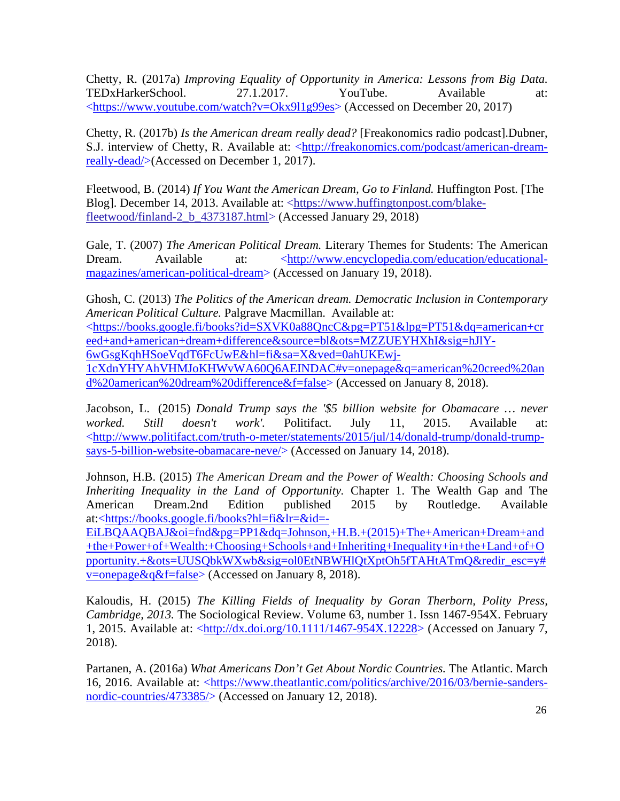Chetty, R. (2017a) *Improving Equality of Opportunity in America: Lessons from Big Data.*  TEDxHarkerSchool. 27.1.2017. YouTube. Available at: <[https://www.youtube.com/watch?v=Okx9l1g99es>](https://www.youtube.com/watch?v=Okx9l1g99es) (Accessed on December 20, 2017)

Chetty, R. (2017b) *Is the American dream really dead?* [Freakonomics radio podcast].Dubner, S.J. interview of Chetty, R. Available at: [<http://freakonomics.com/podcast/american-dream](http://freakonomics.com/podcast/american-dream-really-dead/)[really-dead/](http://freakonomics.com/podcast/american-dream-really-dead/)>(Accessed on December 1, 2017).

Fleetwood, B. (2014) *If You Want the American Dream, Go to Finland.* Huffington Post. [The Blog]. December 14, 2013. Available at: [<https://www.huffingtonpost.com/blake](https://www.huffingtonpost.com/blake-fleetwood/finland-2_b_4373187.html)[fleetwood/finland-2\\_b\\_4373187.html](https://www.huffingtonpost.com/blake-fleetwood/finland-2_b_4373187.html)> (Accessed January 29, 2018)

Gale, T. (2007) *The American Political Dream.* Literary Themes for Students: The American Dream. Available at: <[http://www.encyclopedia.com/education/educational](http://www.encyclopedia.com/education/educational-magazines/american-political-dream)[magazines/american-political-dream](http://www.encyclopedia.com/education/educational-magazines/american-political-dream)> (Accessed on January 19, 2018).

Ghosh, C. (2013) *The Politics of the American dream. Democratic Inclusion in Contemporary American Political Culture.* Palgrave Macmillan. Available at:

<[https://books.google.fi/books?id=SXVK0a88QncC&pg=PT51&lpg=PT51&dq=american+cr](https://books.google.fi/books?id=SXVK0a88QncC&pg=PT51&lpg=PT51&dq=american+creed+and+american+dream+difference&source=bl&ots=MZZUEYHXhI&sig=hJlY-6wGsgKqhHSoeVqdT6FcUwE&hl=fi&sa=X&ved=0ahUKEwj-1cXdnYHYAhVHMJoKHWvWA60Q6AEINDAC#v=onepage&q=american%20creed%20and%20american%20dream%20difference&f=false) [eed+and+american+dream+difference&source=bl&ots=MZZUEYHXhI&sig=hJlY-](https://books.google.fi/books?id=SXVK0a88QncC&pg=PT51&lpg=PT51&dq=american+creed+and+american+dream+difference&source=bl&ots=MZZUEYHXhI&sig=hJlY-6wGsgKqhHSoeVqdT6FcUwE&hl=fi&sa=X&ved=0ahUKEwj-1cXdnYHYAhVHMJoKHWvWA60Q6AEINDAC#v=onepage&q=american%20creed%20and%20american%20dream%20difference&f=false)

[6wGsgKqhHSoeVqdT6FcUwE&hl=fi&sa=X&ved=0ahUKEwj-](https://books.google.fi/books?id=SXVK0a88QncC&pg=PT51&lpg=PT51&dq=american+creed+and+american+dream+difference&source=bl&ots=MZZUEYHXhI&sig=hJlY-6wGsgKqhHSoeVqdT6FcUwE&hl=fi&sa=X&ved=0ahUKEwj-1cXdnYHYAhVHMJoKHWvWA60Q6AEINDAC#v=onepage&q=american%20creed%20and%20american%20dream%20difference&f=false)

[1cXdnYHYAhVHMJoKHWvWA60Q6AEINDAC#v=onepage&q=american%20creed%20an](https://books.google.fi/books?id=SXVK0a88QncC&pg=PT51&lpg=PT51&dq=american+creed+and+american+dream+difference&source=bl&ots=MZZUEYHXhI&sig=hJlY-6wGsgKqhHSoeVqdT6FcUwE&hl=fi&sa=X&ved=0ahUKEwj-1cXdnYHYAhVHMJoKHWvWA60Q6AEINDAC#v=onepage&q=american%20creed%20and%20american%20dream%20difference&f=false) [d%20american%20dream%20difference&f=false](https://books.google.fi/books?id=SXVK0a88QncC&pg=PT51&lpg=PT51&dq=american+creed+and+american+dream+difference&source=bl&ots=MZZUEYHXhI&sig=hJlY-6wGsgKqhHSoeVqdT6FcUwE&hl=fi&sa=X&ved=0ahUKEwj-1cXdnYHYAhVHMJoKHWvWA60Q6AEINDAC#v=onepage&q=american%20creed%20and%20american%20dream%20difference&f=false)> (Accessed on January 8, 2018).

Jacobson, L. (2015) *Donald Trump says the '\$5 billion website for Obamacare … never worked. Still doesn't work'.* Politifact. July 11, 2015. Available at: <[http://www.politifact.com/truth-o-meter/statements/2015/jul/14/donald-trump/donald-trump](http://www.politifact.com/truth-o-meter/statements/2015/jul/14/donald-trump/donald-trump-says-5-billion-website-obamacare-neve/)[says-5-billion-website-obamacare-neve/>](http://www.politifact.com/truth-o-meter/statements/2015/jul/14/donald-trump/donald-trump-says-5-billion-website-obamacare-neve/) (Accessed on January 14, 2018).

Johnson, H.B. (2015) *The American Dream and the Power of Wealth: Choosing Schools and Inheriting Inequality in the Land of Opportunity.* Chapter 1. The Wealth Gap and The American Dream.2nd Edition published 2015 by Routledge. Available at:<[https://books.google.fi/books?hl=fi&lr=&id=-](https://books.google.fi/books?hl=fi&lr=&id=-EiLBQAAQBAJ&oi=fnd&pg=PP1&dq=Johnson,+H.B.+(2015)+The+American+Dream+and+the+Power+of+Wealth:+Choosing+Schools+and+Inheriting+Inequality+in+the+Land+of+Opportunity.+&ots=UUSQbkWXwb&sig=ol0EtNBWHlQtXptOh5fTAHtATmQ&redir_esc=y#v=onepage&q&f=false)

[EiLBQAAQBAJ&oi=fnd&pg=PP1&dq=Johnson,+H.B.+\(2015\)+The+American+Dream+and](https://books.google.fi/books?hl=fi&lr=&id=-EiLBQAAQBAJ&oi=fnd&pg=PP1&dq=Johnson,+H.B.+(2015)+The+American+Dream+and+the+Power+of+Wealth:+Choosing+Schools+and+Inheriting+Inequality+in+the+Land+of+Opportunity.+&ots=UUSQbkWXwb&sig=ol0EtNBWHlQtXptOh5fTAHtATmQ&redir_esc=y#v=onepage&q&f=false) [+the+Power+of+Wealth:+Choosing+Schools+and+Inheriting+Inequality+in+the+Land+of+O](https://books.google.fi/books?hl=fi&lr=&id=-EiLBQAAQBAJ&oi=fnd&pg=PP1&dq=Johnson,+H.B.+(2015)+The+American+Dream+and+the+Power+of+Wealth:+Choosing+Schools+and+Inheriting+Inequality+in+the+Land+of+Opportunity.+&ots=UUSQbkWXwb&sig=ol0EtNBWHlQtXptOh5fTAHtATmQ&redir_esc=y#v=onepage&q&f=false) [pportunity.+&ots=UUSQbkWXwb&sig=ol0EtNBWHlQtXptOh5fTAHtATmQ&redir\\_esc=y#](https://books.google.fi/books?hl=fi&lr=&id=-EiLBQAAQBAJ&oi=fnd&pg=PP1&dq=Johnson,+H.B.+(2015)+The+American+Dream+and+the+Power+of+Wealth:+Choosing+Schools+and+Inheriting+Inequality+in+the+Land+of+Opportunity.+&ots=UUSQbkWXwb&sig=ol0EtNBWHlQtXptOh5fTAHtATmQ&redir_esc=y#v=onepage&q&f=false) [v=onepage&q&f=false>](https://books.google.fi/books?hl=fi&lr=&id=-EiLBQAAQBAJ&oi=fnd&pg=PP1&dq=Johnson,+H.B.+(2015)+The+American+Dream+and+the+Power+of+Wealth:+Choosing+Schools+and+Inheriting+Inequality+in+the+Land+of+Opportunity.+&ots=UUSQbkWXwb&sig=ol0EtNBWHlQtXptOh5fTAHtATmQ&redir_esc=y#v=onepage&q&f=false) (Accessed on January 8, 2018).

Kaloudis, H. (2015) *The Killing Fields of Inequality by Goran Therborn, Polity Press, Cambridge, 2013.* The Sociological Review. Volume 63, number 1. Issn 1467-954X. February 1, 2015. Available at: <<http://dx.doi.org/10.1111/1467-954X.12228>> (Accessed on January 7, 2018).

Partanen, A. (2016a) *What Americans Don't Get About Nordic Countries.* The Atlantic. March 16, 2016. Available at: <[https://www.theatlantic.com/politics/archive/2016/03/bernie-sanders](https://www.theatlantic.com/politics/archive/2016/03/bernie-sanders-nordic-countries/473385/)[nordic-countries/473385/](https://www.theatlantic.com/politics/archive/2016/03/bernie-sanders-nordic-countries/473385/)> (Accessed on January 12, 2018).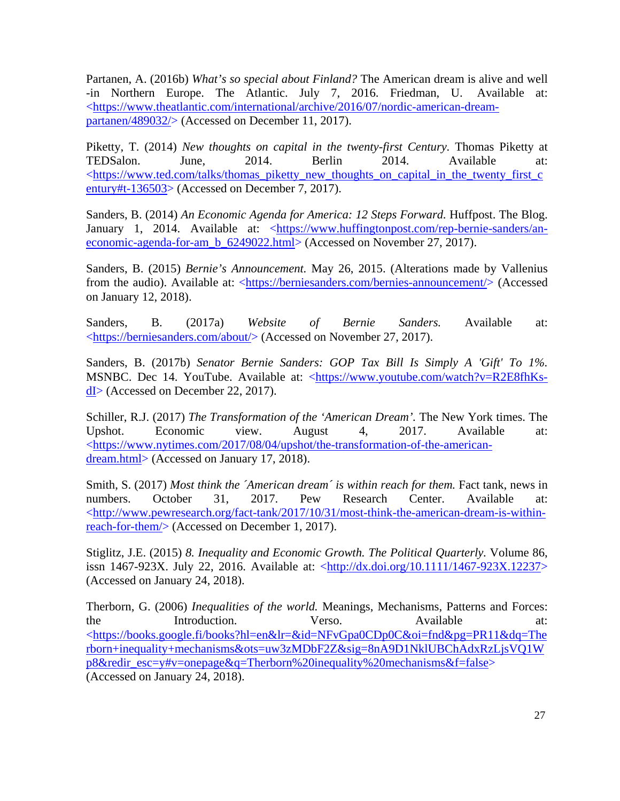Partanen, A. (2016b) *What's so special about Finland?* The American dream is alive and well -in Northern Europe. The Atlantic. July 7, 2016. Friedman, U. Available at: <[https://www.theatlantic.com/international/archive/2016/07/nordic-american-dream](https://www.theatlantic.com/international/archive/2016/07/nordic-american-dream-partanen/489032/)[partanen/489032/](https://www.theatlantic.com/international/archive/2016/07/nordic-american-dream-partanen/489032/)> (Accessed on December 11, 2017).

Piketty, T. (2014) *New thoughts on capital in the twenty-first Century.* Thomas Piketty at TEDSalon. June, 2014. Berlin 2014. Available at: <[https://www.ted.com/talks/thomas\\_piketty\\_new\\_thoughts\\_on\\_capital\\_in\\_the\\_twenty\\_first\\_c](https://www.ted.com/talks/thomas_piketty_new_thoughts_on_capital_in_the_twenty_first_century#t-136503) [entury#t-136503](https://www.ted.com/talks/thomas_piketty_new_thoughts_on_capital_in_the_twenty_first_century#t-136503)> (Accessed on December 7, 2017).

Sanders, B. (2014) *An Economic Agenda for America: 12 Steps Forward*. Huffpost. The Blog. January 1, 2014. Available at: [<https://www.huffingtonpost.com/rep-bernie-sanders/an](https://www.huffingtonpost.com/rep-bernie-sanders/an-economic-agenda-for-am_b_6249022.html)[economic-agenda-for-am\\_b\\_6249022.html](https://www.huffingtonpost.com/rep-bernie-sanders/an-economic-agenda-for-am_b_6249022.html)> (Accessed on November 27, 2017).

Sanders, B. (2015) *Bernie's Announcement.* May 26, 2015. (Alterations made by Vallenius from the audio). Available at: <[https://berniesanders.com/bernies-announcement/>](https://berniesanders.com/bernies-announcement/) (Accessed on January 12, 2018).

Sanders, B. (2017a) *Website of Bernie Sanders.* Available at: <<https://berniesanders.com/about/>> (Accessed on November 27, 2017).

Sanders, B. (2017b) *Senator Bernie Sanders: GOP Tax Bill Is Simply A 'Gift' To 1%.* MSNBC. Dec 14. YouTube. Available at: <[https://www.youtube.com/watch?v=R2E8fhKs](https://www.youtube.com/watch?v=R2E8fhKs-dI)[dI](https://www.youtube.com/watch?v=R2E8fhKs-dI)> (Accessed on December 22, 2017).

Schiller, R.J. (2017) *The Transformation of the 'American Dream'.* The New York times. The Upshot. Economic view. August 4, 2017. Available at: <[https://www.nytimes.com/2017/08/04/upshot/the-transformation-of-the-american](https://www.nytimes.com/2017/08/04/upshot/the-transformation-of-the-american-dream.html)[dream.html](https://www.nytimes.com/2017/08/04/upshot/the-transformation-of-the-american-dream.html)> (Accessed on January 17, 2018).

Smith, S. (2017) *Most think the 'American dream' is within reach for them.* Fact tank, news in numbers. October 31, 2017. Pew Research Center. Available at: <[http://www.pewresearch.org/fact-tank/2017/10/31/most-think-the-american-dream-is-within](http://www.pewresearch.org/fact-tank/2017/10/31/most-think-the-american-dream-is-within-reach-for-them/)[reach-for-them/](http://www.pewresearch.org/fact-tank/2017/10/31/most-think-the-american-dream-is-within-reach-for-them/)> (Accessed on December 1, 2017).

Stiglitz, J.E. (2015) *8. Inequality and Economic Growth. The Political Quarterly.* Volume 86, issn 1467-923X. July 22, 2016. Available at: [<http://dx.doi.org/10.1111/1467-923X.12237](http://dx.doi.org/10.1111/1467-923X.12237)> (Accessed on January 24, 2018).

Therborn, G. (2006) *Inequalities of the world.* Meanings, Mechanisms, Patterns and Forces: the Introduction. Verso. Available at: <[https://books.google.fi/books?hl=en&lr=&id=NFvGpa0CDp0C&oi=fnd&pg=PR11&dq=The](https://books.google.fi/books?hl=en&lr=&id=NFvGpa0CDp0C&oi=fnd&pg=PR11&dq=Therborn+inequality+mechanisms&ots=uw3zMDbF2Z&sig=8nA9D1NklUBChAdxRzLjsVQ1Wp8&redir_esc=y#v=onepage&q=Therborn%20inequality%20mechanisms&f=false) [rborn+inequality+mechanisms&ots=uw3zMDbF2Z&sig=8nA9D1NklUBChAdxRzLjsVQ1W](https://books.google.fi/books?hl=en&lr=&id=NFvGpa0CDp0C&oi=fnd&pg=PR11&dq=Therborn+inequality+mechanisms&ots=uw3zMDbF2Z&sig=8nA9D1NklUBChAdxRzLjsVQ1Wp8&redir_esc=y#v=onepage&q=Therborn%20inequality%20mechanisms&f=false) [p8&redir\\_esc=y#v=onepage&q=Therborn%20inequality%20mechanisms&f=false>](https://books.google.fi/books?hl=en&lr=&id=NFvGpa0CDp0C&oi=fnd&pg=PR11&dq=Therborn+inequality+mechanisms&ots=uw3zMDbF2Z&sig=8nA9D1NklUBChAdxRzLjsVQ1Wp8&redir_esc=y#v=onepage&q=Therborn%20inequality%20mechanisms&f=false) (Accessed on January 24, 2018).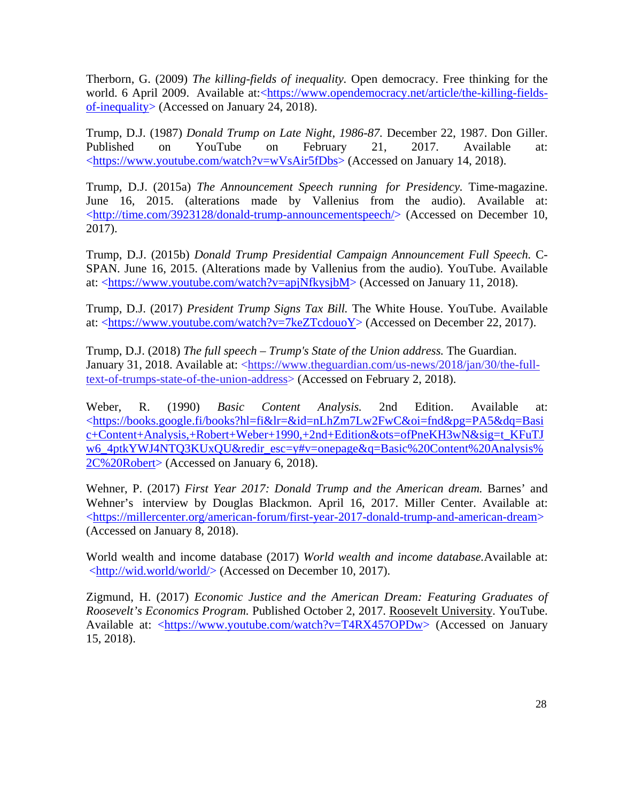Therborn, G. (2009) *The killing-fields of inequality.* Open democracy. Free thinking for the world. 6 April 2009. Available at:<[https://www.opendemocracy.net/article/the-killing-fields](https://www.opendemocracy.net/article/the-killing-fields-of-inequality)[of-inequality](https://www.opendemocracy.net/article/the-killing-fields-of-inequality)> (Accessed on January 24, 2018).

Trump, D.J. (1987) *Donald Trump on Late Night, 1986-87.* December 22, 1987. [Don Giller](https://www.youtube.com/channel/UCVWmcFDWz7evOe0Zbly3l8Q). Published on YouTube on February 21, 2017. Available at: <[https://www.youtube.com/watch?v=wVsAir5fDbs>](https://www.youtube.com/watch?v=wVsAir5fDbs) (Accessed on January 14, 2018).

Trump, D.J. (2015a) *The Announcement Speech running for Presidency.* Time-magazine. June 16, 2015. (alterations made by Vallenius from the audio). Available at: <[http://time.com/3923128/donald-trump-announcementspeech/>](http://time.com/3923128/donald-trump-announcementspeech/) (Accessed on December 10, 2017).

Trump, D.J. (2015b) *Donald Trump Presidential Campaign Announcement Full Speech.* C-SPAN. June 16, 2015. (Alterations made by Vallenius from the audio). YouTube. Available at: <[https://www.youtube.com/watch?v=apjNfkysjbM>](https://www.youtube.com/watch?v=apjNfkysjbM) (Accessed on January 11, 2018).

Trump, D.J. (2017) *President Trump Signs Tax Bill.* [The White House.](https://www.youtube.com/channel/UCYxRlFDqcWM4y7FfpiAN3KQ) YouTube. Available at: <[https://www.youtube.com/watch?v=7keZTcdouoY>](https://www.youtube.com/watch?v=7keZTcdouoY) (Accessed on December 22, 2017).

Trump, D.J. (2018) *The full speech – Trump's State of the Union address.* The Guardian. January 31, 2018. Available at: <[https://www.theguardian.com/us-news/2018/jan/30/the-full](https://www.theguardian.com/us-news/2018/jan/30/the-full-text-of-trumps-state-of-the-union-address)[text-of-trumps-state-of-the-union-address](https://www.theguardian.com/us-news/2018/jan/30/the-full-text-of-trumps-state-of-the-union-address)> (Accessed on February 2, 2018).

Weber, R. (1990) *Basic Content Analysis.* 2nd Edition. Available at: <[https://books.google.fi/books?hl=fi&lr=&id=nLhZm7Lw2FwC&oi=fnd&pg=PA5&dq=Basi](https://books.google.fi/books?hl=fi&lr=&id=nLhZm7Lw2FwC&oi=fnd&pg=PA5&dq=Basic+Content+Analysis,+Robert+Weber+1990,+2nd+Edition&ots=ofPneKH3wN&sig=t_KFuTJw6_4ptkYWJ4NTQ3KUxQU&redir_esc=y#v=onepage&q=Basic%20Content%20Analysis%2C%20Robert%20Weber%201990%2C%202nd%20Edition&f=false) [c+Content+Analysis,+Robert+Weber+1990,+2nd+Edition&ots=ofPneKH3wN&sig=t\\_KFuTJ](https://books.google.fi/books?hl=fi&lr=&id=nLhZm7Lw2FwC&oi=fnd&pg=PA5&dq=Basic+Content+Analysis,+Robert+Weber+1990,+2nd+Edition&ots=ofPneKH3wN&sig=t_KFuTJw6_4ptkYWJ4NTQ3KUxQU&redir_esc=y#v=onepage&q=Basic%20Content%20Analysis%2C%20Robert%20Weber%201990%2C%202nd%20Edition&f=false) [w6\\_4ptkYWJ4NTQ3KUxQU&redir\\_esc=y#v=onepage&q=Basic%20Content%20Analysis%](https://books.google.fi/books?hl=fi&lr=&id=nLhZm7Lw2FwC&oi=fnd&pg=PA5&dq=Basic+Content+Analysis,+Robert+Weber+1990,+2nd+Edition&ots=ofPneKH3wN&sig=t_KFuTJw6_4ptkYWJ4NTQ3KUxQU&redir_esc=y#v=onepage&q=Basic%20Content%20Analysis%2C%20Robert%20Weber%201990%2C%202nd%20Edition&f=false) [2C%20Robert>](https://books.google.fi/books?hl=fi&lr=&id=nLhZm7Lw2FwC&oi=fnd&pg=PA5&dq=Basic+Content+Analysis,+Robert+Weber+1990,+2nd+Edition&ots=ofPneKH3wN&sig=t_KFuTJw6_4ptkYWJ4NTQ3KUxQU&redir_esc=y#v=onepage&q=Basic%20Content%20Analysis%2C%20Robert%20Weber%201990%2C%202nd%20Edition&f=false) (Accessed on January 6, 2018).

Wehner, P. (2017) *First Year 2017: Donald Trump and the American dream.* Barnes' and Wehner's interview by Douglas Blackmon. April 16, 2017. Miller Center. Available at: <[https://millercenter.org/american-forum/first-year-2017-donald-trump-and-american-dream>](https://millercenter.org/american-forum/first-year-2017-donald-trump-and-american-dream) (Accessed on January 8, 2018).

World wealth and income database (2017) *World wealth and income database.*Available at: <<http://wid.world/world/>> (Accessed on December 10, 2017).

Zigmund, H. (2017) *Economic Justice and the American Dream: Featuring Graduates of Roosevelt's Economics Program.* Published October 2, 2017. [Roosevelt University.](https://www.youtube.com/channel/UCnU5kMjrV3HtJKWoQIJvSNw) YouTube. Available at: [<https://www.youtube.com/watch?v=T4RX457OPDw>](https://www.youtube.com/watch?v=T4RX457OPDw) (Accessed on January 15, 2018).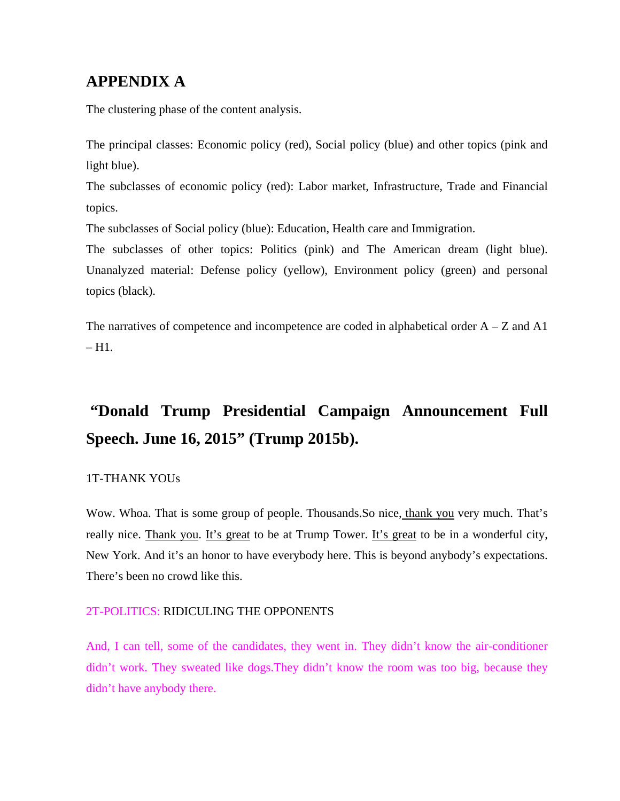# **APPENDIX A**

The clustering phase of the content analysis.

The principal classes: Economic policy (red), Social policy (blue) and other topics (pink and light blue).

The subclasses of economic policy (red): Labor market, Infrastructure, Trade and Financial topics.

The subclasses of Social policy (blue): Education, Health care and Immigration.

The subclasses of other topics: Politics (pink) and The American dream (light blue). Unanalyzed material: Defense policy (yellow), Environment policy (green) and personal topics (black).

The narratives of competence and incompetence are coded in alphabetical order  $A - Z$  and  $A1$  $- H1$ .

# **"Donald Trump Presidential Campaign Announcement Full Speech. June 16, 2015" (Trump 2015b).**

# 1T-THANK YOUs

Wow. Whoa. That is some group of people. Thousands.So nice, thank you very much. That's really nice. Thank you. It's great to be at Trump Tower. It's great to be in a wonderful city, New York. And it's an honor to have everybody here. This is beyond anybody's expectations. There's been no crowd like this.

# 2T-POLITICS: RIDICULING THE OPPONENTS

And, I can tell, some of the candidates, they went in. They didn't know the air-conditioner didn't work. They sweated like dogs.They didn't know the room was too big, because they didn't have anybody there.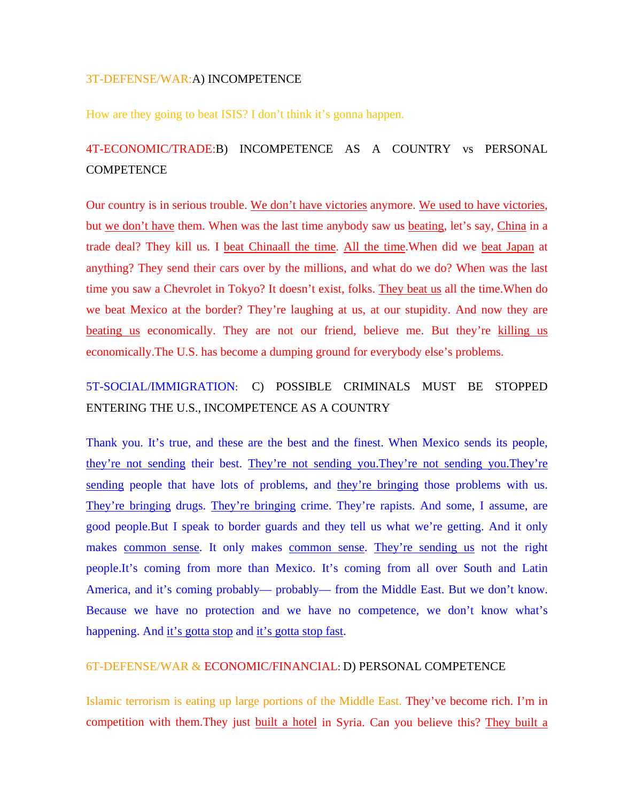#### 3T-DEFENSE/WAR:A) INCOMPETENCE

How are they going to beat ISIS? I don't think it's gonna happen.

# 4T-ECONOMIC/TRADE:B) INCOMPETENCE AS A COUNTRY vs PERSONAL **COMPETENCE**

Our country is in serious trouble. We don't have victories anymore. We used to have victories, but we don't have them. When was the last time anybody saw us beating, let's say, China in a trade deal? They kill us. I beat Chinaall the time. All the time.When did we beat Japan at anything? They send their cars over by the millions, and what do we do? When was the last time you saw a Chevrolet in Tokyo? It doesn't exist, folks. They beat us all the time.When do we beat Mexico at the border? They're laughing at us, at our stupidity. And now they are beating us economically. They are not our friend, believe me. But they're killing us economically.The U.S. has become a dumping ground for everybody else's problems.

# 5T-SOCIAL/IMMIGRATION: C) POSSIBLE CRIMINALS MUST BE STOPPED ENTERING THE U.S., INCOMPETENCE AS A COUNTRY

Thank you. It's true, and these are the best and the finest. When Mexico sends its people, they're not sending their best. They're not sending you.They're not sending you.They're sending people that have lots of problems, and they're bringing those problems with us. They're bringing drugs. They're bringing crime. They're rapists. And some, I assume, are good people.But I speak to border guards and they tell us what we're getting. And it only makes common sense. It only makes common sense. They're sending us not the right people.It's coming from more than Mexico. It's coming from all over South and Latin America, and it's coming probably— probably— from the Middle East. But we don't know. Because we have no protection and we have no competence, we don't know what's happening. And it's gotta stop and it's gotta stop fast.

# 6T-DEFENSE/WAR & ECONOMIC/FINANCIAL: D) PERSONAL COMPETENCE

Islamic terrorism is eating up large portions of the Middle East. They've become rich. I'm in competition with them.They just built a hotel in Syria. Can you believe this? They built a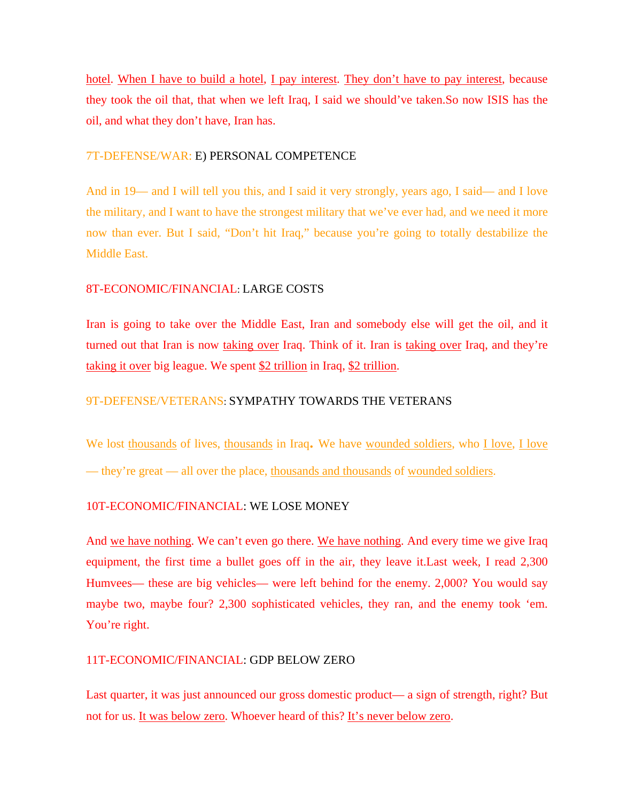hotel. When I have to build a hotel, I pay interest. They don't have to pay interest, because they took the oil that, that when we left Iraq, I said we should've taken.So now ISIS has the oil, and what they don't have, Iran has.

# 7T-DEFENSE/WAR: E) PERSONAL COMPETENCE

And in 19— and I will tell you this, and I said it very strongly, years ago, I said— and I love the military, and I want to have the strongest military that we've ever had, and we need it more now than ever. But I said, "Don't hit Iraq," because you're going to totally destabilize the Middle East.

# 8T-ECONOMIC/FINANCIAL: LARGE COSTS

Iran is going to take over the Middle East, Iran and somebody else will get the oil, and it turned out that Iran is now taking over Iraq. Think of it. Iran is taking over Iraq, and they're taking it over big league. We spent \$2 trillion in Iraq, \$2 trillion.

# 9T-DEFENSE/VETERANS: SYMPATHY TOWARDS THE VETERANS

We lost thousands of lives, thousands in Iraq. We have wounded soldiers, who I love, I love — they're great — all over the place, thousands and thousands of wounded soldiers.

# 10T-ECONOMIC/FINANCIAL: WE LOSE MONEY

And we have nothing. We can't even go there. We have nothing. And every time we give Iraq equipment, the first time a bullet goes off in the air, they leave it.Last week, I read 2,300 Humvees— these are big vehicles— were left behind for the enemy. 2,000? You would say maybe two, maybe four? 2,300 sophisticated vehicles, they ran, and the enemy took 'em. You're right.

# 11T-ECONOMIC/FINANCIAL: GDP BELOW ZERO

Last quarter, it was just announced our gross domestic product— a sign of strength, right? But not for us. It was below zero. Whoever heard of this? It's never below zero.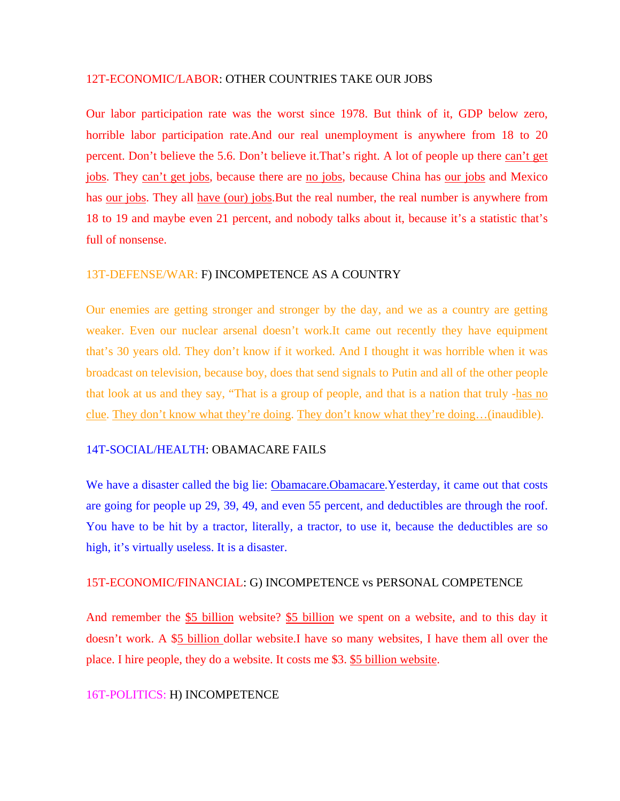#### 12T-ECONOMIC/LABOR: OTHER COUNTRIES TAKE OUR JOBS

Our labor participation rate was the worst since 1978. But think of it, GDP below zero, horrible labor participation rate.And our real unemployment is anywhere from 18 to 20 percent. Don't believe the 5.6. Don't believe it.That's right. A lot of people up there can't get jobs. They can't get jobs, because there are no jobs, because China has our jobs and Mexico has <u>our jobs</u>. They all have (our) jobs. But the real number, the real number is anywhere from 18 to 19 and maybe even 21 percent, and nobody talks about it, because it's a statistic that's full of nonsense.

#### 13T-DEFENSE/WAR: F) INCOMPETENCE AS A COUNTRY

Our enemies are getting stronger and stronger by the day, and we as a country are getting weaker. Even our nuclear arsenal doesn't work.It came out recently they have equipment that's 30 years old. They don't know if it worked. And I thought it was horrible when it was broadcast on television, because boy, does that send signals to Putin and all of the other people that look at us and they say, "That is a group of people, and that is a nation that truly -has no clue. They don't know what they're doing. They don't know what they're doing…(inaudible).

#### 14T-SOCIAL/HEALTH: OBAMACARE FAILS

We have a disaster called the big lie: Obamacare.Obamacare.Yesterday, it came out that costs are going for people up 29, 39, 49, and even 55 percent, and deductibles are through the roof. You have to be hit by a tractor, literally, a tractor, to use it, because the deductibles are so high, it's virtually useless. It is a disaster.

#### 15T-ECONOMIC/FINANCIAL: G) INCOMPETENCE vs PERSONAL COMPETENCE

And remember the \$5 billion website? \$5 billion we spent on a website, and to this day it doesn't work. A \$5 billion dollar website.I have so many websites, I have them all over the place. I hire people, they do a website. It costs me \$3. \$5 billion website.

#### 16T-POLITICS: H) INCOMPETENCE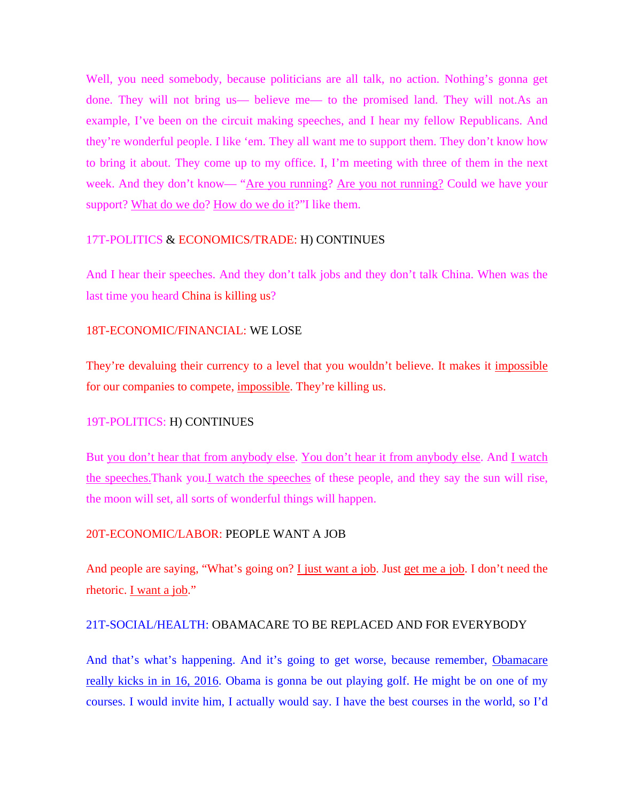Well, you need somebody, because politicians are all talk, no action. Nothing's gonna get done. They will not bring us— believe me— to the promised land. They will not.As an example, I've been on the circuit making speeches, and I hear my fellow Republicans. And they're wonderful people. I like 'em. They all want me to support them. They don't know how to bring it about. They come up to my office. I, I'm meeting with three of them in the next week. And they don't know— "Are you running? Are you not running? Could we have your support? What do we do? How do we do it?"I like them.

# 17T-POLITICS & ECONOMICS/TRADE: H) CONTINUES

And I hear their speeches. And they don't talk jobs and they don't talk China. When was the last time you heard China is killing us?

# 18T-ECONOMIC/FINANCIAL: WE LOSE

They're devaluing their currency to a level that you wouldn't believe. It makes it impossible for our companies to compete, impossible. They're killing us.

# 19T-POLITICS: H) CONTINUES

But you don't hear that from anybody else. You don't hear it from anybody else. And I watch the speeches. Thank you.<sup>I</sup> watch the speeches of these people, and they say the sun will rise, the moon will set, all sorts of wonderful things will happen.

# 20T-ECONOMIC/LABOR: PEOPLE WANT A JOB

And people are saying, "What's going on? I just want a job. Just get me a job. I don't need the rhetoric. I want a job."

# 21T-SOCIAL/HEALTH: OBAMACARE TO BE REPLACED AND FOR EVERYBODY

And that's what's happening. And it's going to get worse, because remember, Obamacare really kicks in in 16, 2016. Obama is gonna be out playing golf. He might be on one of my courses. I would invite him, I actually would say. I have the best courses in the world, so I'd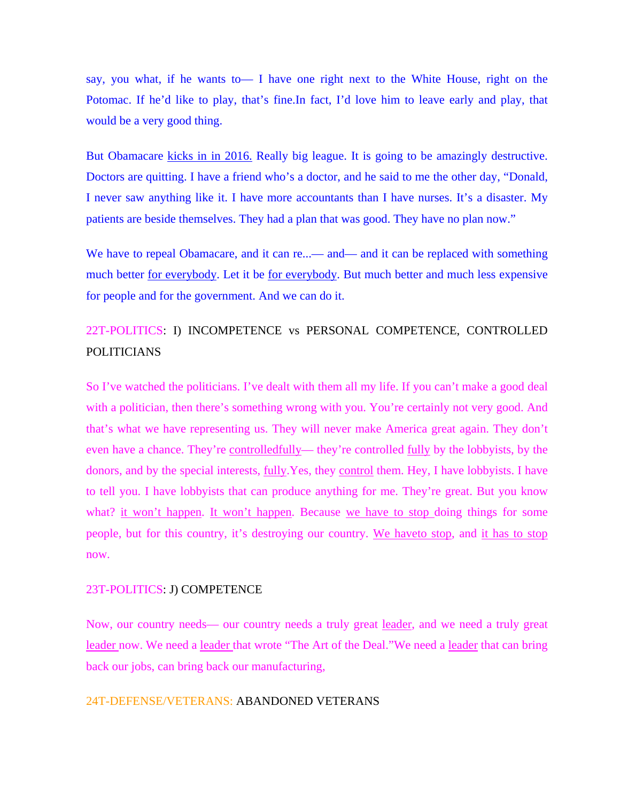say, you what, if he wants to— I have one right next to the White House, right on the Potomac. If he'd like to play, that's fine.In fact, I'd love him to leave early and play, that would be a very good thing.

But Obamacare kicks in in 2016. Really big league. It is going to be amazingly destructive. Doctors are quitting. I have a friend who's a doctor, and he said to me the other day, "Donald, I never saw anything like it. I have more accountants than I have nurses. It's a disaster. My patients are beside themselves. They had a plan that was good. They have no plan now."

We have to repeal Obamacare, and it can re...— and— and it can be replaced with something much better for everybody. Let it be for everybody. But much better and much less expensive for people and for the government. And we can do it.

# 22T-POLITICS: I) INCOMPETENCE vs PERSONAL COMPETENCE, CONTROLLED POLITICIANS

So I've watched the politicians. I've dealt with them all my life. If you can't make a good deal with a politician, then there's something wrong with you. You're certainly not very good. And that's what we have representing us. They will never make America great again. They don't even have a chance. They're controlledfully— they're controlled fully by the lobbyists, by the donors, and by the special interests, fully.Yes, they control them. Hey, I have lobbyists. I have to tell you. I have lobbyists that can produce anything for me. They're great. But you know what? it won't happen. It won't happen. Because we have to stop doing things for some people, but for this country, it's destroying our country. We haveto stop, and it has to stop now.

#### 23T-POLITICS: J) COMPETENCE

Now, our country needs— our country needs a truly great leader, and we need a truly great leader now. We need a leader that wrote "The Art of the Deal."We need a leader that can bring back our jobs, can bring back our manufacturing,

# 24T-DEFENSE/VETERANS: ABANDONED VETERANS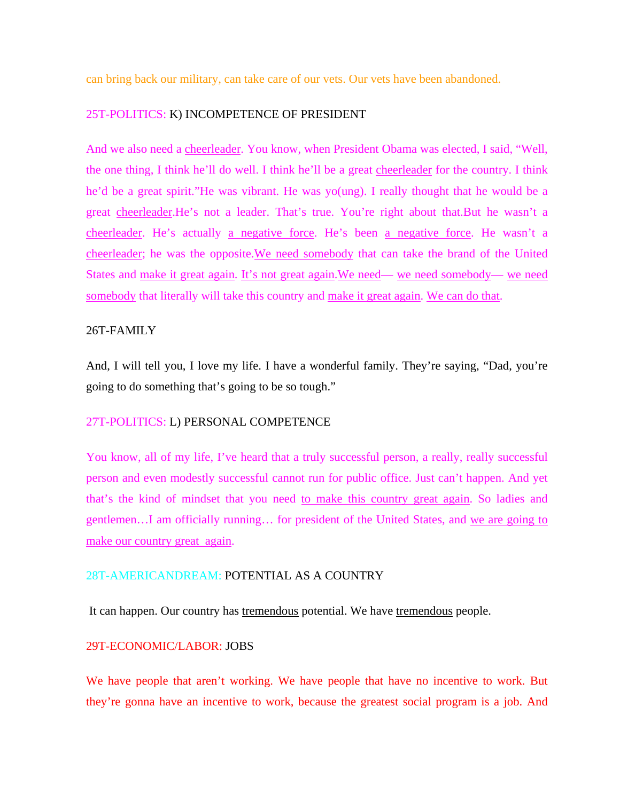can bring back our military, can take care of our vets. Our vets have been abandoned.

# 25T-POLITICS: K) INCOMPETENCE OF PRESIDENT

And we also need a cheerleader. You know, when President Obama was elected, I said, "Well, the one thing, I think he'll do well. I think he'll be a great cheerleader for the country. I think he'd be a great spirit."He was vibrant. He was yo(ung). I really thought that he would be a great cheerleader.He's not a leader. That's true. You're right about that.But he wasn't a cheerleader. He's actually a negative force. He's been a negative force. He wasn't a cheerleader; he was the opposite.We need somebody that can take the brand of the United States and make it great again. It's not great again.We need— we need somebody— we need somebody that literally will take this country and make it great again. We can do that.

#### 26T-FAMILY

And, I will tell you, I love my life. I have a wonderful family. They're saying, "Dad, you're going to do something that's going to be so tough."

#### 27T-POLITICS: L) PERSONAL COMPETENCE

You know, all of my life, I've heard that a truly successful person, a really, really successful person and even modestly successful cannot run for public office. Just can't happen. And yet that's the kind of mindset that you need to make this country great again. So ladies and gentlemen…I am officially running… for president of the United States, and we are going to make our country great again.

#### 28T-AMERICANDREAM: POTENTIAL AS A COUNTRY

It can happen. Our country has tremendous potential. We have tremendous people.

#### 29T-ECONOMIC/LABOR: JOBS

We have people that aren't working. We have people that have no incentive to work. But they're gonna have an incentive to work, because the greatest social program is a job. And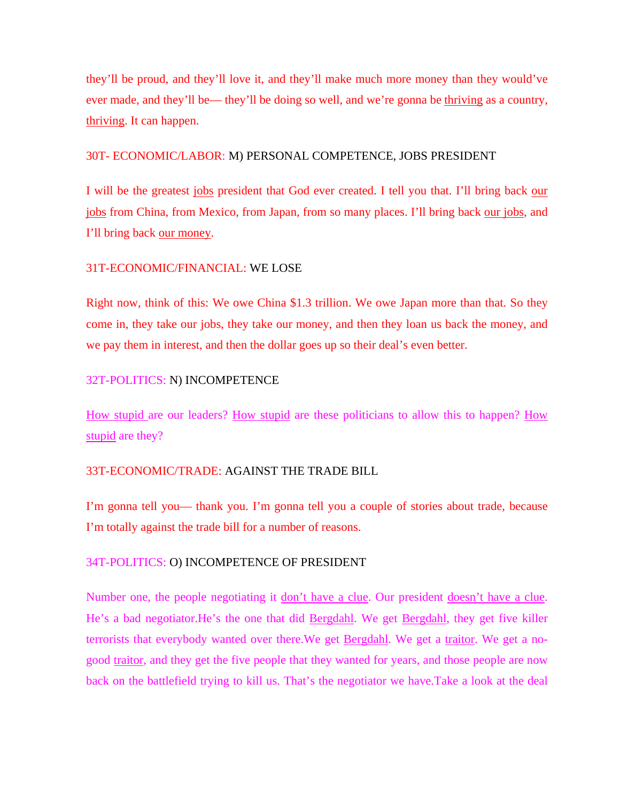they'll be proud, and they'll love it, and they'll make much more money than they would've ever made, and they'll be— they'll be doing so well, and we're gonna be thriving as a country, thriving. It can happen.

# 30T- ECONOMIC/LABOR: M) PERSONAL COMPETENCE, JOBS PRESIDENT

I will be the greatest jobs president that God ever created. I tell you that. I'll bring back our jobs from China, from Mexico, from Japan, from so many places. I'll bring back our jobs, and I'll bring back our money.

# 31T-ECONOMIC/FINANCIAL: WE LOSE

Right now, think of this: We owe China \$1.3 trillion. We owe Japan more than that. So they come in, they take our jobs, they take our money, and then they loan us back the money, and we pay them in interest, and then the dollar goes up so their deal's even better.

# 32T-POLITICS: N) INCOMPETENCE

How stupid are our leaders? How stupid are these politicians to allow this to happen? How stupid are they?

# 33T-ECONOMIC/TRADE: AGAINST THE TRADE BILL

I'm gonna tell you— thank you. I'm gonna tell you a couple of stories about trade, because I'm totally against the trade bill for a number of reasons.

# 34T-POLITICS: O) INCOMPETENCE OF PRESIDENT

Number one, the people negotiating it don't have a clue. Our president doesn't have a clue. He's a bad negotiator.He's the one that did Bergdahl. We get Bergdahl, they get five killer terrorists that everybody wanted over there.We get Bergdahl. We get a traitor. We get a nogood traitor, and they get the five people that they wanted for years, and those people are now back on the battlefield trying to kill us. That's the negotiator we have.Take a look at the deal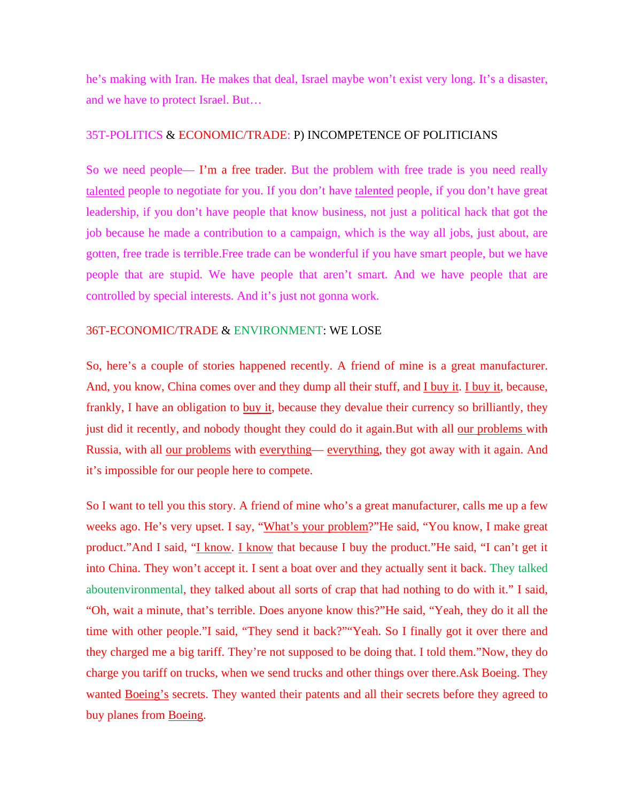he's making with Iran. He makes that deal, Israel maybe won't exist very long. It's a disaster, and we have to protect Israel. But…

# 35T-POLITICS & ECONOMIC/TRADE: P) INCOMPETENCE OF POLITICIANS

So we need people— I'm a free trader. But the problem with free trade is you need really talented people to negotiate for you. If you don't have talented people, if you don't have great leadership, if you don't have people that know business, not just a political hack that got the job because he made a contribution to a campaign, which is the way all jobs, just about, are gotten, free trade is terrible.Free trade can be wonderful if you have smart people, but we have people that are stupid. We have people that aren't smart. And we have people that are controlled by special interests. And it's just not gonna work.

# 36T-ECONOMIC/TRADE & ENVIRONMENT: WE LOSE

So, here's a couple of stories happened recently. A friend of mine is a great manufacturer. And, you know, China comes over and they dump all their stuff, and I buy it. I buy it, because, frankly, I have an obligation to buy it, because they devalue their currency so brilliantly, they just did it recently, and nobody thought they could do it again.But with all our problems with Russia, with all our problems with everything— everything, they got away with it again. And it's impossible for our people here to compete.

So I want to tell you this story. A friend of mine who's a great manufacturer, calls me up a few weeks ago. He's very upset. I say, "What's your problem?"He said, "You know, I make great product."And I said, "I know. I know that because I buy the product."He said, "I can't get it into China. They won't accept it. I sent a boat over and they actually sent it back. They talked aboutenvironmental, they talked about all sorts of crap that had nothing to do with it." I said, "Oh, wait a minute, that's terrible. Does anyone know this?"He said, "Yeah, they do it all the time with other people."I said, "They send it back?""Yeah. So I finally got it over there and they charged me a big tariff. They're not supposed to be doing that. I told them."Now, they do charge you tariff on trucks, when we send trucks and other things over there.Ask Boeing. They wanted Boeing's secrets. They wanted their patents and all their secrets before they agreed to buy planes from **Boeing**.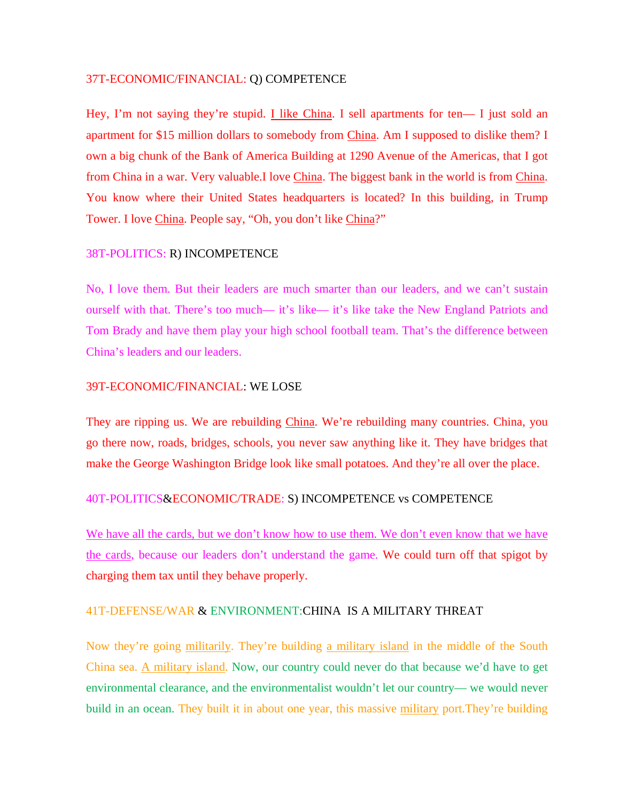#### 37T-ECONOMIC/FINANCIAL: Q) COMPETENCE

Hey, I'm not saying they're stupid. I like China. I sell apartments for ten— I just sold an apartment for \$15 million dollars to somebody from China. Am I supposed to dislike them? I own a big chunk of the Bank of America Building at 1290 Avenue of the Americas, that I got from China in a war. Very valuable.I love China. The biggest bank in the world is from China. You know where their United States headquarters is located? In this building, in Trump Tower. I love China. People say, "Oh, you don't like China?"

#### 38T-POLITICS: R) INCOMPETENCE

No, I love them. But their leaders are much smarter than our leaders, and we can't sustain ourself with that. There's too much— it's like— it's like take the New England Patriots and Tom Brady and have them play your high school football team. That's the difference between China's leaders and our leaders.

#### 39T-ECONOMIC/FINANCIAL: WE LOSE

They are ripping us. We are rebuilding *China*. We're rebuilding many countries. China, you go there now, roads, bridges, schools, you never saw anything like it. They have bridges that make the George Washington Bridge look like small potatoes. And they're all over the place.

#### 40T-POLITICS&ECONOMIC/TRADE: S) INCOMPETENCE vs COMPETENCE

We have all the cards, but we don't know how to use them. We don't even know that we have the cards, because our leaders don't understand the game. We could turn off that spigot by charging them tax until they behave properly.

#### 41T-DEFENSE/WAR & ENVIRONMENT:CHINA IS A MILITARY THREAT

Now they're going militarily. They're building a military island in the middle of the South China sea. A military island. Now, our country could never do that because we'd have to get environmental clearance, and the environmentalist wouldn't let our country— we would never build in an ocean. They built it in about one year, this massive military port. They're building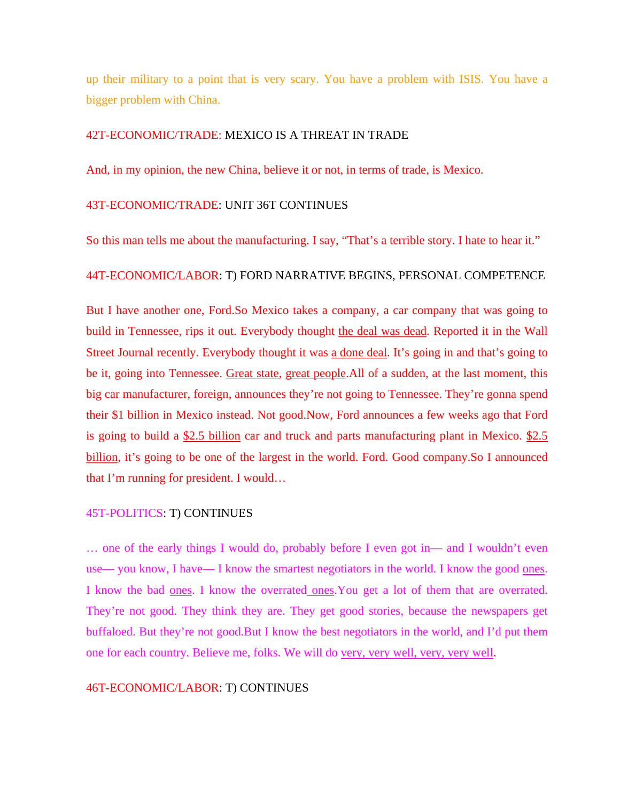up their military to a point that is very scary. You have a problem with ISIS. You have a bigger problem with China.

#### 42T-ECONOMIC/TRADE: MEXICO IS A THREAT IN TRADE

And, in my opinion, the new China, believe it or not, in terms of trade, is Mexico.

#### 43T-ECONOMIC/TRADE: UNIT 36T CONTINUES

So this man tells me about the manufacturing. I say, "That's a terrible story. I hate to hear it."

#### 44T-ECONOMIC/LABOR: T) FORD NARRATIVE BEGINS, PERSONAL COMPETENCE

But I have another one, Ford.So Mexico takes a company, a car company that was going to build in Tennessee, rips it out. Everybody thought the deal was dead. Reported it in the Wall Street Journal recently. Everybody thought it was a done deal. It's going in and that's going to be it, going into Tennessee. Great state, great people.All of a sudden, at the last moment, this big car manufacturer, foreign, announces they're not going to Tennessee. They're gonna spend their \$1 billion in Mexico instead. Not good.Now, Ford announces a few weeks ago that Ford is going to build a  $$2.5$  billion car and truck and parts manufacturing plant in Mexico.  $$2.5$ billion, it's going to be one of the largest in the world. Ford. Good company.So I announced that I'm running for president. I would…

#### 45T-POLITICS: T) CONTINUES

… one of the early things I would do, probably before I even got in— and I wouldn't even use— you know, I have— I know the smartest negotiators in the world. I know the good ones. I know the bad ones. I know the overrated ones.You get a lot of them that are overrated. They're not good. They think they are. They get good stories, because the newspapers get buffaloed. But they're not good.But I know the best negotiators in the world, and I'd put them one for each country. Believe me, folks. We will do very, very well, very, very well.

#### 46T-ECONOMIC/LABOR: T) CONTINUES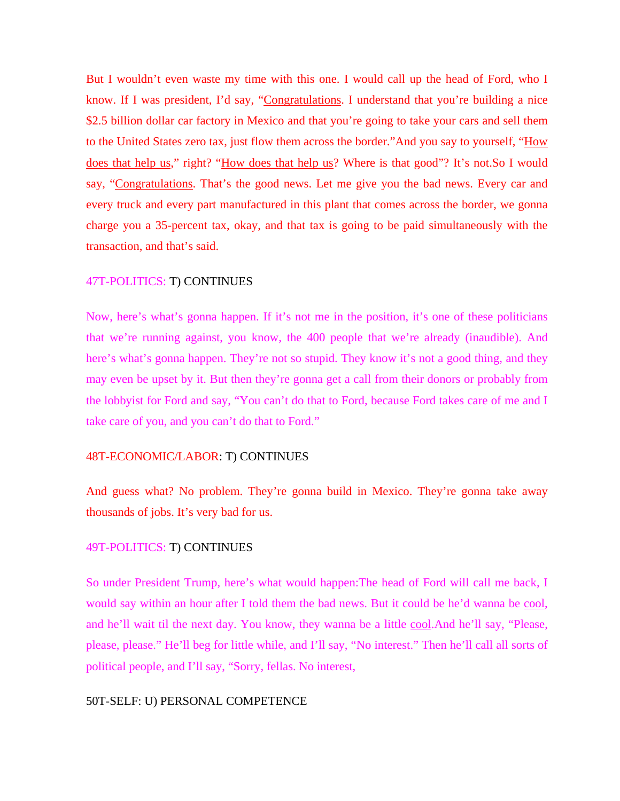But I wouldn't even waste my time with this one. I would call up the head of Ford, who I know. If I was president, I'd say, "Congratulations. I understand that you're building a nice \$2.5 billion dollar car factory in Mexico and that you're going to take your cars and sell them to the United States zero tax, just flow them across the border."And you say to yourself, "How does that help us," right? "How does that help us? Where is that good"? It's not.So I would say, "Congratulations. That's the good news. Let me give you the bad news. Every car and every truck and every part manufactured in this plant that comes across the border, we gonna charge you a 35-percent tax, okay, and that tax is going to be paid simultaneously with the transaction, and that's said.

#### 47T-POLITICS: T) CONTINUES

Now, here's what's gonna happen. If it's not me in the position, it's one of these politicians that we're running against, you know, the 400 people that we're already (inaudible). And here's what's gonna happen. They're not so stupid. They know it's not a good thing, and they may even be upset by it. But then they're gonna get a call from their donors or probably from the lobbyist for Ford and say, "You can't do that to Ford, because Ford takes care of me and I take care of you, and you can't do that to Ford."

# 48T-ECONOMIC/LABOR: T) CONTINUES

And guess what? No problem. They're gonna build in Mexico. They're gonna take away thousands of jobs. It's very bad for us.

#### 49T-POLITICS: T) CONTINUES

So under President Trump, here's what would happen:The head of Ford will call me back, I would say within an hour after I told them the bad news. But it could be he'd wanna be cool, and he'll wait til the next day. You know, they wanna be a little cool.And he'll say, "Please, please, please." He'll beg for little while, and I'll say, "No interest." Then he'll call all sorts of political people, and I'll say, "Sorry, fellas. No interest,

#### 50T-SELF: U) PERSONAL COMPETENCE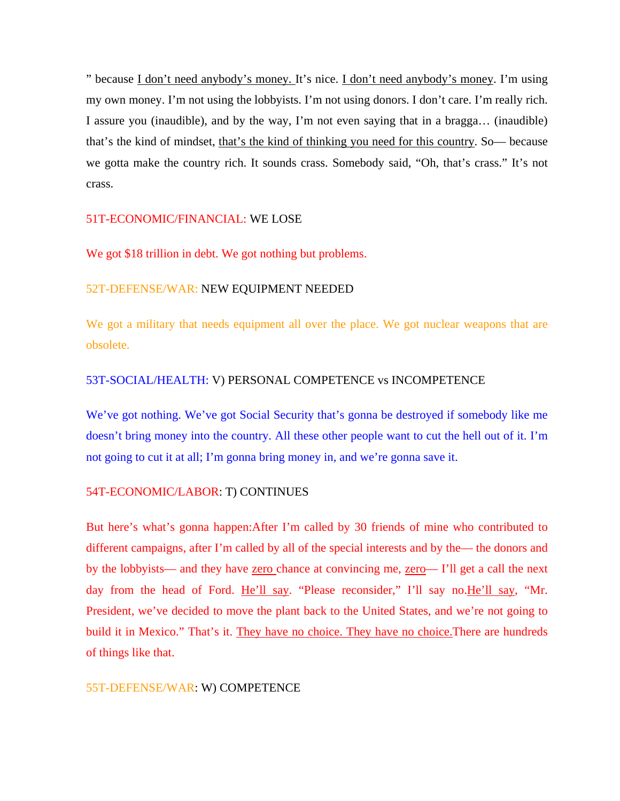" because I don't need anybody's money. It's nice. I don't need anybody's money. I'm using my own money. I'm not using the lobbyists. I'm not using donors. I don't care. I'm really rich. I assure you (inaudible), and by the way, I'm not even saying that in a bragga… (inaudible) that's the kind of mindset, that's the kind of thinking you need for this country. So— because we gotta make the country rich. It sounds crass. Somebody said, "Oh, that's crass." It's not crass.

# 51T-ECONOMIC/FINANCIAL: WE LOSE

We got \$18 trillion in debt. We got nothing but problems.

# 52T-DEFENSE/WAR: NEW EQUIPMENT NEEDED

We got a military that needs equipment all over the place. We got nuclear weapons that are obsolete.

# 53T-SOCIAL/HEALTH: V) PERSONAL COMPETENCE vs INCOMPETENCE

We've got nothing. We've got Social Security that's gonna be destroyed if somebody like me doesn't bring money into the country. All these other people want to cut the hell out of it. I'm not going to cut it at all; I'm gonna bring money in, and we're gonna save it.

# 54T-ECONOMIC/LABOR: T) CONTINUES

But here's what's gonna happen:After I'm called by 30 friends of mine who contributed to different campaigns, after I'm called by all of the special interests and by the— the donors and by the lobbyists— and they have zero chance at convincing me, zero— I'll get a call the next day from the head of Ford. He'll say. "Please reconsider," I'll say no.He'll say, "Mr. President, we've decided to move the plant back to the United States, and we're not going to build it in Mexico." That's it. They have no choice. They have no choice.There are hundreds of things like that.

# 55T-DEFENSE/WAR: W) COMPETENCE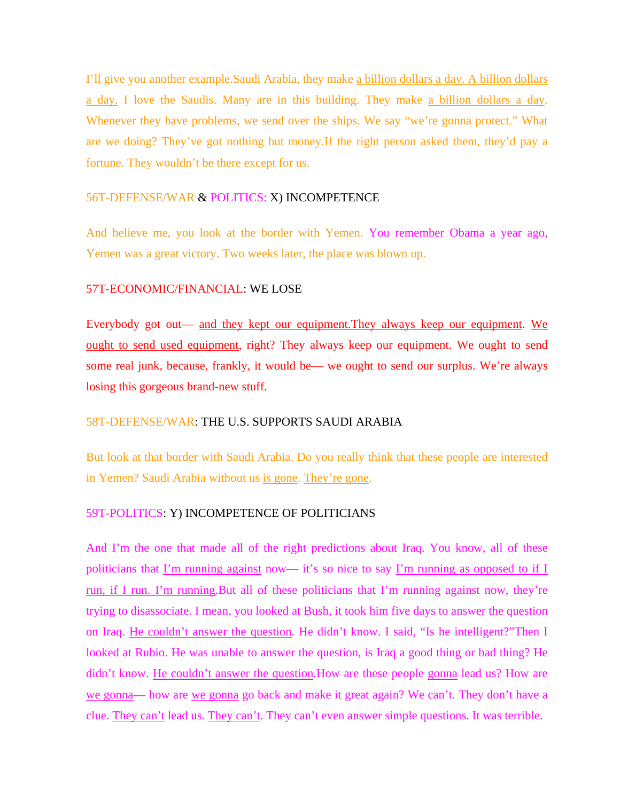I'll give you another example.Saudi Arabia, they make a billion dollars a day. A billion dollars a day. I love the Saudis. Many are in this building. They make a billion dollars a day. Whenever they have problems, we send over the ships. We say "we're gonna protect." What are we doing? They've got nothing but money.If the right person asked them, they'd pay a fortune. They wouldn't be there except for us.

# 56T-DEFENSE/WAR & POLITICS: X) INCOMPETENCE

And believe me, you look at the border with Yemen. You remember Obama a year ago, Yemen was a great victory. Two weeks later, the place was blown up.

#### 57T-ECONOMIC/FINANCIAL: WE LOSE

Everybody got out— and they kept our equipment.They always keep our equipment. We ought to send used equipment, right? They always keep our equipment. We ought to send some real junk, because, frankly, it would be— we ought to send our surplus. We're always losing this gorgeous brand-new stuff.

#### 58T-DEFENSE/WAR: THE U.S. SUPPORTS SAUDI ARABIA

But look at that border with Saudi Arabia. Do you really think that these people are interested in Yemen? Saudi Arabia without us is gone. They're gone.

#### 59T-POLITICS: Y) INCOMPETENCE OF POLITICIANS

And I'm the one that made all of the right predictions about Iraq. You know, all of these politicians that I'm running against now— it's so nice to say I'm running as opposed to if I run, if I run. I'm running.But all of these politicians that I'm running against now, they're trying to disassociate. I mean, you looked at Bush, it took him five days to answer the question on Iraq. He couldn't answer the question. He didn't know. I said, "Is he intelligent?"Then I looked at Rubio. He was unable to answer the question, is Iraq a good thing or bad thing? He didn't know. He couldn't answer the question.How are these people gonna lead us? How are we gonna— how are we gonna go back and make it great again? We can't. They don't have a clue. They can't lead us. They can't. They can't even answer simple questions. It was terrible.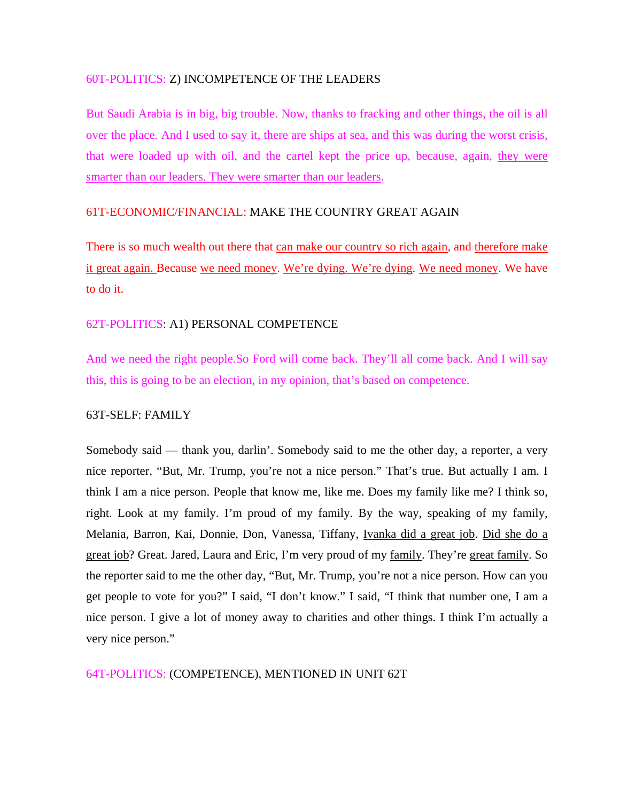#### 60T-POLITICS: Z) INCOMPETENCE OF THE LEADERS

But Saudi Arabia is in big, big trouble. Now, thanks to fracking and other things, the oil is all over the place. And I used to say it, there are ships at sea, and this was during the worst crisis, that were loaded up with oil, and the cartel kept the price up, because, again, they were smarter than our leaders. They were smarter than our leaders.

# 61T-ECONOMIC/FINANCIAL: MAKE THE COUNTRY GREAT AGAIN

There is so much wealth out there that can make our country so rich again, and therefore make it great again. Because we need money. We're dying. We're dying. We need money. We have to do it.

# 62T-POLITICS: A1) PERSONAL COMPETENCE

And we need the right people.So Ford will come back. They'll all come back. And I will say this, this is going to be an election, in my opinion, that's based on competence.

# 63T-SELF: FAMILY

Somebody said — thank you, darlin'. Somebody said to me the other day, a reporter, a very nice reporter, "But, Mr. Trump, you're not a nice person." That's true. But actually I am. I think I am a nice person. People that know me, like me. Does my family like me? I think so, right. Look at my family. I'm proud of my family. By the way, speaking of my family, Melania, Barron, Kai, Donnie, Don, Vanessa, Tiffany, Ivanka did a great job. Did she do a great job? Great. Jared, Laura and Eric, I'm very proud of my family. They're great family. So the reporter said to me the other day, "But, Mr. Trump, you're not a nice person. How can you get people to vote for you?" I said, "I don't know." I said, "I think that number one, I am a nice person. I give a lot of money away to charities and other things. I think I'm actually a very nice person."

64T-POLITICS: (COMPETENCE), MENTIONED IN UNIT 62T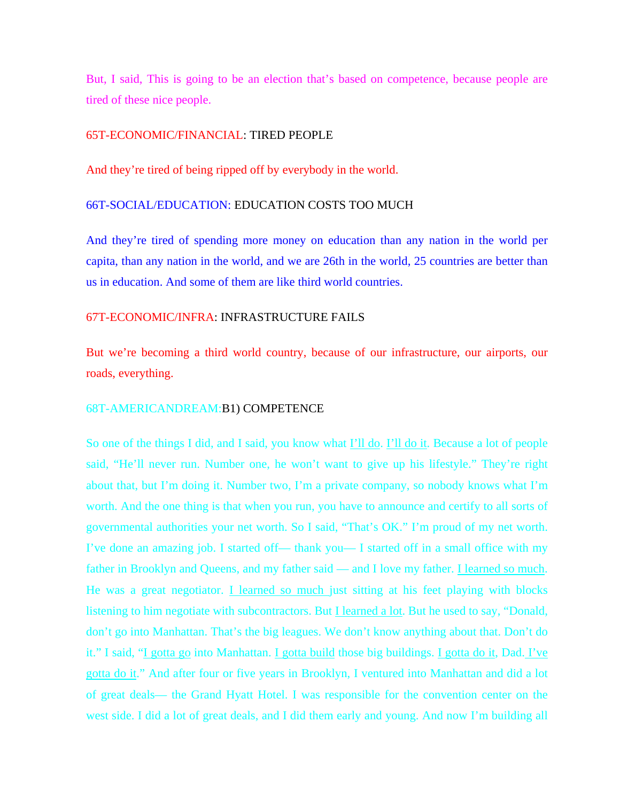But, I said, This is going to be an election that's based on competence, because people are tired of these nice people.

#### 65T-ECONOMIC/FINANCIAL: TIRED PEOPLE

And they're tired of being ripped off by everybody in the world.

# 66T-SOCIAL/EDUCATION: EDUCATION COSTS TOO MUCH

And they're tired of spending more money on education than any nation in the world per capita, than any nation in the world, and we are 26th in the world, 25 countries are better than us in education. And some of them are like third world countries.

# 67T-ECONOMIC/INFRA: INFRASTRUCTURE FAILS

But we're becoming a third world country, because of our infrastructure, our airports, our roads, everything.

# 68T-AMERICANDREAM:B1) COMPETENCE

So one of the things I did, and I said, you know what <u>I'll do. I'll do it</u>. Because a lot of people said, "He'll never run. Number one, he won't want to give up his lifestyle." They're right about that, but I'm doing it. Number two, I'm a private company, so nobody knows what I'm worth. And the one thing is that when you run, you have to announce and certify to all sorts of governmental authorities your net worth. So I said, "That's OK." I'm proud of my net worth. I've done an amazing job. I started off— thank you— I started off in a small office with my father in Brooklyn and Queens, and my father said — and I love my father. I learned so much. He was a great negotiator. I learned so much just sitting at his feet playing with blocks listening to him negotiate with subcontractors. But I learned a lot. But he used to say, "Donald, don't go into Manhattan. That's the big leagues. We don't know anything about that. Don't do it." I said, "I gotta go into Manhattan. I gotta build those big buildings. I gotta do it, Dad. I've gotta do it." And after four or five years in Brooklyn, I ventured into Manhattan and did a lot of great deals— the Grand Hyatt Hotel. I was responsible for the convention center on the west side. I did a lot of great deals, and I did them early and young. And now I'm building all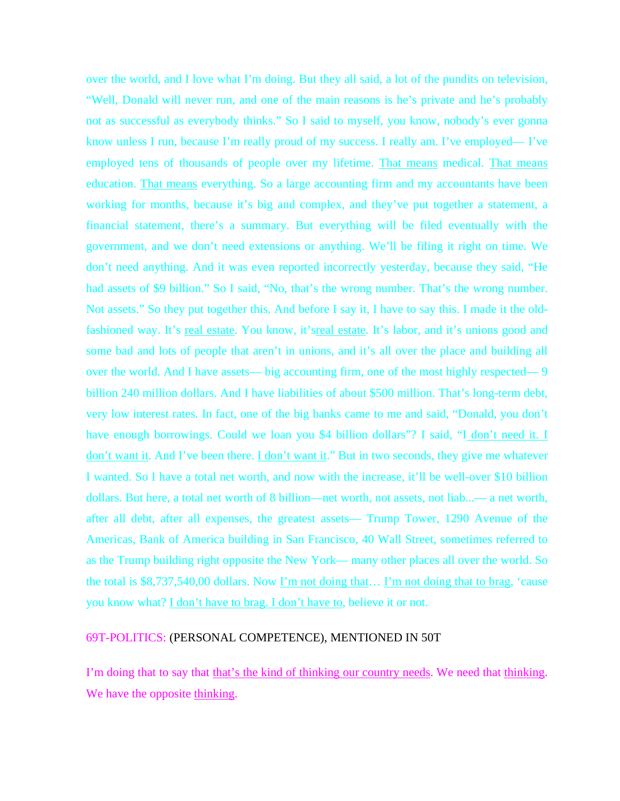over the world, and I love what I'm doing. But they all said, a lot of the pundits on television, "Well, Donald will never run, and one of the main reasons is he's private and he's probably not as successful as everybody thinks." So I said to myself, you know, nobody's ever gonna know unless I run, because I'm really proud of my success. I really am. I've employed— I've employed tens of thousands of people over my lifetime. That means medical. That means education. That means everything. So a large accounting firm and my accountants have been working for months, because it's big and complex, and they've put together a statement, a financial statement, there's a summary. But everything will be filed eventually with the government, and we don't need extensions or anything. We'll be filing it right on time. We don't need anything. And it was even reported incorrectly yesterday, because they said, "He had assets of \$9 billion." So I said, "No, that's the wrong number. That's the wrong number. Not assets." So they put together this. And before I say it, I have to say this. I made it the oldfashioned way. It's real estate. You know, it'sreal estate. It's labor, and it's unions good and some bad and lots of people that aren't in unions, and it's all over the place and building all over the world. And I have assets— big accounting firm, one of the most highly respected— 9 billion 240 million dollars. And I have liabilities of about \$500 million. That's long-term debt, very low interest rates. In fact, one of the big banks came to me and said, "Donald, you don't have enough borrowings. Could we loan you \$4 billion dollars"? I said, "I don't need it. I don't want it. And I've been there. I don't want it." But in two seconds, they give me whatever I wanted. So I have a total net worth, and now with the increase, it'll be well-over \$10 billion dollars. But here, a total net worth of 8 billion—net worth, not assets, not liab...— a net worth, after all debt, after all expenses, the greatest assets— Trump Tower, 1290 Avenue of the Americas, Bank of America building in San Francisco, 40 Wall Street, sometimes referred to as the Trump building right opposite the New York— many other places all over the world. So the total is \$8,737,540,00 dollars. Now I'm not doing that… I'm not doing that to brag, 'cause you know what? I don't have to brag. I don't have to, believe it or not.

#### 69T-POLITICS: (PERSONAL COMPETENCE), MENTIONED IN 50T

I'm doing that to say that that's the kind of thinking our country needs. We need that thinking. We have the opposite thinking.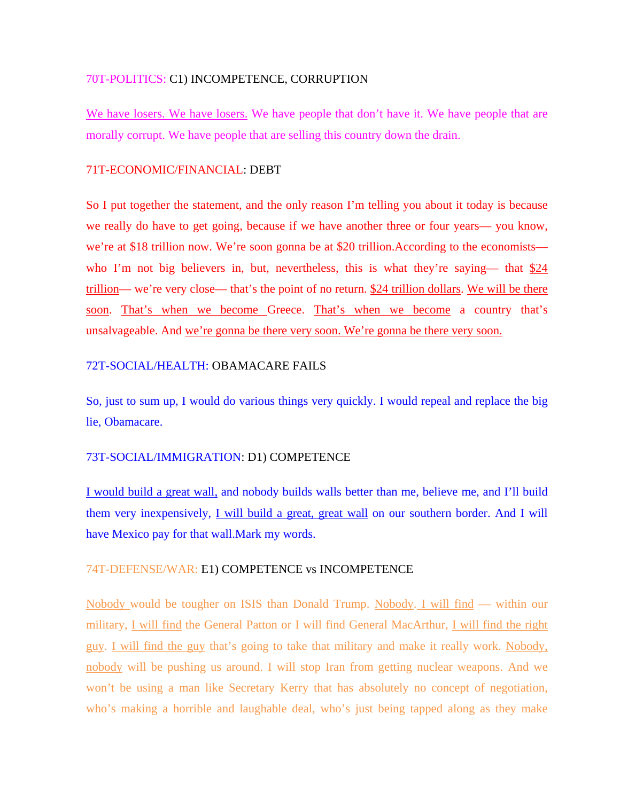#### 70T-POLITICS: C1) INCOMPETENCE, CORRUPTION

We have losers. We have losers. We have people that don't have it. We have people that are morally corrupt. We have people that are selling this country down the drain.

# 71T-ECONOMIC/FINANCIAL: DEBT

So I put together the statement, and the only reason I'm telling you about it today is because we really do have to get going, because if we have another three or four years— you know, we're at \$18 trillion now. We're soon gonna be at \$20 trillion. According to the economists who I'm not big believers in, but, nevertheless, this is what they're saying— that \$24 trillion— we're very close— that's the point of no return. \$24 trillion dollars. We will be there soon. That's when we become Greece. That's when we become a country that's unsalvageable. And we're gonna be there very soon. We're gonna be there very soon.

# 72T-SOCIAL/HEALTH: OBAMACARE FAILS

So, just to sum up, I would do various things very quickly. I would repeal and replace the big lie, Obamacare.

# 73T-SOCIAL/IMMIGRATION: D1) COMPETENCE

I would build a great wall, and nobody builds walls better than me, believe me, and I'll build them very inexpensively, I will build a great, great wall on our southern border. And I will have Mexico pay for that wall.Mark my words.

#### 74T-DEFENSE/WAR: E1) COMPETENCE vs INCOMPETENCE

Nobody would be tougher on ISIS than Donald Trump. Nobody. I will find — within our military, I will find the General Patton or I will find General MacArthur, I will find the right guy. I will find the guy that's going to take that military and make it really work. Nobody, nobody will be pushing us around. I will stop Iran from getting nuclear weapons. And we won't be using a man like Secretary Kerry that has absolutely no concept of negotiation, who's making a horrible and laughable deal, who's just being tapped along as they make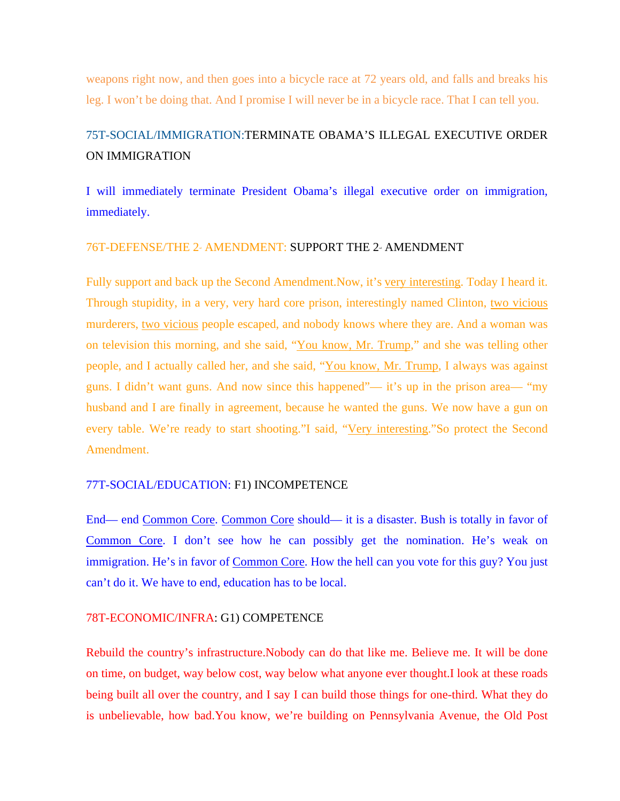weapons right now, and then goes into a bicycle race at 72 years old, and falls and breaks his leg. I won't be doing that. And I promise I will never be in a bicycle race. That I can tell you.

# 75T-SOCIAL/IMMIGRATION:TERMINATE OBAMA'S ILLEGAL EXECUTIVE ORDER ON IMMIGRATION

I will immediately terminate President Obama's illegal executive order on immigration, immediately.

#### 76T-DEFENSE/THE 2- AMENDMENT: SUPPORT THE 2- AMENDMENT

Fully support and back up the Second Amendment.Now, it's very interesting. Today I heard it. Through stupidity, in a very, very hard core prison, interestingly named Clinton, two vicious murderers, two vicious people escaped, and nobody knows where they are. And a woman was on television this morning, and she said, "You know, Mr. Trump," and she was telling other people, and I actually called her, and she said, "You know, Mr. Trump, I always was against guns. I didn't want guns. And now since this happened"— it's up in the prison area— "my husband and I are finally in agreement, because he wanted the guns. We now have a gun on every table. We're ready to start shooting."I said, "Very interesting."So protect the Second Amendment.

#### 77T-SOCIAL/EDUCATION: F1) INCOMPETENCE

End— end Common Core. Common Core should— it is a disaster. Bush is totally in favor of Common Core. I don't see how he can possibly get the nomination. He's weak on immigration. He's in favor of Common Core. How the hell can you vote for this guy? You just can't do it. We have to end, education has to be local.

#### 78T-ECONOMIC/INFRA: G1) COMPETENCE

Rebuild the country's infrastructure.Nobody can do that like me. Believe me. It will be done on time, on budget, way below cost, way below what anyone ever thought.I look at these roads being built all over the country, and I say I can build those things for one-third. What they do is unbelievable, how bad.You know, we're building on Pennsylvania Avenue, the Old Post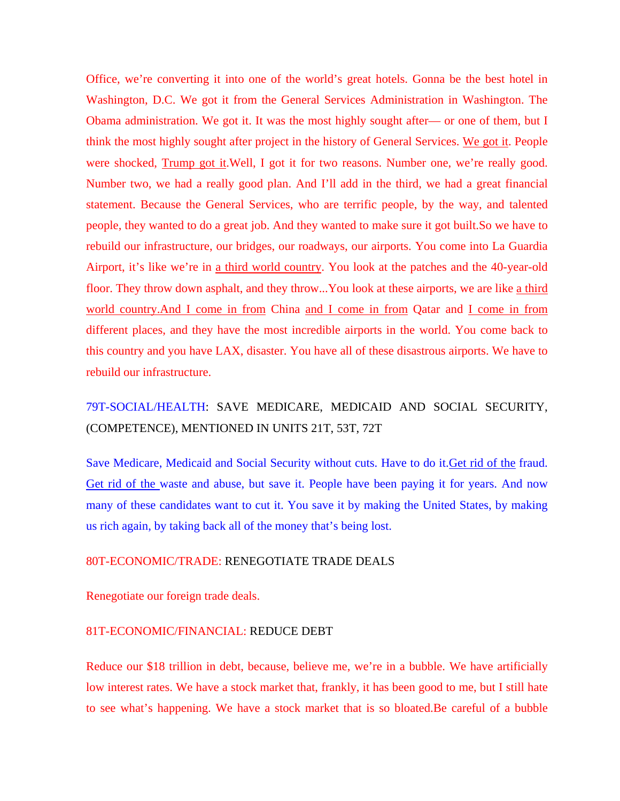Office, we're converting it into one of the world's great hotels. Gonna be the best hotel in Washington, D.C. We got it from the General Services Administration in Washington. The Obama administration. We got it. It was the most highly sought after— or one of them, but I think the most highly sought after project in the history of General Services. We got it. People were shocked, Trump got it.Well, I got it for two reasons. Number one, we're really good. Number two, we had a really good plan. And I'll add in the third, we had a great financial statement. Because the General Services, who are terrific people, by the way, and talented people, they wanted to do a great job. And they wanted to make sure it got built.So we have to rebuild our infrastructure, our bridges, our roadways, our airports. You come into La Guardia Airport, it's like we're in a third world country. You look at the patches and the 40-year-old floor. They throw down asphalt, and they throw...You look at these airports, we are like a third world country.And I come in from China and I come in from Qatar and I come in from different places, and they have the most incredible airports in the world. You come back to this country and you have LAX, disaster. You have all of these disastrous airports. We have to rebuild our infrastructure.

# 79T-SOCIAL/HEALTH: SAVE MEDICARE, MEDICAID AND SOCIAL SECURITY, (COMPETENCE), MENTIONED IN UNITS 21T, 53T, 72T

Save Medicare, Medicaid and Social Security without cuts. Have to do it.Get rid of the fraud. Get rid of the waste and abuse, but save it. People have been paying it for years. And now many of these candidates want to cut it. You save it by making the United States, by making us rich again, by taking back all of the money that's being lost.

#### 80T-ECONOMIC/TRADE: RENEGOTIATE TRADE DEALS

Renegotiate our foreign trade deals.

#### 81T-ECONOMIC/FINANCIAL: REDUCE DEBT

Reduce our \$18 trillion in debt, because, believe me, we're in a bubble. We have artificially low interest rates. We have a stock market that, frankly, it has been good to me, but I still hate to see what's happening. We have a stock market that is so bloated.Be careful of a bubble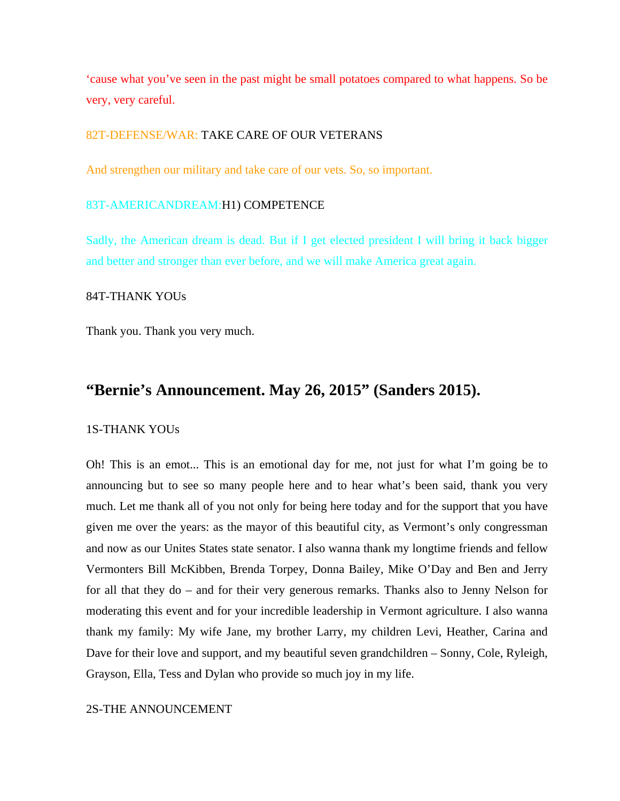'cause what you've seen in the past might be small potatoes compared to what happens. So be very, very careful.

# 82T-DEFENSE/WAR: TAKE CARE OF OUR VETERANS

And strengthen our military and take care of our vets. So, so important.

# 83T-AMERICANDREAM:H1) COMPETENCE

Sadly, the American dream is dead. But if I get elected president I will bring it back bigger and better and stronger than ever before, and we will make America great again.

#### 84T-THANK YOUs

Thank you. Thank you very much.

# **"Bernie's Announcement. May 26, 2015" (Sanders 2015).**

# 1S-THANK YOUs

Oh! This is an emot... This is an emotional day for me, not just for what I'm going be to announcing but to see so many people here and to hear what's been said, thank you very much. Let me thank all of you not only for being here today and for the support that you have given me over the years: as the mayor of this beautiful city, as Vermont's only congressman and now as our Unites States state senator. I also wanna thank my longtime friends and fellow Vermonters Bill McKibben, Brenda Torpey, Donna Bailey, Mike O'Day and Ben and Jerry for all that they do – and for their very generous remarks. Thanks also to Jenny Nelson for moderating this event and for your incredible leadership in Vermont agriculture. I also wanna thank my family: My wife Jane, my brother Larry, my children Levi, Heather, Carina and Dave for their love and support, and my beautiful seven grandchildren – Sonny, Cole, Ryleigh, Grayson, Ella, Tess and Dylan who provide so much joy in my life.

#### 2S-THE ANNOUNCEMENT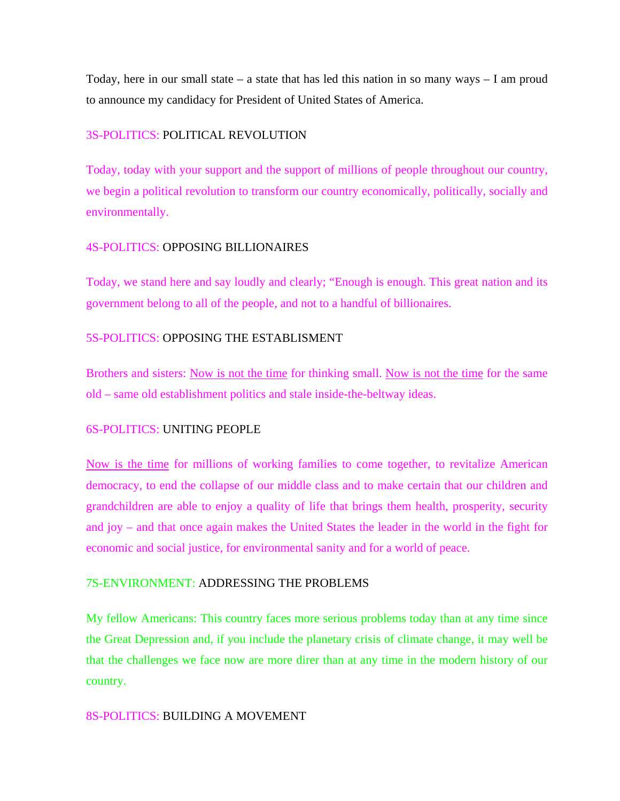Today, here in our small state – a state that has led this nation in so many ways  $-1$  am proud to announce my candidacy for President of United States of America.

# 3S-POLITICS: POLITICAL REVOLUTION

Today, today with your support and the support of millions of people throughout our country, we begin a political revolution to transform our country economically, politically, socially and environmentally.

# 4S-POLITICS: OPPOSING BILLIONAIRES

Today, we stand here and say loudly and clearly; "Enough is enough. This great nation and its government belong to all of the people, and not to a handful of billionaires.

# 5S-POLITICS: OPPOSING THE ESTABLISMENT

Brothers and sisters: Now is not the time for thinking small. Now is not the time for the same old – same old establishment politics and stale inside-the-beltway ideas.

# 6S-POLITICS: UNITING PEOPLE

Now is the time for millions of working families to come together, to revitalize American democracy, to end the collapse of our middle class and to make certain that our children and grandchildren are able to enjoy a quality of life that brings them health, prosperity, security and joy – and that once again makes the United States the leader in the world in the fight for economic and social justice, for environmental sanity and for a world of peace.

# 7S-ENVIRONMENT: ADDRESSING THE PROBLEMS

My fellow Americans: This country faces more serious problems today than at any time since the Great Depression and, if you include the planetary crisis of climate change, it may well be that the challenges we face now are more direr than at any time in the modern history of our country.

# 8S-POLITICS: BUILDING A MOVEMENT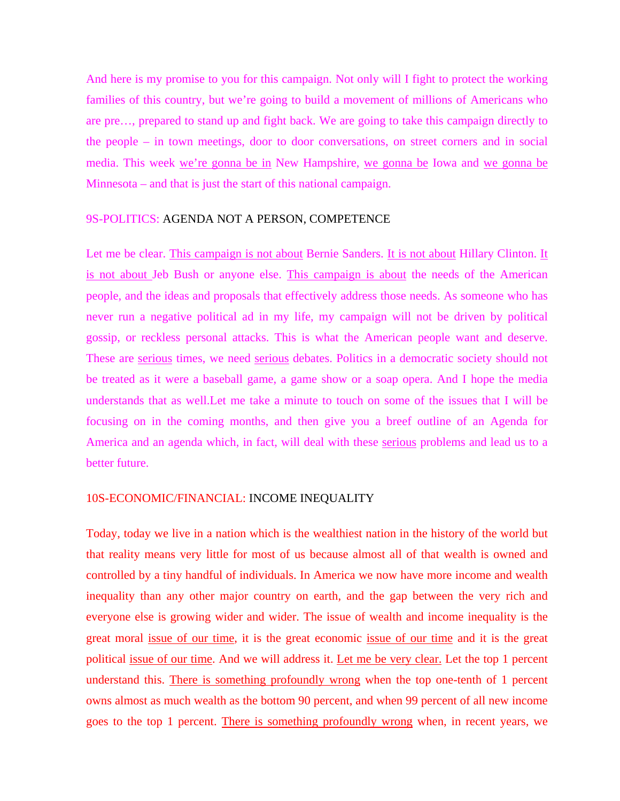And here is my promise to you for this campaign. Not only will I fight to protect the working families of this country, but we're going to build a movement of millions of Americans who are pre…, prepared to stand up and fight back. We are going to take this campaign directly to the people – in town meetings, door to door conversations, on street corners and in social media. This week we're gonna be in New Hampshire, we gonna be Iowa and we gonna be Minnesota – and that is just the start of this national campaign.

#### 9S-POLITICS: AGENDA NOT A PERSON, COMPETENCE

Let me be clear. This campaign is not about Bernie Sanders. It is not about Hillary Clinton. It is not about Jeb Bush or anyone else. This campaign is about the needs of the American people, and the ideas and proposals that effectively address those needs. As someone who has never run a negative political ad in my life, my campaign will not be driven by political gossip, or reckless personal attacks. This is what the American people want and deserve. These are serious times, we need serious debates. Politics in a democratic society should not be treated as it were a baseball game, a game show or a soap opera. And I hope the media understands that as well.Let me take a minute to touch on some of the issues that I will be focusing on in the coming months, and then give you a breef outline of an Agenda for America and an agenda which, in fact, will deal with these serious problems and lead us to a better future.

#### 10S-ECONOMIC/FINANCIAL: INCOME INEQUALITY

Today, today we live in a nation which is the wealthiest nation in the history of the world but that reality means very little for most of us because almost all of that wealth is owned and controlled by a tiny handful of individuals. In America we now have more income and wealth inequality than any other major country on earth, and the gap between the very rich and everyone else is growing wider and wider. The issue of wealth and income inequality is the great moral issue of our time, it is the great economic issue of our time and it is the great political issue of our time. And we will address it. Let me be very clear. Let the top 1 percent understand this. There is something profoundly wrong when the top one-tenth of 1 percent owns almost as much wealth as the bottom 90 percent, and when 99 percent of all new income goes to the top 1 percent. There is something profoundly wrong when, in recent years, we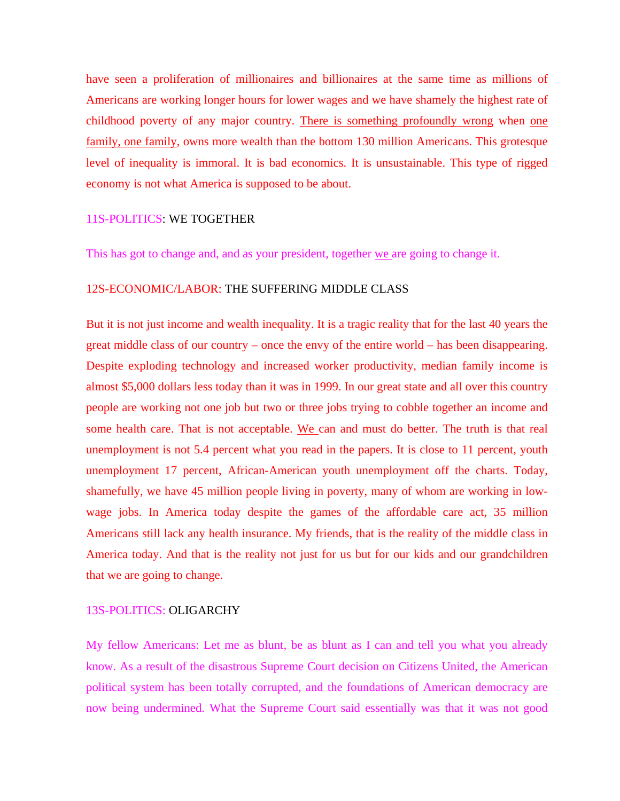have seen a proliferation of millionaires and billionaires at the same time as millions of Americans are working longer hours for lower wages and we have shamely the highest rate of childhood poverty of any major country. There is something profoundly wrong when one family, one family, owns more wealth than the bottom 130 million Americans. This grotesque level of inequality is immoral. It is bad economics. It is unsustainable. This type of rigged economy is not what America is supposed to be about.

#### 11S-POLITICS: WE TOGETHER

This has got to change and, and as your president, together we are going to change it.

#### 12S-ECONOMIC/LABOR: THE SUFFERING MIDDLE CLASS

But it is not just income and wealth inequality. It is a tragic reality that for the last 40 years the great middle class of our country – once the envy of the entire world – has been disappearing. Despite exploding technology and increased worker productivity, median family income is almost \$5,000 dollars less today than it was in 1999. In our great state and all over this country people are working not one job but two or three jobs trying to cobble together an income and some health care. That is not acceptable. We can and must do better. The truth is that real unemployment is not 5.4 percent what you read in the papers. It is close to 11 percent, youth unemployment 17 percent, African-American youth unemployment off the charts. Today, shamefully, we have 45 million people living in poverty, many of whom are working in lowwage jobs. In America today despite the games of the affordable care act, 35 million Americans still lack any health insurance. My friends, that is the reality of the middle class in America today. And that is the reality not just for us but for our kids and our grandchildren that we are going to change.

#### 13S-POLITICS: OLIGARCHY

My fellow Americans: Let me as blunt, be as blunt as I can and tell you what you already know. As a result of the disastrous Supreme Court decision on Citizens United, the American political system has been totally corrupted, and the foundations of American democracy are now being undermined. What the Supreme Court said essentially was that it was not good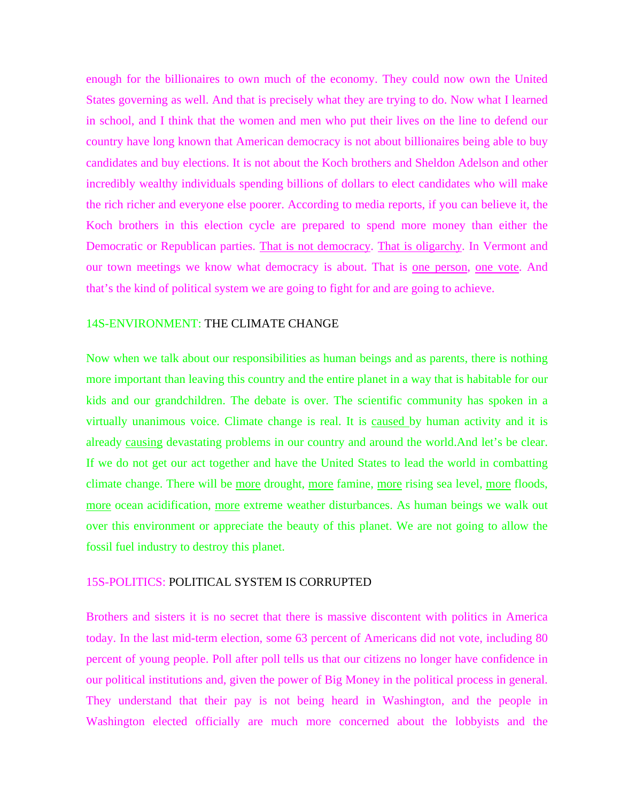enough for the billionaires to own much of the economy. They could now own the United States governing as well. And that is precisely what they are trying to do. Now what I learned in school, and I think that the women and men who put their lives on the line to defend our country have long known that American democracy is not about billionaires being able to buy candidates and buy elections. It is not about the Koch brothers and Sheldon Adelson and other incredibly wealthy individuals spending billions of dollars to elect candidates who will make the rich richer and everyone else poorer. According to media reports, if you can believe it, the Koch brothers in this election cycle are prepared to spend more money than either the Democratic or Republican parties. That is not democracy. That is oligarchy. In Vermont and our town meetings we know what democracy is about. That is one person, one vote. And that's the kind of political system we are going to fight for and are going to achieve.

# 14S-ENVIRONMENT: THE CLIMATE CHANGE

Now when we talk about our responsibilities as human beings and as parents, there is nothing more important than leaving this country and the entire planet in a way that is habitable for our kids and our grandchildren. The debate is over. The scientific community has spoken in a virtually unanimous voice. Climate change is real. It is caused by human activity and it is already causing devastating problems in our country and around the world.And let's be clear. If we do not get our act together and have the United States to lead the world in combatting climate change. There will be more drought, more famine, more rising sea level, more floods, more ocean acidification, more extreme weather disturbances. As human beings we walk out over this environment or appreciate the beauty of this planet. We are not going to allow the fossil fuel industry to destroy this planet.

#### 15S-POLITICS: POLITICAL SYSTEM IS CORRUPTED

Brothers and sisters it is no secret that there is massive discontent with politics in America today. In the last mid-term election, some 63 percent of Americans did not vote, including 80 percent of young people. Poll after poll tells us that our citizens no longer have confidence in our political institutions and, given the power of Big Money in the political process in general. They understand that their pay is not being heard in Washington, and the people in Washington elected officially are much more concerned about the lobbyists and the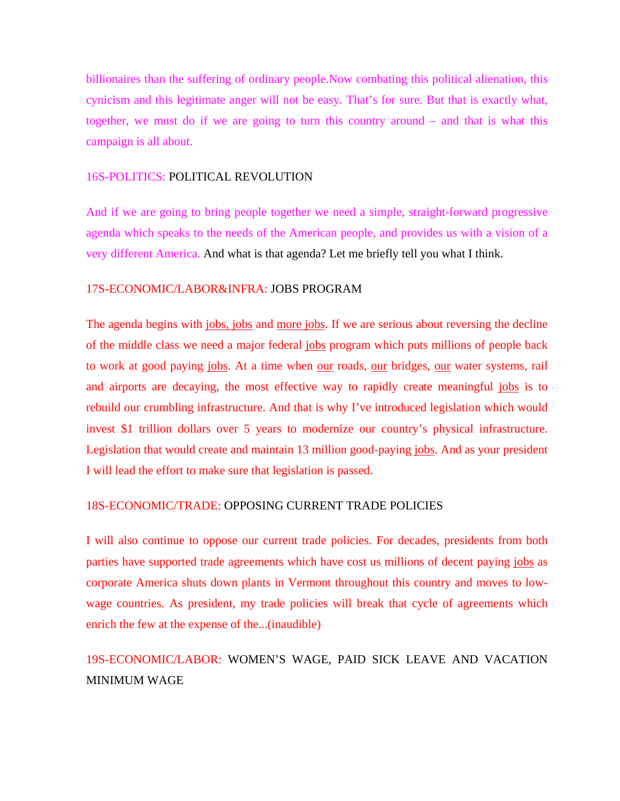billionaires than the suffering of ordinary people.Now combating this political alienation, this cynicism and this legitimate anger will not be easy. That's for sure. But that is exactly what, together, we must do if we are going to turn this country around – and that is what this campaign is all about.

#### 16S-POLITICS: POLITICAL REVOLUTION

And if we are going to bring people together we need a simple, straight-forward progressive agenda which speaks to the needs of the American people, and provides us with a vision of a very different America. And what is that agenda? Let me briefly tell you what I think.

#### 17S-ECONOMIC/LABOR&INFRA: JOBS PROGRAM

The agenda begins with jobs, jobs and more jobs. If we are serious about reversing the decline of the middle class we need a major federal jobs program which puts millions of people back to work at good paying jobs. At a time when our roads, our bridges, our water systems, rail and airports are decaying, the most effective way to rapidly create meaningful jobs is to rebuild our crumbling infrastructure. And that is why I've introduced legislation which would invest \$1 trillion dollars over 5 years to modernize our country's physical infrastructure. Legislation that would create and maintain 13 million good-paying jobs. And as your president I will lead the effort to make sure that legislation is passed.

# 18S-ECONOMIC/TRADE: OPPOSING CURRENT TRADE POLICIES

I will also continue to oppose our current trade policies. For decades, presidents from both parties have supported trade agreements which have cost us millions of decent paying jobs as corporate America shuts down plants in Vermont throughout this country and moves to lowwage countries. As president, my trade policies will break that cycle of agreements which enrich the few at the expense of the...(inaudible)

# 19S-ECONOMIC/LABOR: WOMEN'S WAGE, PAID SICK LEAVE AND VACATION MINIMUM WAGE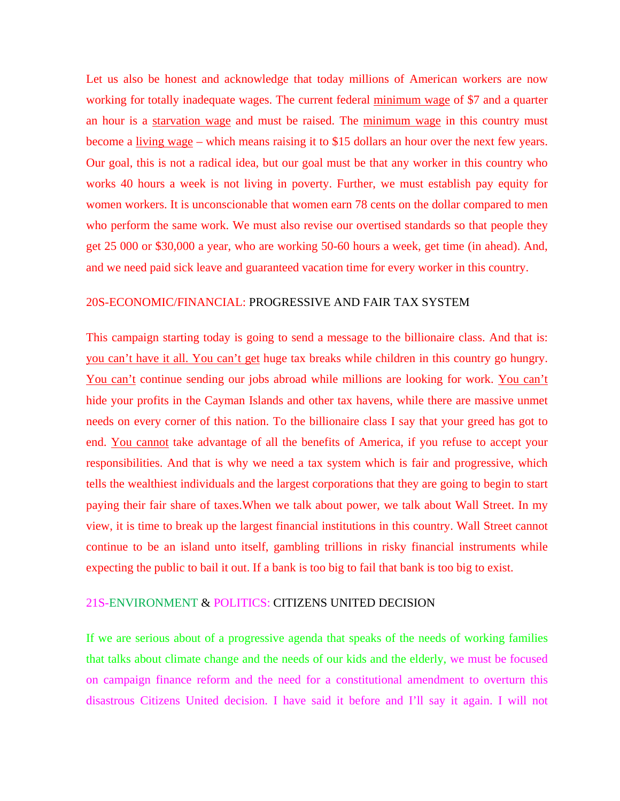Let us also be honest and acknowledge that today millions of American workers are now working for totally inadequate wages. The current federal minimum wage of \$7 and a quarter an hour is a starvation wage and must be raised. The minimum wage in this country must become a living wage – which means raising it to \$15 dollars an hour over the next few years. Our goal, this is not a radical idea, but our goal must be that any worker in this country who works 40 hours a week is not living in poverty. Further, we must establish pay equity for women workers. It is unconscionable that women earn 78 cents on the dollar compared to men who perform the same work. We must also revise our overtised standards so that people they get 25 000 or \$30,000 a year, who are working 50-60 hours a week, get time (in ahead). And, and we need paid sick leave and guaranteed vacation time for every worker in this country.

# 20S-ECONOMIC/FINANCIAL: PROGRESSIVE AND FAIR TAX SYSTEM

This campaign starting today is going to send a message to the billionaire class. And that is: you can't have it all. You can't get huge tax breaks while children in this country go hungry. You can't continue sending our jobs abroad while millions are looking for work. You can't hide your profits in the Cayman Islands and other tax havens, while there are massive unmet needs on every corner of this nation. To the billionaire class I say that your greed has got to end. You cannot take advantage of all the benefits of America, if you refuse to accept your responsibilities. And that is why we need a tax system which is fair and progressive, which tells the wealthiest individuals and the largest corporations that they are going to begin to start paying their fair share of taxes.When we talk about power, we talk about Wall Street. In my view, it is time to break up the largest financial institutions in this country. Wall Street cannot continue to be an island unto itself, gambling trillions in risky financial instruments while expecting the public to bail it out. If a bank is too big to fail that bank is too big to exist.

# 21S-ENVIRONMENT & POLITICS: CITIZENS UNITED DECISION

If we are serious about of a progressive agenda that speaks of the needs of working families that talks about climate change and the needs of our kids and the elderly, we must be focused on campaign finance reform and the need for a constitutional amendment to overturn this disastrous Citizens United decision. I have said it before and I'll say it again. I will not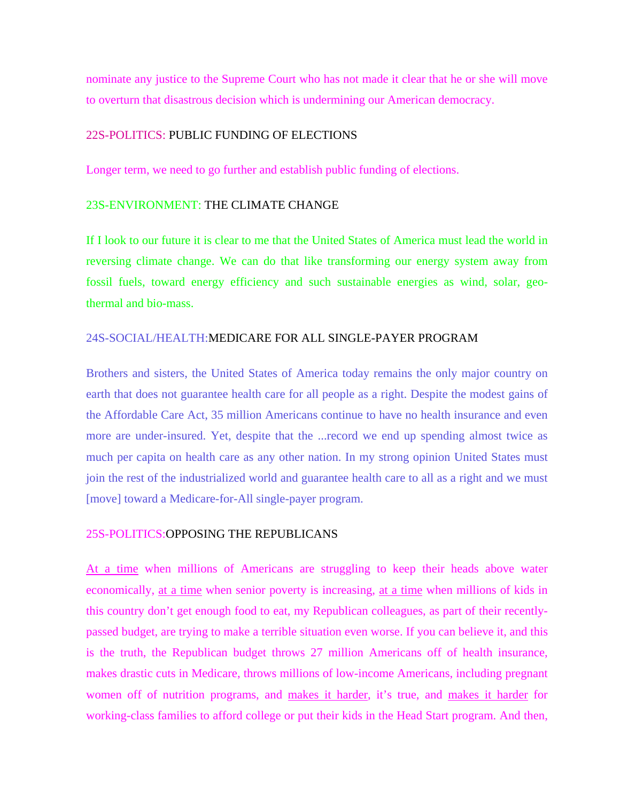nominate any justice to the Supreme Court who has not made it clear that he or she will move to overturn that disastrous decision which is undermining our American democracy.

#### 22S-POLITICS: PUBLIC FUNDING OF ELECTIONS

Longer term, we need to go further and establish public funding of elections.

#### 23S-ENVIRONMENT: THE CLIMATE CHANGE

If I look to our future it is clear to me that the United States of America must lead the world in reversing climate change. We can do that like transforming our energy system away from fossil fuels, toward energy efficiency and such sustainable energies as wind, solar, geothermal and bio-mass.

#### 24S-SOCIAL/HEALTH:MEDICARE FOR ALL SINGLE-PAYER PROGRAM

Brothers and sisters, the United States of America today remains the only major country on earth that does not guarantee health care for all people as a right. Despite the modest gains of the Affordable Care Act, 35 million Americans continue to have no health insurance and even more are under-insured. Yet, despite that the ...record we end up spending almost twice as much per capita on health care as any other nation. In my strong opinion United States must join the rest of the industrialized world and guarantee health care to all as a right and we must [move] toward a Medicare-for-All single-payer program.

# 25S-POLITICS:OPPOSING THE REPUBLICANS

At a time when millions of Americans are struggling to keep their heads above water economically, at a time when senior poverty is increasing, at a time when millions of kids in this country don't get enough food to eat, my Republican colleagues, as part of their recentlypassed budget, are trying to make a terrible situation even worse. If you can believe it, and this is the truth, the Republican budget throws 27 million Americans off of health insurance, makes drastic cuts in Medicare, throws millions of low-income Americans, including pregnant women off of nutrition programs, and makes it harder, it's true, and makes it harder for working-class families to afford college or put their kids in the Head Start program. And then,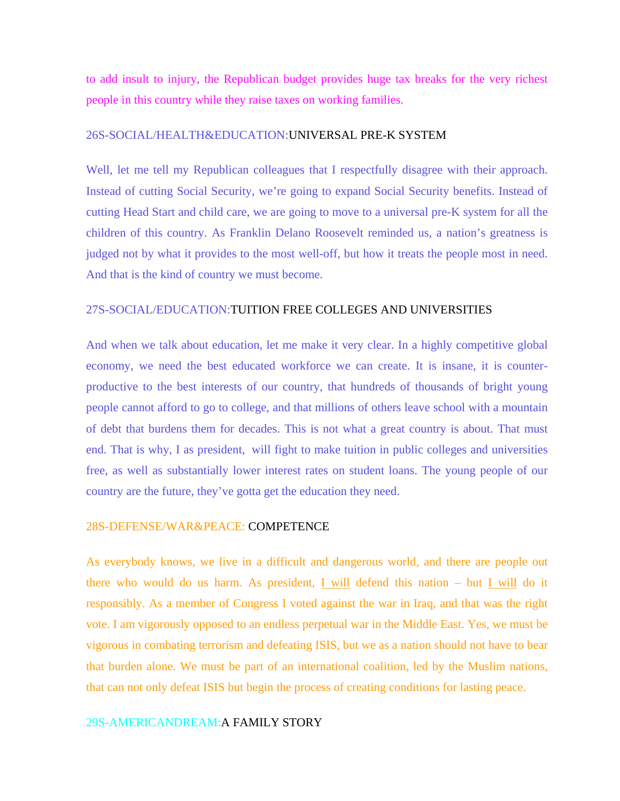to add insult to injury, the Republican budget provides huge tax breaks for the very richest people in this country while they raise taxes on working families.

#### 26S-SOCIAL/HEALTH&EDUCATION:UNIVERSAL PRE-K SYSTEM

Well, let me tell my Republican colleagues that I respectfully disagree with their approach. Instead of cutting Social Security, we're going to expand Social Security benefits. Instead of cutting Head Start and child care, we are going to move to a universal pre-K system for all the children of this country. As Franklin Delano Roosevelt reminded us, a nation's greatness is judged not by what it provides to the most well-off, but how it treats the people most in need. And that is the kind of country we must become.

#### 27S-SOCIAL/EDUCATION:TUITION FREE COLLEGES AND UNIVERSITIES

And when we talk about education, let me make it very clear. In a highly competitive global economy, we need the best educated workforce we can create. It is insane, it is counterproductive to the best interests of our country, that hundreds of thousands of bright young people cannot afford to go to college, and that millions of others leave school with a mountain of debt that burdens them for decades. This is not what a great country is about. That must end. That is why, I as president, will fight to make tuition in public colleges and universities free, as well as substantially lower interest rates on student loans. The young people of our country are the future, they've gotta get the education they need.

#### 28S-DEFENSE/WAR&PEACE: COMPETENCE

As everybody knows, we live in a difficult and dangerous world, and there are people out there who would do us harm. As president,  $I$  will defend this nation – but  $I$  will do it responsibly. As a member of Congress I voted against the war in Iraq, and that was the right vote. I am vigorously opposed to an endless perpetual war in the Middle East. Yes, we must be vigorous in combating terrorism and defeating ISIS, but we as a nation should not have to bear that burden alone. We must be part of an international coalition, led by the Muslim nations, that can not only defeat ISIS but begin the process of creating conditions for lasting peace.

#### 29S-AMERICANDREAM:A FAMILY STORY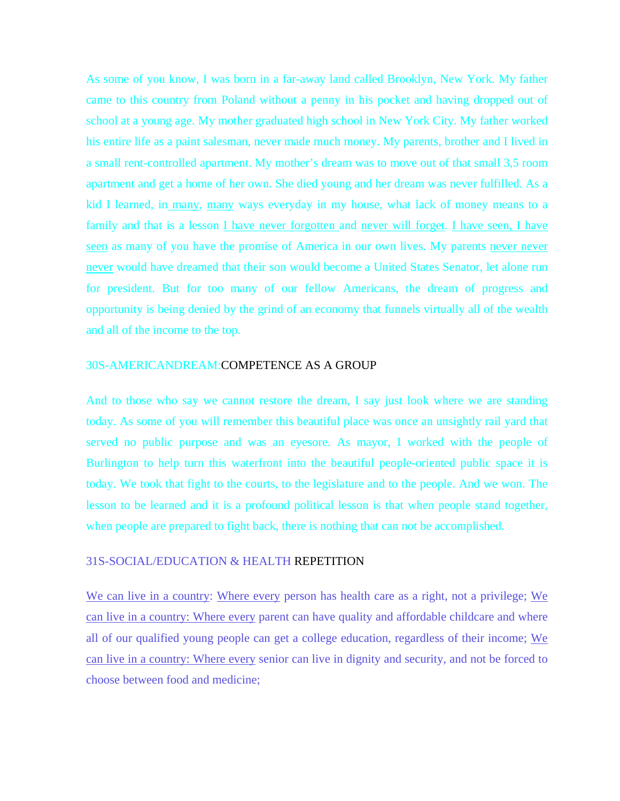As some of you know, I was born in a far-away land called Brooklyn, New York. My father came to this country from Poland without a penny in his pocket and having dropped out of school at a young age. My mother graduated high school in New York City. My father worked his entire life as a paint salesman, never made much money. My parents, brother and I lived in a small rent-controlled apartment. My mother's dream was to move out of that small 3,5 room apartment and get a home of her own. She died young and her dream was never fulfilled. As a kid I learned, in many, many ways everyday in my house, what lack of money means to a family and that is a lesson I have never forgotten and never will forget. I have seen, I have seen as many of you have the promise of America in our own lives. My parents never never never would have dreamed that their son would become a United States Senator, let alone run for president. But for too many of our fellow Americans, the dream of progress and opportunity is being denied by the grind of an economy that funnels virtually all of the wealth and all of the income to the top.

#### 30S-AMERICANDREAM:COMPETENCE AS A GROUP

And to those who say we cannot restore the dream, I say just look where we are standing today. As some of you will remember this beautiful place was once an unsightly rail yard that served no public purpose and was an eyesore. As mayor, I worked with the people of Burlington to help turn this waterfront into the beautiful people-oriented public space it is today. We took that fight to the courts, to the legislature and to the people. And we won. The lesson to be learned and it is a profound political lesson is that when people stand together, when people are prepared to fight back, there is nothing that can not be accomplished.

#### 31S-SOCIAL/EDUCATION & HEALTH REPETITION

We can live in a country: Where every person has health care as a right, not a privilege; We can live in a country: Where every parent can have quality and affordable childcare and where all of our qualified young people can get a college education, regardless of their income; We can live in a country: Where every senior can live in dignity and security, and not be forced to choose between food and medicine;